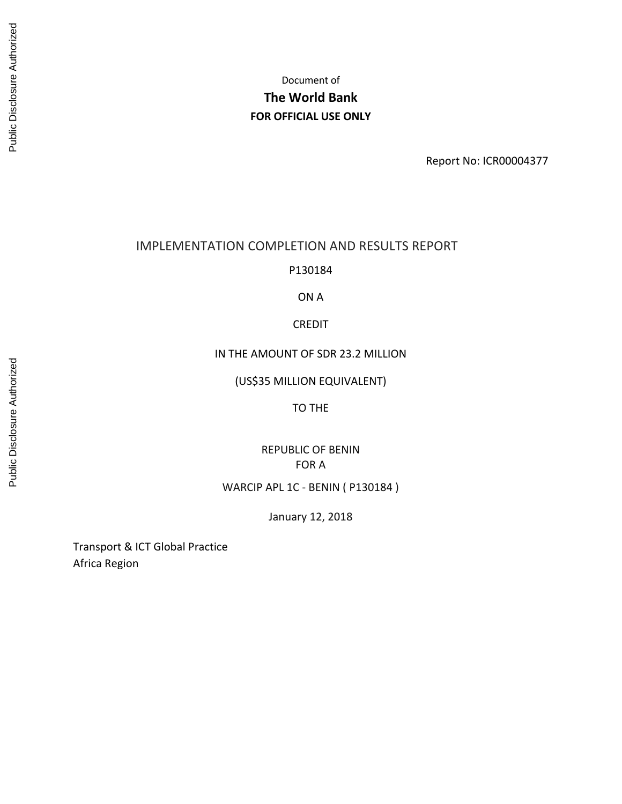Report No: ICR00004377

## IMPLEMENTATION COMPLETION AND RESULTS REPORT

P130184

ON A

CREDIT

IN THE AMOUNT OF SDR 23.2 MILLION

(US\$35 MILLION EQUIVALENT)

TO THE

REPUBLIC OF BENIN FOR A

WARCIP APL 1C ‐ BENIN ( P130184 )

January 12, 2018

Transport & ICT Global Practice Africa Region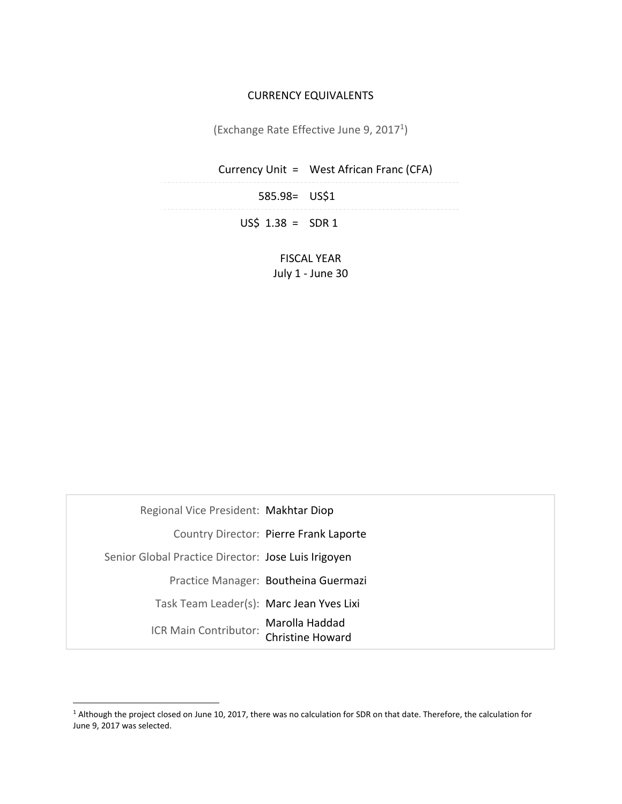## CURRENCY EQUIVALENTS

(Exchange Rate Effective June 9, 20171)

|                    | Currency Unit = West African Franc (CFA) |  |
|--------------------|------------------------------------------|--|
| 585.98= US\$1      |                                          |  |
| $US\$ 1.38 = SDR 1 |                                          |  |

FISCAL YEAR July 1 ‐ June 30

| Regional Vice President: Makhtar Diop               |                                        |
|-----------------------------------------------------|----------------------------------------|
|                                                     | Country Director: Pierre Frank Laporte |
| Senior Global Practice Director: Jose Luis Irigoyen |                                        |
|                                                     | Practice Manager: Boutheina Guermazi   |
| Task Team Leader(s): Marc Jean Yves Lixi            |                                        |
| ICR Main Contributor:                               | Marolla Haddad<br>Christine Howard     |

<sup>&</sup>lt;sup>1</sup> Although the project closed on June 10, 2017, there was no calculation for SDR on that date. Therefore, the calculation for June 9, 2017 was selected.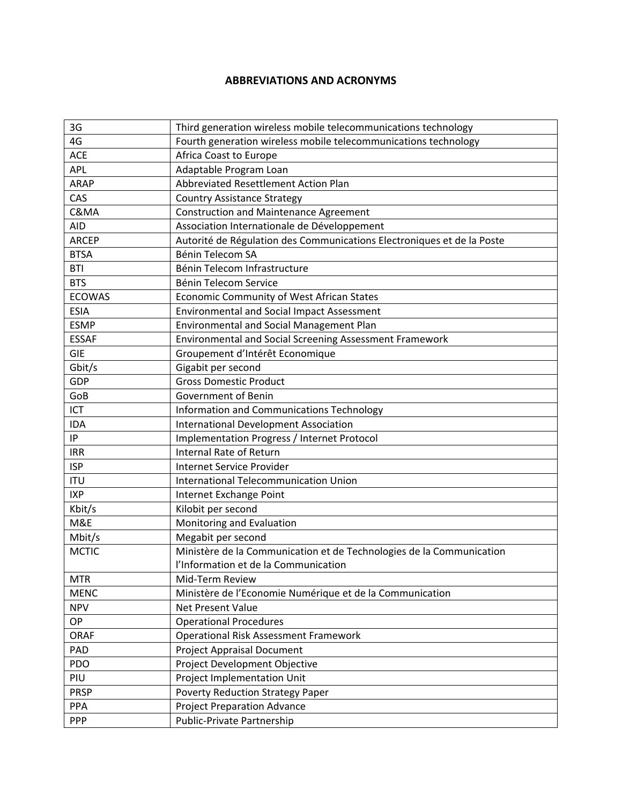# **ABBREVIATIONS AND ACRONYMS**

| 3G            | Third generation wireless mobile telecommunications technology         |
|---------------|------------------------------------------------------------------------|
| 4G            | Fourth generation wireless mobile telecommunications technology        |
| <b>ACE</b>    | Africa Coast to Europe                                                 |
| APL           | Adaptable Program Loan                                                 |
| <b>ARAP</b>   | Abbreviated Resettlement Action Plan                                   |
| CAS           | <b>Country Assistance Strategy</b>                                     |
| C&MA          | <b>Construction and Maintenance Agreement</b>                          |
| <b>AID</b>    | Association Internationale de Développement                            |
| <b>ARCEP</b>  | Autorité de Régulation des Communications Electroniques et de la Poste |
| <b>BTSA</b>   | Bénin Telecom SA                                                       |
| <b>BTI</b>    | Bénin Telecom Infrastructure                                           |
| <b>BTS</b>    | Bénin Telecom Service                                                  |
| <b>ECOWAS</b> | Economic Community of West African States                              |
| <b>ESIA</b>   | <b>Environmental and Social Impact Assessment</b>                      |
| <b>ESMP</b>   | Environmental and Social Management Plan                               |
| <b>ESSAF</b>  | Environmental and Social Screening Assessment Framework                |
| <b>GIE</b>    | Groupement d'Intérêt Economique                                        |
| Gbit/s        | Gigabit per second                                                     |
| <b>GDP</b>    | <b>Gross Domestic Product</b>                                          |
| GoB           | Government of Benin                                                    |
| <b>ICT</b>    | Information and Communications Technology                              |
| <b>IDA</b>    | <b>International Development Association</b>                           |
| IP            | Implementation Progress / Internet Protocol                            |
| <b>IRR</b>    | <b>Internal Rate of Return</b>                                         |
| <b>ISP</b>    | Internet Service Provider                                              |
| <b>ITU</b>    | <b>International Telecommunication Union</b>                           |
| <b>IXP</b>    | Internet Exchange Point                                                |
| Kbit/s        | Kilobit per second                                                     |
| M&E           | Monitoring and Evaluation                                              |
| Mbit/s        | Megabit per second                                                     |
| <b>MCTIC</b>  | Ministère de la Communication et de Technologies de la Communication   |
|               | l'Information et de la Communication                                   |
| <b>MTR</b>    | Mid-Term Review                                                        |
| <b>MENC</b>   | Ministère de l'Economie Numérique et de la Communication               |
| <b>NPV</b>    | Net Present Value                                                      |
| <b>OP</b>     | <b>Operational Procedures</b>                                          |
| <b>ORAF</b>   | <b>Operational Risk Assessment Framework</b>                           |
| PAD           | <b>Project Appraisal Document</b>                                      |
| PDO           | Project Development Objective                                          |
| PIU           | Project Implementation Unit                                            |
| <b>PRSP</b>   | <b>Poverty Reduction Strategy Paper</b>                                |
| PPA           | <b>Project Preparation Advance</b>                                     |
| <b>PPP</b>    | Public-Private Partnership                                             |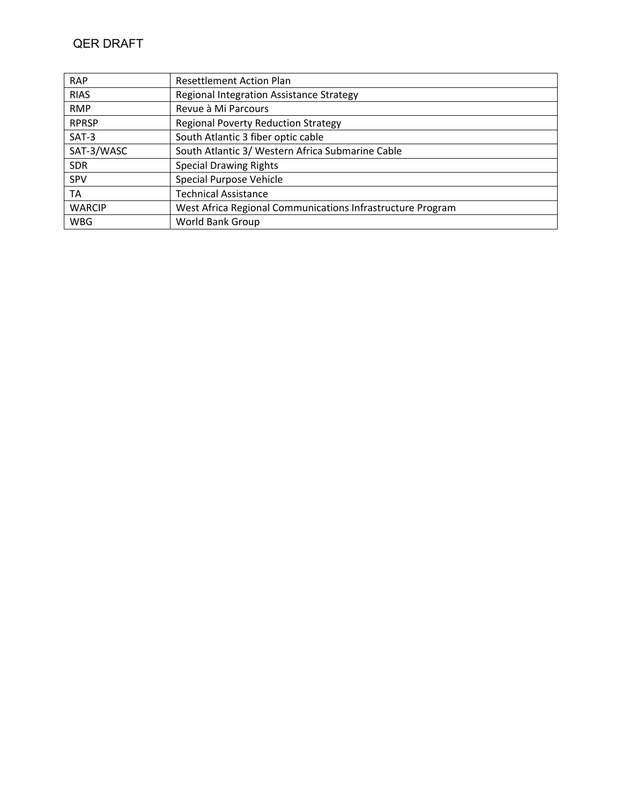| <b>RAP</b>    | <b>Resettlement Action Plan</b>                            |
|---------------|------------------------------------------------------------|
| <b>RIAS</b>   | Regional Integration Assistance Strategy                   |
| <b>RMP</b>    | Revue à Mi Parcours                                        |
| <b>RPRSP</b>  | <b>Regional Poverty Reduction Strategy</b>                 |
| $SAT-3$       | South Atlantic 3 fiber optic cable                         |
| SAT-3/WASC    | South Atlantic 3/ Western Africa Submarine Cable           |
| <b>SDR</b>    | <b>Special Drawing Rights</b>                              |
| <b>SPV</b>    | Special Purpose Vehicle                                    |
| TA            | <b>Technical Assistance</b>                                |
| <b>WARCIP</b> | West Africa Regional Communications Infrastructure Program |
| <b>WBG</b>    | <b>World Bank Group</b>                                    |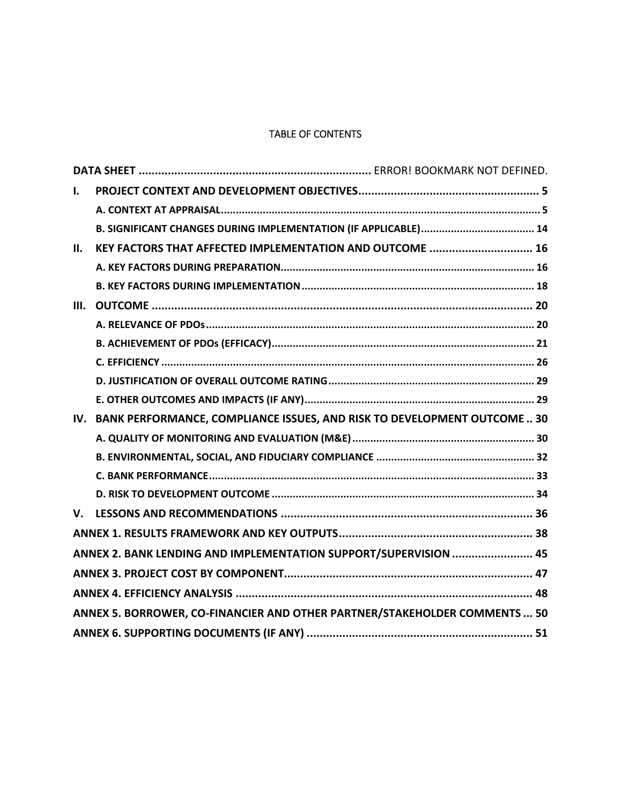# TABLE OF CONTENTS

| $\mathbf{I}$ . |                                                                            |  |
|----------------|----------------------------------------------------------------------------|--|
|                |                                                                            |  |
|                |                                                                            |  |
| II.            | KEY FACTORS THAT AFFECTED IMPLEMENTATION AND OUTCOME  16                   |  |
|                |                                                                            |  |
|                |                                                                            |  |
| III.           |                                                                            |  |
|                |                                                                            |  |
|                |                                                                            |  |
|                |                                                                            |  |
|                |                                                                            |  |
|                |                                                                            |  |
| IV.            | BANK PERFORMANCE, COMPLIANCE ISSUES, AND RISK TO DEVELOPMENT OUTCOME  30   |  |
|                |                                                                            |  |
|                |                                                                            |  |
|                |                                                                            |  |
|                |                                                                            |  |
| V.             |                                                                            |  |
|                |                                                                            |  |
|                | ANNEX 2. BANK LENDING AND IMPLEMENTATION SUPPORT/SUPERVISION  45           |  |
|                |                                                                            |  |
|                |                                                                            |  |
|                | ANNEX 5. BORROWER, CO-FINANCIER AND OTHER PARTNER/STAKEHOLDER COMMENTS  50 |  |
|                |                                                                            |  |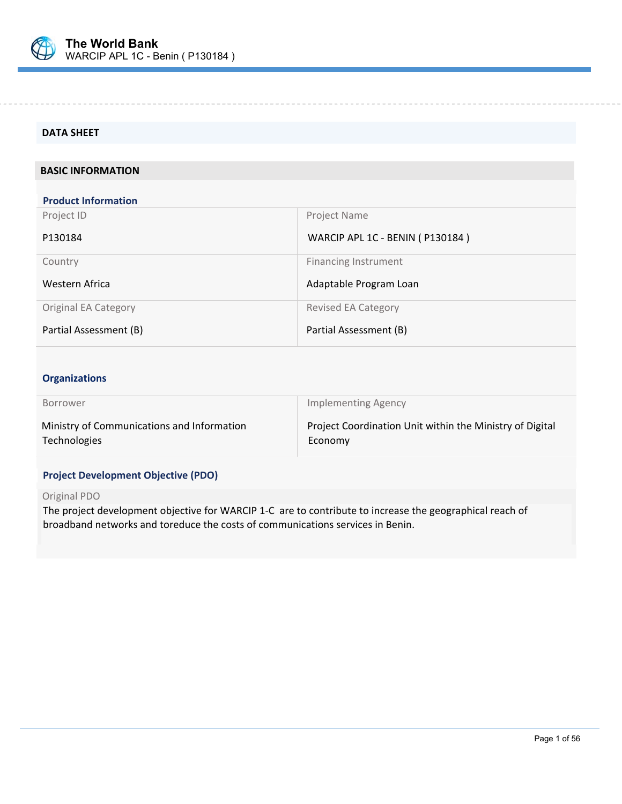

 $\overline{a}$ 

#### **DATA SHEET**

#### **BASIC INFORMATION**

| <b>Product Information</b>  |                                   |
|-----------------------------|-----------------------------------|
| Project ID                  | Project Name                      |
| P130184                     | WARCIP APL 1C - BENIN ( P130184 ) |
| Country                     | <b>Financing Instrument</b>       |
| Western Africa              | Adaptable Program Loan            |
| <b>Original EA Category</b> | <b>Revised EA Category</b>        |
| Partial Assessment (B)      | Partial Assessment (B)            |

## **Organizations**

| <b>Borrower</b>                            | <b>Implementing Agency</b>                               |
|--------------------------------------------|----------------------------------------------------------|
| Ministry of Communications and Information | Project Coordination Unit within the Ministry of Digital |
| Technologies                               | Economy                                                  |

## **Project Development Objective (PDO)**

#### Original PDO

The project development objective for WARCIP 1‐C are to contribute to increase the geographical reach of broadband networks and toreduce the costs of communications services in Benin.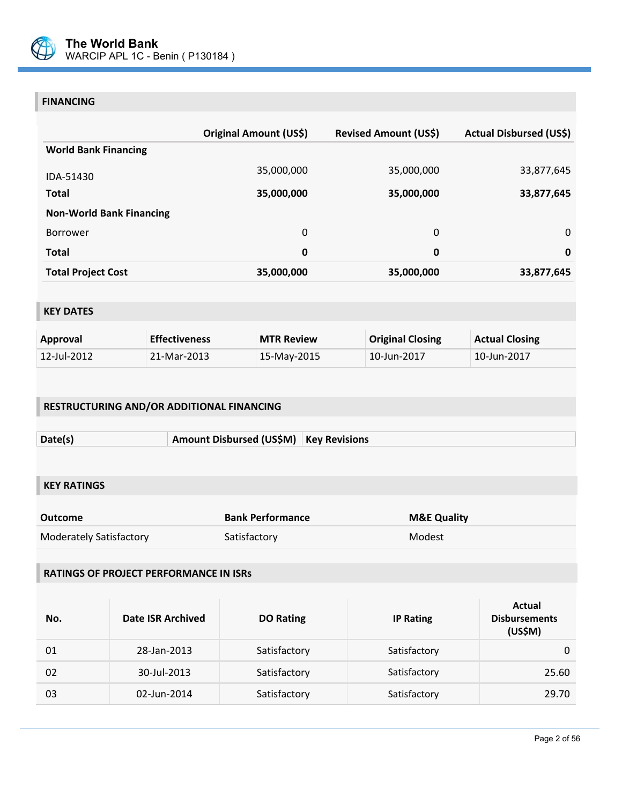

# **FINANCING**

|                                 | Original Amount (US\$) | <b>Revised Amount (US\$)</b> | <b>Actual Disbursed (US\$)</b> |
|---------------------------------|------------------------|------------------------------|--------------------------------|
| <b>World Bank Financing</b>     |                        |                              |                                |
| IDA-51430                       | 35,000,000             | 35,000,000                   | 33,877,645                     |
| <b>Total</b>                    | 35,000,000             | 35,000,000                   | 33,877,645                     |
| <b>Non-World Bank Financing</b> |                        |                              |                                |
| <b>Borrower</b>                 | 0                      | 0                            | 0                              |
| <b>Total</b>                    | 0                      | 0                            | $\mathbf 0$                    |
| <b>Total Project Cost</b>       | 35,000,000             | 35,000,000                   | 33,877,645                     |

# **KEY DATES**

| Approval    | <b>Effectiveness</b> | <b>MTR Review</b> | <b>Original Closing</b> | <b>Actual Closing</b> |
|-------------|----------------------|-------------------|-------------------------|-----------------------|
| 12-Jul-2012 | 21-Mar-2013          | 15-May-2015       | 10-Jun-2017             | 10-Jun-2017           |

# **RESTRUCTURING AND/OR ADDITIONAL FINANCING**

| Date(s) | Amount Disbursed (US\$M)   Key Revisions |  |
|---------|------------------------------------------|--|

# **KEY RATINGS**

| Outcome                 | <b>Bank Performance</b> | <b>M&amp;E Quality</b> |
|-------------------------|-------------------------|------------------------|
| Moderately Satisfactory | Satisfactory            | Modest                 |

# **RATINGS OF PROJECT PERFORMANCE IN ISRs**

| No. | <b>Date ISR Archived</b> | <b>DO Rating</b> | <b>IP Rating</b> | Actual<br><b>Disbursements</b><br>(US\$M) |
|-----|--------------------------|------------------|------------------|-------------------------------------------|
| 01  | 28-Jan-2013              | Satisfactory     | Satisfactory     |                                           |
| 02  | 30-Jul-2013              | Satisfactory     | Satisfactory     | 25.60                                     |
| 03  | 02-Jun-2014              | Satisfactory     | Satisfactory     | 29.70                                     |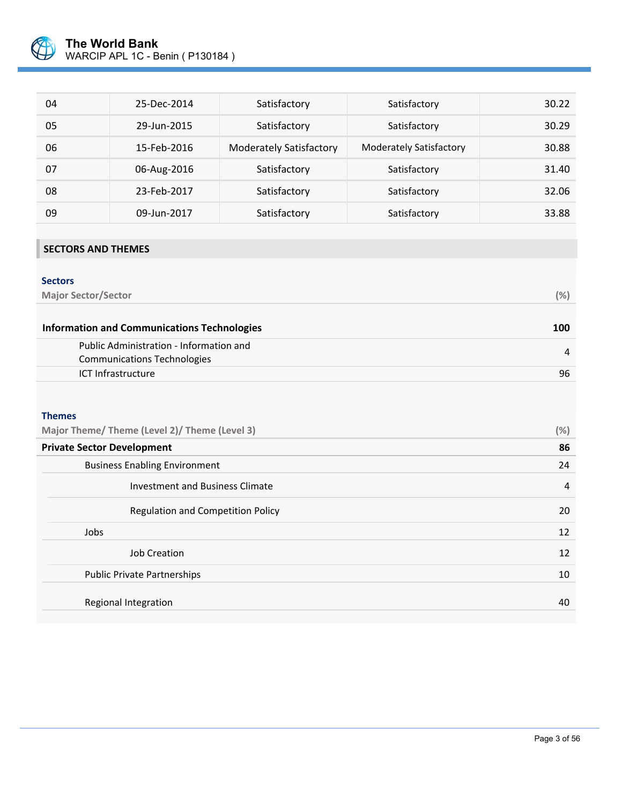

| 04 | 25-Dec-2014 | Satisfactory                   | Satisfactory                   | 30.22 |
|----|-------------|--------------------------------|--------------------------------|-------|
| 05 | 29-Jun-2015 | Satisfactory                   | Satisfactory                   | 30.29 |
| 06 | 15-Feb-2016 | <b>Moderately Satisfactory</b> | <b>Moderately Satisfactory</b> | 30.88 |
| 07 | 06-Aug-2016 | Satisfactory                   | Satisfactory                   | 31.40 |
| 08 | 23-Feb-2017 | Satisfactory                   | Satisfactory                   | 32.06 |
| 09 | 09-Jun-2017 | Satisfactory                   | Satisfactory                   | 33.88 |

# **SECTORS AND THEMES**

# **Sectors Major Sector/Sector (%) Information and Communications Technologies 100**

| Public Administration - Information and |    |
|-----------------------------------------|----|
| Communications Technologies             |    |
| ICT Infrastructure                      | 96 |

#### **Themes**

| Major Theme/ Theme (Level 2)/ Theme (Level 3) |    |
|-----------------------------------------------|----|
| <b>Private Sector Development</b>             | 86 |
| <b>Business Enabling Environment</b>          | 24 |
| Investment and Business Climate               | 4  |
| <b>Regulation and Competition Policy</b>      | 20 |
| Jobs                                          | 12 |
| <b>Job Creation</b>                           | 12 |
| <b>Public Private Partnerships</b>            | 10 |
| Regional Integration                          | 40 |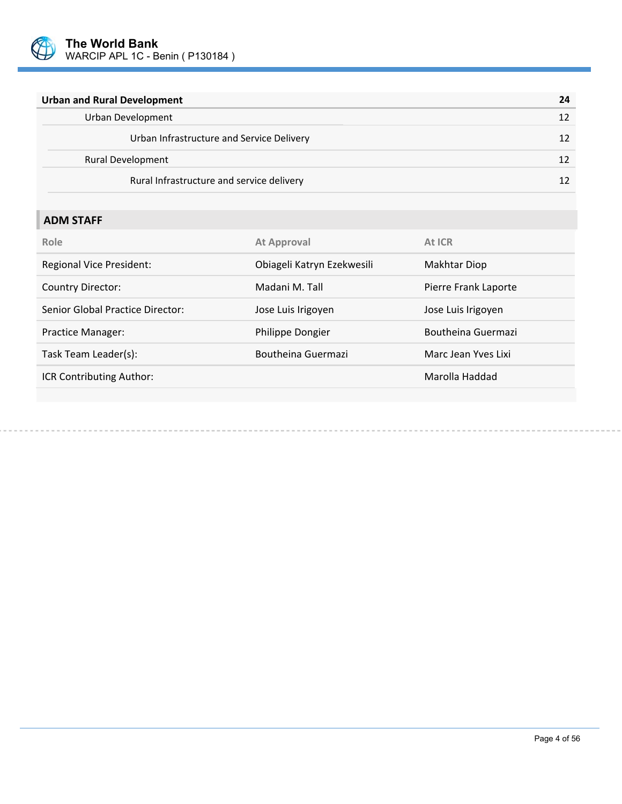

| <b>Urban and Rural Development</b>        | 24 |
|-------------------------------------------|----|
| Urban Development                         |    |
| Urban Infrastructure and Service Delivery |    |
| <b>Rural Development</b>                  |    |
| Rural Infrastructure and service delivery |    |

# **ADM STAFF**

| Role                             | <b>At Approval</b>         | At ICR               |
|----------------------------------|----------------------------|----------------------|
| <b>Regional Vice President:</b>  | Obiageli Katryn Ezekwesili | Makhtar Diop         |
| <b>Country Director:</b>         | Madani M. Tall             | Pierre Frank Laporte |
| Senior Global Practice Director: | Jose Luis Irigoyen         | Jose Luis Irigoyen   |
| Practice Manager:                | Philippe Dongier           | Boutheina Guermazi   |
| Task Team Leader(s):             | Boutheina Guermazi         | Marc Jean Yves Lixi  |
| ICR Contributing Author:         |                            | Marolla Haddad       |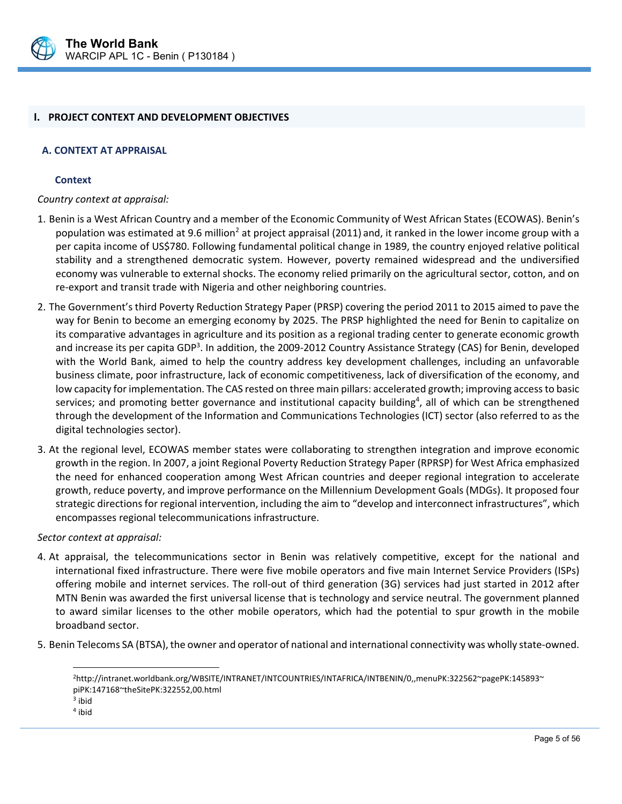

#### **I. PROJECT CONTEXT AND DEVELOPMENT OBJECTIVES**

#### **A. CONTEXT AT APPRAISAL**

#### **Context**

*Country context at appraisal:* 

- 1. Benin is a West African Country and a member of the Economic Community of West African States (ECOWAS). Benin's population was estimated at 9.6 million<sup>2</sup> at project appraisal (2011) and, it ranked in the lower income group with a per capita income of US\$780. Following fundamental political change in 1989, the country enjoyed relative political stability and a strengthened democratic system. However, poverty remained widespread and the undiversified economy was vulnerable to external shocks. The economy relied primarily on the agricultural sector, cotton, and on re‐export and transit trade with Nigeria and other neighboring countries.
- 2. The Government's third Poverty Reduction Strategy Paper (PRSP) covering the period 2011 to 2015 aimed to pave the way for Benin to become an emerging economy by 2025. The PRSP highlighted the need for Benin to capitalize on its comparative advantages in agriculture and its position as a regional trading center to generate economic growth and increase its per capita GDP<sup>3</sup>. In addition, the 2009-2012 Country Assistance Strategy (CAS) for Benin, developed with the World Bank, aimed to help the country address key development challenges, including an unfavorable business climate, poor infrastructure, lack of economic competitiveness, lack of diversification of the economy, and low capacity for implementation. The CAS rested on three main pillars: accelerated growth; improving access to basic services; and promoting better governance and institutional capacity building<sup>4</sup>, all of which can be strengthened through the development of the Information and Communications Technologies (ICT) sector (also referred to as the digital technologies sector).
- 3. At the regional level, ECOWAS member states were collaborating to strengthen integration and improve economic growth in the region. In 2007, a joint Regional Poverty Reduction Strategy Paper (RPRSP) for West Africa emphasized the need for enhanced cooperation among West African countries and deeper regional integration to accelerate growth, reduce poverty, and improve performance on the Millennium Development Goals (MDGs). It proposed four strategic directions for regional intervention, including the aim to "develop and interconnect infrastructures", which encompasses regional telecommunications infrastructure.

#### *Sector context at appraisal:*

- 4. At appraisal, the telecommunications sector in Benin was relatively competitive, except for the national and international fixed infrastructure. There were five mobile operators and five main Internet Service Providers (ISPs) offering mobile and internet services. The roll‐out of third generation (3G) services had just started in 2012 after MTN Benin was awarded the first universal license that is technology and service neutral. The government planned to award similar licenses to the other mobile operators, which had the potential to spur growth in the mobile broadband sector.
- 5. Benin Telecoms SA (BTSA), the owner and operator of national and international connectivity was wholly state‐owned.

 $\overline{a}$ 

<sup>2</sup>http://intranet.worldbank.org/WBSITE/INTRANET/INTCOUNTRIES/INTAFRICA/INTBENIN/0,,menuPK:322562~pagePK:145893~ piPK:147168~theSitePK:322552,00.html

<sup>3</sup> ibid

<sup>4</sup> ibid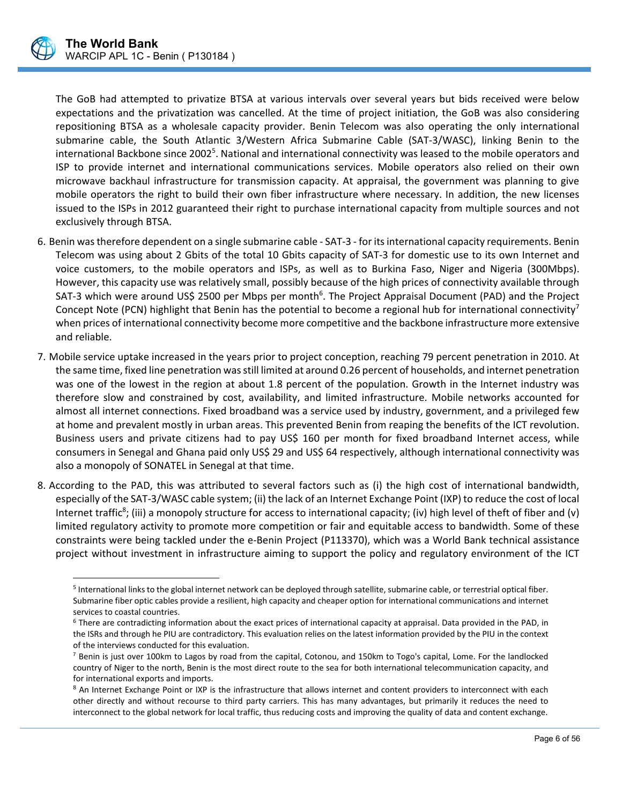

 $\overline{a}$ 

The GoB had attempted to privatize BTSA at various intervals over several years but bids received were below expectations and the privatization was cancelled. At the time of project initiation, the GoB was also considering repositioning BTSA as a wholesale capacity provider. Benin Telecom was also operating the only international submarine cable, the South Atlantic 3/Western Africa Submarine Cable (SAT‐3/WASC), linking Benin to the international Backbone since 2002<sup>5</sup>. National and international connectivity was leased to the mobile operators and ISP to provide internet and international communications services. Mobile operators also relied on their own microwave backhaul infrastructure for transmission capacity. At appraisal, the government was planning to give mobile operators the right to build their own fiber infrastructure where necessary. In addition, the new licenses issued to the ISPs in 2012 guaranteed their right to purchase international capacity from multiple sources and not exclusively through BTSA.

- 6. Benin was therefore dependent on a single submarine cable ‐ SAT‐3 ‐ for its international capacity requirements. Benin Telecom was using about 2 Gbits of the total 10 Gbits capacity of SAT‐3 for domestic use to its own Internet and voice customers, to the mobile operators and ISPs, as well as to Burkina Faso, Niger and Nigeria (300Mbps). However, this capacity use was relatively small, possibly because of the high prices of connectivity available through SAT-3 which were around US\$ 2500 per Mbps per month<sup>6</sup>. The Project Appraisal Document (PAD) and the Project Concept Note (PCN) highlight that Benin has the potential to become a regional hub for international connectivity<sup>7</sup> when prices of international connectivity become more competitive and the backbone infrastructure more extensive and reliable.
- 7. Mobile service uptake increased in the years prior to project conception, reaching 79 percent penetration in 2010. At the same time, fixed line penetration was still limited at around 0.26 percent of households, and internet penetration was one of the lowest in the region at about 1.8 percent of the population. Growth in the Internet industry was therefore slow and constrained by cost, availability, and limited infrastructure. Mobile networks accounted for almost all internet connections. Fixed broadband was a service used by industry, government, and a privileged few at home and prevalent mostly in urban areas. This prevented Benin from reaping the benefits of the ICT revolution. Business users and private citizens had to pay US\$ 160 per month for fixed broadband Internet access, while consumers in Senegal and Ghana paid only US\$ 29 and US\$ 64 respectively, although international connectivity was also a monopoly of SONATEL in Senegal at that time.
- 8. According to the PAD, this was attributed to several factors such as (i) the high cost of international bandwidth, especially of the SAT‐3/WASC cable system; (ii) the lack of an Internet Exchange Point (IXP) to reduce the cost of local Internet traffic<sup>8</sup>; (iii) a monopoly structure for access to international capacity; (iv) high level of theft of fiber and (v) limited regulatory activity to promote more competition or fair and equitable access to bandwidth. Some of these constraints were being tackled under the e‐Benin Project (P113370), which was a World Bank technical assistance project without investment in infrastructure aiming to support the policy and regulatory environment of the ICT

<sup>5</sup> International links to the global internet network can be deployed through satellite, submarine cable, or terrestrial optical fiber. Submarine fiber optic cables provide a resilient, high capacity and cheaper option for international communications and internet services to coastal countries.

<sup>6</sup> There are contradicting information about the exact prices of international capacity at appraisal. Data provided in the PAD, in the ISRs and through he PIU are contradictory. This evaluation relies on the latest information provided by the PIU in the context of the interviews conducted for this evaluation.

 $<sup>7</sup>$  Benin is just over 100km to Lagos by road from the capital, Cotonou, and 150km to Togo's capital, Lome. For the landlocked</sup> country of Niger to the north, Benin is the most direct route to the sea for both international telecommunication capacity, and for international exports and imports.

<sup>&</sup>lt;sup>8</sup> An Internet Exchange Point or IXP is the infrastructure that allows internet and content providers to interconnect with each other directly and without recourse to third party carriers. This has many advantages, but primarily it reduces the need to interconnect to the global network for local traffic, thus reducing costs and improving the quality of data and content exchange.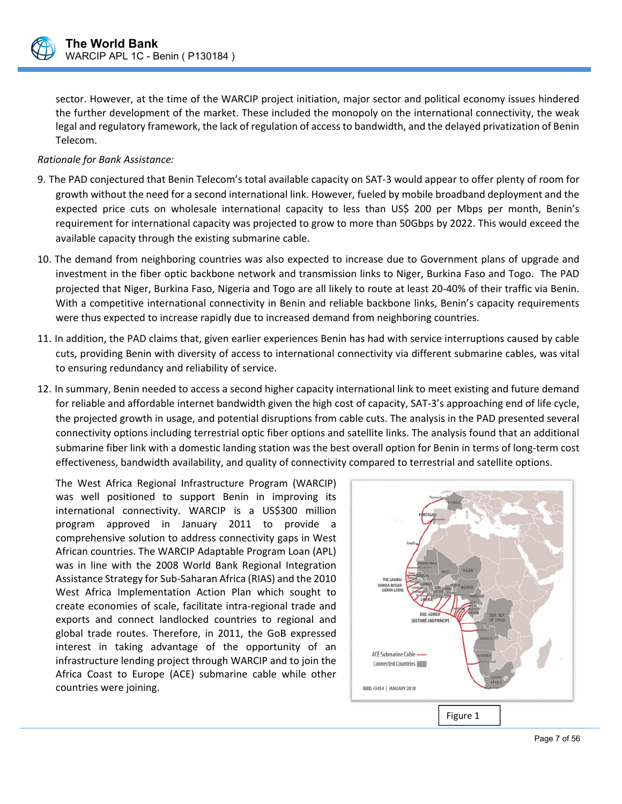

sector. However, at the time of the WARCIP project initiation, major sector and political economy issues hindered the further development of the market. These included the monopoly on the international connectivity, the weak legal and regulatory framework, the lack of regulation of access to bandwidth, and the delayed privatization of Benin Telecom.

#### *Rationale for Bank Assistance:*

- 9. The PAD conjectured that Benin Telecom's total available capacity on SAT‐3 would appear to offer plenty of room for growth without the need for a second international link. However, fueled by mobile broadband deployment and the expected price cuts on wholesale international capacity to less than US\$ 200 per Mbps per month, Benin's requirement for international capacity was projected to grow to more than 50Gbps by 2022. This would exceed the available capacity through the existing submarine cable.
- 10. The demand from neighboring countries was also expected to increase due to Government plans of upgrade and investment in the fiber optic backbone network and transmission links to Niger, Burkina Faso and Togo. The PAD projected that Niger, Burkina Faso, Nigeria and Togo are all likely to route at least 20‐40% of their traffic via Benin. With a competitive international connectivity in Benin and reliable backbone links, Benin's capacity requirements were thus expected to increase rapidly due to increased demand from neighboring countries.
- 11. In addition, the PAD claims that, given earlier experiences Benin has had with service interruptions caused by cable cuts, providing Benin with diversity of access to international connectivity via different submarine cables, was vital to ensuring redundancy and reliability of service.
- 12. In summary, Benin needed to access a second higher capacity international link to meet existing and future demand for reliable and affordable internet bandwidth given the high cost of capacity, SAT‐3's approaching end of life cycle, the projected growth in usage, and potential disruptions from cable cuts. The analysis in the PAD presented several connectivity options including terrestrial optic fiber options and satellite links. The analysis found that an additional submarine fiber link with a domestic landing station was the best overall option for Benin in terms of long-term cost effectiveness, bandwidth availability, and quality of connectivity compared to terrestrial and satellite options.

 $\overline{a}$ 

The West Africa Regional Infrastructure Program (WARCIP) was well positioned to support Benin in improving its international connectivity. WARCIP is a US\$300 million program approved in January 2011 to provide a comprehensive solution to address connectivity gaps in West African countries. The WARCIP Adaptable Program Loan (APL) was in line with the 2008 World Bank Regional Integration Assistance Strategy for Sub‐Saharan Africa (RIAS) and the 2010 West Africa Implementation Action Plan which sought to create economies of scale, facilitate intra‐regional trade and exports and connect landlocked countries to regional and global trade routes. Therefore, in 2011, the GoB expressed interest in taking advantage of the opportunity of an infrastructure lending project through WARCIP and to join the Africa Coast to Europe (ACE) submarine cable while other countries were joining.

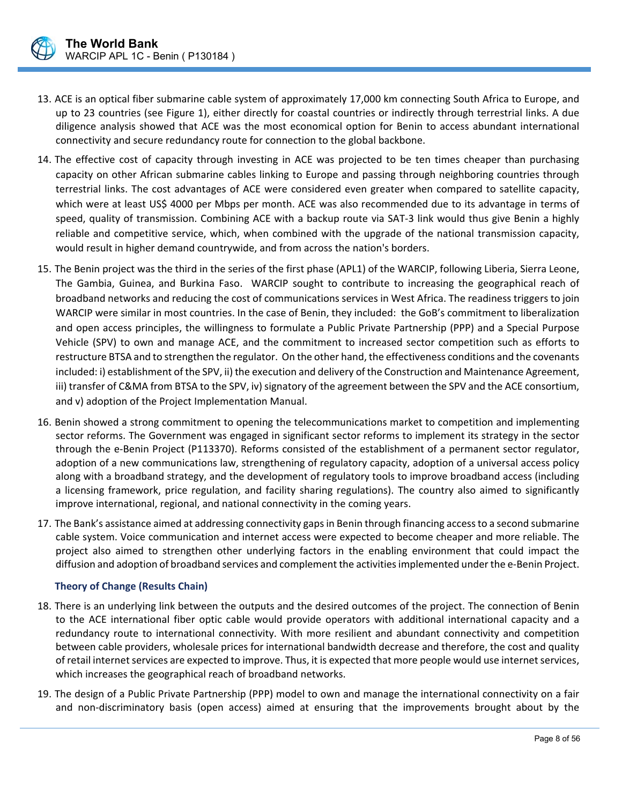- 13. ACE is an optical fiber submarine cable system of approximately 17,000 km connecting South Africa to Europe, and up to 23 countries (see Figure 1), either directly for coastal countries or indirectly through terrestrial links. A due diligence analysis showed that ACE was the most economical option for Benin to access abundant international connectivity and secure redundancy route for connection to the global backbone.
- 14. The effective cost of capacity through investing in ACE was projected to be ten times cheaper than purchasing capacity on other African submarine cables linking to Europe and passing through neighboring countries through terrestrial links. The cost advantages of ACE were considered even greater when compared to satellite capacity, which were at least US\$ 4000 per Mbps per month. ACE was also recommended due to its advantage in terms of speed, quality of transmission. Combining ACE with a backup route via SAT-3 link would thus give Benin a highly reliable and competitive service, which, when combined with the upgrade of the national transmission capacity, would result in higher demand countrywide, and from across the nation's borders.
- 15. The Benin project was the third in the series of the first phase (APL1) of the WARCIP, following Liberia, Sierra Leone, The Gambia, Guinea, and Burkina Faso. WARCIP sought to contribute to increasing the geographical reach of broadband networks and reducing the cost of communications services in West Africa. The readiness triggers to join WARCIP were similar in most countries. In the case of Benin, they included: the GoB's commitment to liberalization and open access principles, the willingness to formulate a Public Private Partnership (PPP) and a Special Purpose Vehicle (SPV) to own and manage ACE, and the commitment to increased sector competition such as efforts to restructure BTSA and to strengthen the regulator. On the other hand, the effectiveness conditions and the covenants included: i) establishment of the SPV, ii) the execution and delivery of the Construction and Maintenance Agreement, iii) transfer of C&MA from BTSA to the SPV, iv) signatory of the agreement between the SPV and the ACE consortium, and v) adoption of the Project Implementation Manual.
- 16. Benin showed a strong commitment to opening the telecommunications market to competition and implementing sector reforms. The Government was engaged in significant sector reforms to implement its strategy in the sector through the e‐Benin Project (P113370). Reforms consisted of the establishment of a permanent sector regulator, adoption of a new communications law, strengthening of regulatory capacity, adoption of a universal access policy along with a broadband strategy, and the development of regulatory tools to improve broadband access (including a licensing framework, price regulation, and facility sharing regulations). The country also aimed to significantly improve international, regional, and national connectivity in the coming years.
- 17. The Bank's assistance aimed at addressing connectivity gaps in Benin through financing access to a second submarine cable system. Voice communication and internet access were expected to become cheaper and more reliable. The project also aimed to strengthen other underlying factors in the enabling environment that could impact the diffusion and adoption of broadband services and complement the activities implemented under the e‐Benin Project.

#### **Theory of Change (Results Chain)**

- 18. There is an underlying link between the outputs and the desired outcomes of the project. The connection of Benin to the ACE international fiber optic cable would provide operators with additional international capacity and a redundancy route to international connectivity. With more resilient and abundant connectivity and competition between cable providers, wholesale prices for international bandwidth decrease and therefore, the cost and quality of retail internet services are expected to improve. Thus, it is expected that more people would use internet services, which increases the geographical reach of broadband networks.
- 19. The design of a Public Private Partnership (PPP) model to own and manage the international connectivity on a fair and non-discriminatory basis (open access) aimed at ensuring that the improvements brought about by the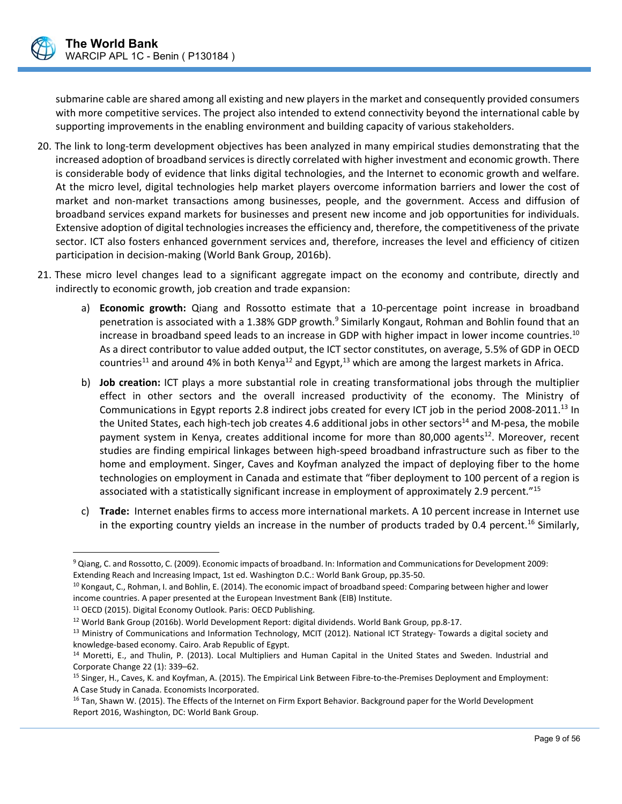submarine cable are shared among all existing and new players in the market and consequently provided consumers with more competitive services. The project also intended to extend connectivity beyond the international cable by supporting improvements in the enabling environment and building capacity of various stakeholders.

- 20. The link to long‐term development objectives has been analyzed in many empirical studies demonstrating that the increased adoption of broadband services is directly correlated with higher investment and economic growth. There is considerable body of evidence that links digital technologies, and the Internet to economic growth and welfare. At the micro level, digital technologies help market players overcome information barriers and lower the cost of market and non-market transactions among businesses, people, and the government. Access and diffusion of broadband services expand markets for businesses and present new income and job opportunities for individuals. Extensive adoption of digital technologies increases the efficiency and, therefore, the competitiveness of the private sector. ICT also fosters enhanced government services and, therefore, increases the level and efficiency of citizen participation in decision‐making (World Bank Group, 2016b).
- 21. These micro level changes lead to a significant aggregate impact on the economy and contribute, directly and indirectly to economic growth, job creation and trade expansion:
	- a) **Economic growth:** Qiang and Rossotto estimate that a 10-percentage point increase in broadband penetration is associated with a 1.38% GDP growth.<sup>9</sup> Similarly Kongaut, Rohman and Bohlin found that an increase in broadband speed leads to an increase in GDP with higher impact in lower income countries.<sup>10</sup> As a direct contributor to value added output, the ICT sector constitutes, on average, 5.5% of GDP in OECD countries<sup>11</sup> and around 4% in both Kenya<sup>12</sup> and Egypt,<sup>13</sup> which are among the largest markets in Africa.
	- b) **Job creation:** ICT plays a more substantial role in creating transformational jobs through the multiplier effect in other sectors and the overall increased productivity of the economy. The Ministry of Communications in Egypt reports 2.8 indirect jobs created for every ICT job in the period 2008-2011.<sup>13</sup> In the United States, each high-tech job creates 4.6 additional jobs in other sectors<sup>14</sup> and M-pesa, the mobile payment system in Kenya, creates additional income for more than 80,000 agents<sup>12</sup>. Moreover, recent studies are finding empirical linkages between high‐speed broadband infrastructure such as fiber to the home and employment. Singer, Caves and Koyfman analyzed the impact of deploying fiber to the home technologies on employment in Canada and estimate that "fiber deployment to 100 percent of a region is associated with a statistically significant increase in employment of approximately 2.9 percent."15
	- c) **Trade:** Internet enables firms to access more international markets. A 10 percent increase in Internet use in the exporting country yields an increase in the number of products traded by 0.4 percent.<sup>16</sup> Similarly,

 $\overline{a}$ 

<sup>9</sup> Qiang, C. and Rossotto, C. (2009). Economic impacts of broadband. In: Information and Communications for Development 2009: Extending Reach and Increasing Impact, 1st ed. Washington D.C.: World Bank Group, pp.35‐50.

<sup>&</sup>lt;sup>10</sup> Kongaut, C., Rohman, I. and Bohlin, E. (2014). The economic impact of broadband speed: Comparing between higher and lower income countries. A paper presented at the European Investment Bank (EIB) Institute.

<sup>&</sup>lt;sup>11</sup> OECD (2015). Digital Economy Outlook. Paris: OECD Publishing.

<sup>12</sup> World Bank Group (2016b). World Development Report: digital dividends. World Bank Group, pp.8‐17.

<sup>13</sup> Ministry of Communications and Information Technology, MCIT (2012). National ICT Strategy- Towards a digital society and knowledge‐based economy. Cairo. Arab Republic of Egypt.

<sup>&</sup>lt;sup>14</sup> Moretti, E., and Thulin, P. (2013). Local Multipliers and Human Capital in the United States and Sweden. Industrial and Corporate Change 22 (1): 339–62.

<sup>&</sup>lt;sup>15</sup> Singer, H., Caves, K. and Koyfman, A. (2015). The Empirical Link Between Fibre-to-the-Premises Deployment and Employment: A Case Study in Canada. Economists Incorporated.

<sup>&</sup>lt;sup>16</sup> Tan, Shawn W. (2015). The Effects of the Internet on Firm Export Behavior. Background paper for the World Development Report 2016, Washington, DC: World Bank Group.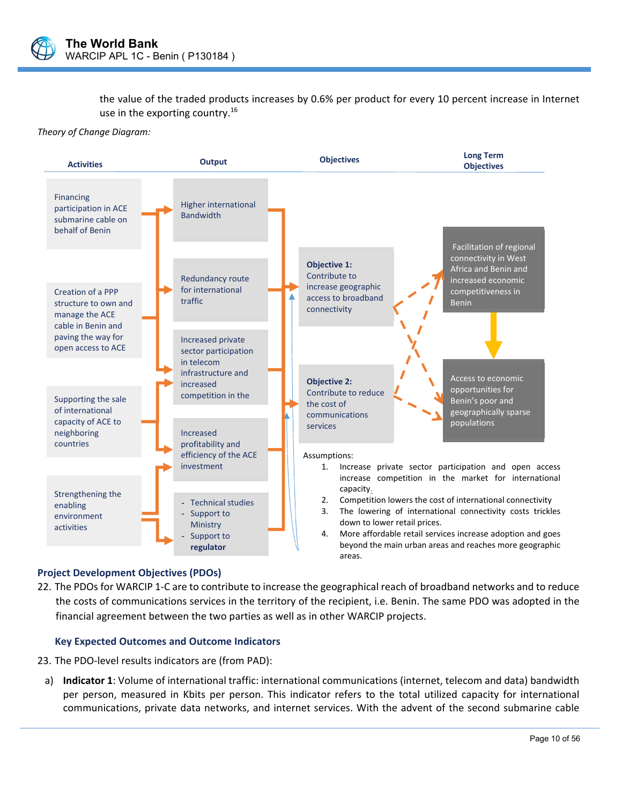

the value of the traded products increases by 0.6% per product for every 10 percent increase in Internet use in the exporting country. $16$ 

*Theory of Change Diagram:* 



#### **Project Development Objectives (PDOs)**

22. The PDOs for WARCIP 1‐C are to contribute to increase the geographical reach of broadband networks and to reduce the costs of communications services in the territory of the recipient, i.e. Benin. The same PDO was adopted in the financial agreement between the two parties as well as in other WARCIP projects.

#### **Key Expected Outcomes and Outcome Indicators**

- 23. The PDO‐level results indicators are (from PAD):
- a) **Indicator 1**: Volume of international traffic: international communications (internet, telecom and data) bandwidth per person, measured in Kbits per person. This indicator refers to the total utilized capacity for international communications, private data networks, and internet services. With the advent of the second submarine cable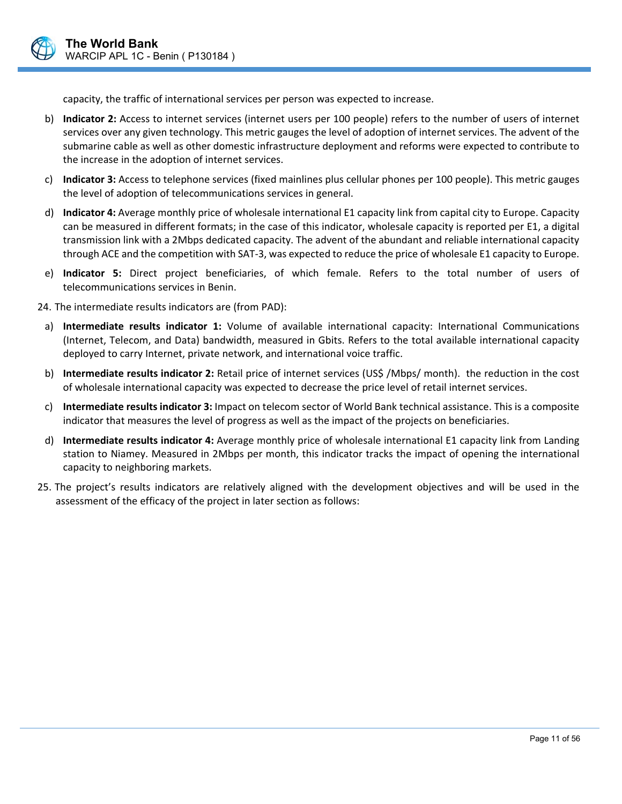

capacity, the traffic of international services per person was expected to increase.

- b) **Indicator 2:** Access to internet services (internet users per 100 people) refers to the number of users of internet services over any given technology. This metric gauges the level of adoption of internet services. The advent of the submarine cable as well as other domestic infrastructure deployment and reforms were expected to contribute to the increase in the adoption of internet services.
- c) **Indicator 3:** Access to telephone services (fixed mainlines plus cellular phones per 100 people). This metric gauges the level of adoption of telecommunications services in general.
- d) **Indicator 4:** Average monthly price of wholesale international E1 capacity link from capital city to Europe. Capacity can be measured in different formats; in the case of this indicator, wholesale capacity is reported per E1, a digital transmission link with a 2Mbps dedicated capacity. The advent of the abundant and reliable international capacity through ACE and the competition with SAT‐3, was expected to reduce the price of wholesale E1 capacity to Europe.
- e) **Indicator 5:** Direct project beneficiaries, of which female. Refers to the total number of users of telecommunications services in Benin.

24. The intermediate results indicators are (from PAD):

- a) **Intermediate results indicator 1:** Volume of available international capacity: International Communications (Internet, Telecom, and Data) bandwidth, measured in Gbits. Refers to the total available international capacity deployed to carry Internet, private network, and international voice traffic.
- b) **Intermediate results indicator 2:** Retail price of internet services (US\$ /Mbps/ month). the reduction in the cost of wholesale international capacity was expected to decrease the price level of retail internet services.
- c) **Intermediate results indicator 3:** Impact on telecom sector of World Bank technical assistance. This is a composite indicator that measures the level of progress as well as the impact of the projects on beneficiaries.
- d) **Intermediate results indicator 4:** Average monthly price of wholesale international E1 capacity link from Landing station to Niamey. Measured in 2Mbps per month, this indicator tracks the impact of opening the international capacity to neighboring markets.
- 25. The project's results indicators are relatively aligned with the development objectives and will be used in the assessment of the efficacy of the project in later section as follows: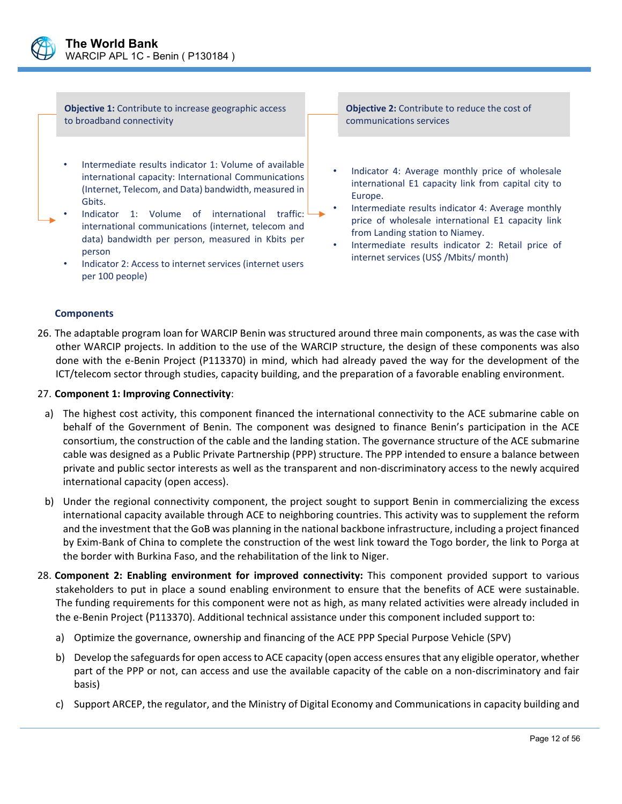

**Objective 1:** Contribute to increase geographic access to broadband connectivity

- Intermediate results indicator 1: Volume of available international capacity: International Communications (Internet, Telecom, and Data) bandwidth, measured in Gbits.
- Indicator 1: Volume of international traffic: international communications (internet, telecom and data) bandwidth per person, measured in Kbits per person
	- Indicator 2: Access to internet services (internet users per 100 people)

**Objective 2:** Contribute to reduce the cost of communications services

- Indicator 4: Average monthly price of wholesale international E1 capacity link from capital city to Europe.
- Intermediate results indicator 4: Average monthly price of wholesale international E1 capacity link from Landing station to Niamey.
- Intermediate results indicator 2: Retail price of internet services (US\$ /Mbits/ month)

#### **Components**

26. The adaptable program loan for WARCIP Benin was structured around three main components, as was the case with other WARCIP projects. In addition to the use of the WARCIP structure, the design of these components was also done with the e‐Benin Project (P113370) in mind, which had already paved the way for the development of the ICT/telecom sector through studies, capacity building, and the preparation of a favorable enabling environment.

#### 27. **Component 1: Improving Connectivity**:

- a) The highest cost activity, this component financed the international connectivity to the ACE submarine cable on behalf of the Government of Benin. The component was designed to finance Benin's participation in the ACE consortium, the construction of the cable and the landing station. The governance structure of the ACE submarine cable was designed as a Public Private Partnership (PPP) structure. The PPP intended to ensure a balance between private and public sector interests as well as the transparent and non‐discriminatory access to the newly acquired international capacity (open access).
- b) Under the regional connectivity component, the project sought to support Benin in commercializing the excess international capacity available through ACE to neighboring countries. This activity was to supplement the reform and the investment that the GoB was planning in the national backbone infrastructure, including a project financed by Exim‐Bank of China to complete the construction of the west link toward the Togo border, the link to Porga at the border with Burkina Faso, and the rehabilitation of the link to Niger.
- 28. **Component 2: Enabling environment for improved connectivity:** This component provided support to various stakeholders to put in place a sound enabling environment to ensure that the benefits of ACE were sustainable. The funding requirements for this component were not as high, as many related activities were already included in the e‐Benin Project (P113370). Additional technical assistance under this component included support to:
	- a) Optimize the governance, ownership and financing of the ACE PPP Special Purpose Vehicle (SPV)
	- b) Develop the safeguards for open access to ACE capacity (open access ensures that any eligible operator, whether part of the PPP or not, can access and use the available capacity of the cable on a non-discriminatory and fair basis)
	- c) Support ARCEP, the regulator, and the Ministry of Digital Economy and Communications in capacity building and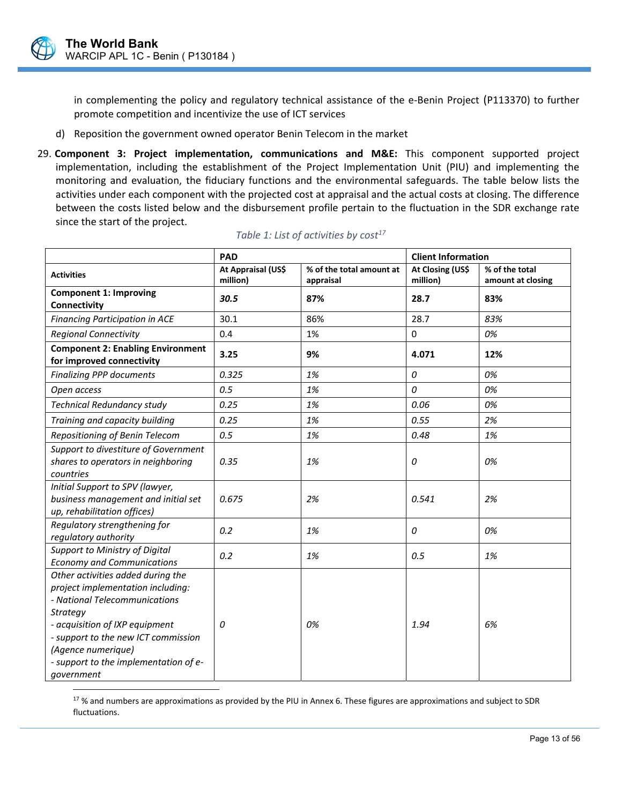$\overline{a}$ 

in complementing the policy and regulatory technical assistance of the e-Benin Project (P113370) to further promote competition and incentivize the use of ICT services

- d) Reposition the government owned operator Benin Telecom in the market
- 29. **Component 3: Project implementation, communications and M&E:** This component supported project implementation, including the establishment of the Project Implementation Unit (PIU) and implementing the monitoring and evaluation, the fiduciary functions and the environmental safeguards. The table below lists the activities under each component with the projected cost at appraisal and the actual costs at closing. The difference between the costs listed below and the disbursement profile pertain to the fluctuation in the SDR exchange rate since the start of the project.

|                                                                                                                                                                                                                                                                                  | PAD                |                          | <b>Client Information</b> |                   |  |
|----------------------------------------------------------------------------------------------------------------------------------------------------------------------------------------------------------------------------------------------------------------------------------|--------------------|--------------------------|---------------------------|-------------------|--|
| <b>Activities</b>                                                                                                                                                                                                                                                                | At Appraisal (US\$ | % of the total amount at | At Closing (US\$          | % of the total    |  |
|                                                                                                                                                                                                                                                                                  | million)           | appraisal                | million)                  | amount at closing |  |
| <b>Component 1: Improving</b><br>Connectivity                                                                                                                                                                                                                                    | 30.5               | 87%                      | 28.7                      | 83%               |  |
| <b>Financing Participation in ACE</b>                                                                                                                                                                                                                                            | 30.1               | 86%                      | 28.7                      | 83%               |  |
| <b>Regional Connectivity</b>                                                                                                                                                                                                                                                     | 0.4                | 1%                       | 0                         | 0%                |  |
| <b>Component 2: Enabling Environment</b><br>for improved connectivity                                                                                                                                                                                                            | 3.25               | 9%                       | 4.071                     | 12%               |  |
| <b>Finalizing PPP documents</b>                                                                                                                                                                                                                                                  | 0.325              | 1%                       | 0                         | 0%                |  |
| Open access                                                                                                                                                                                                                                                                      | 0.5                | 1%                       | 0                         | 0%                |  |
| <b>Technical Redundancy study</b>                                                                                                                                                                                                                                                | 0.25               | 1%                       | 0.06                      | 0%                |  |
| Training and capacity building                                                                                                                                                                                                                                                   | 0.25               | 1%                       | 0.55                      | 2%                |  |
| Repositioning of Benin Telecom                                                                                                                                                                                                                                                   | 0.5                | 1%                       | 0.48                      | 1%                |  |
| Support to divestiture of Government<br>shares to operators in neighboring<br>countries                                                                                                                                                                                          | 0.35               | 1%                       | 0                         | 0%                |  |
| Initial Support to SPV (lawyer,<br>business management and initial set<br>up, rehabilitation offices)                                                                                                                                                                            | 0.675              | 2%                       | 0.541                     | 2%                |  |
| Regulatory strengthening for<br>regulatory authority                                                                                                                                                                                                                             | 0.2                | 1%                       | 0                         | 0%                |  |
| Support to Ministry of Digital<br><b>Economy and Communications</b>                                                                                                                                                                                                              | 0.2                | 1%                       | 0.5                       | 1%                |  |
| Other activities added during the<br>project implementation including:<br>- National Telecommunications<br><b>Strategy</b><br>- acquisition of IXP equipment<br>- support to the new ICT commission<br>(Agence numerique)<br>- support to the implementation of e-<br>government | 0                  | 0%                       | 1.94                      | 6%                |  |

#### Table 1: List of activities by cost<sup>17</sup>

 $17$ % and numbers are approximations as provided by the PIU in Annex 6. These figures are approximations and subject to SDR fluctuations.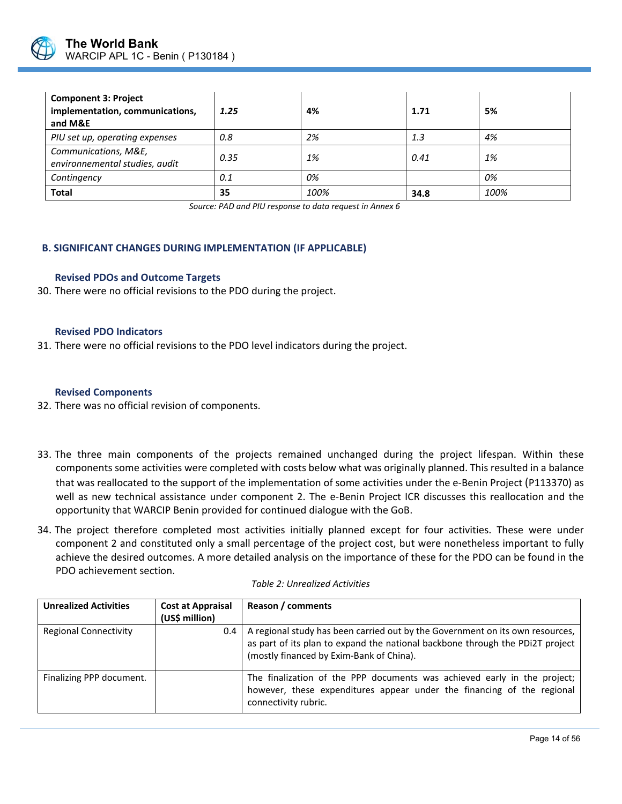

| <b>Component 3: Project</b><br>implementation, communications,<br>and M&E | 1.25 | 4%   | 1.71 | 5%   |
|---------------------------------------------------------------------------|------|------|------|------|
| PIU set up, operating expenses                                            | 0.8  | 2%   | 1.3  | 4%   |
| Communications, M&E,<br>environnemental studies, audit                    | 0.35 | 1%   | 0.41 | 1%   |
| Contingency                                                               | 0.1  | 0%   |      | 0%   |
| <b>Total</b>                                                              | 35   | 100% | 34.8 | 100% |

*Source: PAD and PIU response to data request in Annex 6* 

#### **B. SIGNIFICANT CHANGES DURING IMPLEMENTATION (IF APPLICABLE)**

#### **Revised PDOs and Outcome Targets**

30. There were no official revisions to the PDO during the project.

#### **Revised PDO Indicators**

31. There were no official revisions to the PDO level indicators during the project.

#### **Revised Components**

- 32. There was no official revision of components.
- 33. The three main components of the projects remained unchanged during the project lifespan. Within these components some activities were completed with costs below what was originally planned. This resulted in a balance that was reallocated to the support of the implementation of some activities under the e‐Benin Project (P113370) as well as new technical assistance under component 2. The e-Benin Project ICR discusses this reallocation and the opportunity that WARCIP Benin provided for continued dialogue with the GoB.
- 34. The project therefore completed most activities initially planned except for four activities. These were under component 2 and constituted only a small percentage of the project cost, but were nonetheless important to fully achieve the desired outcomes. A more detailed analysis on the importance of these for the PDO can be found in the PDO achievement section.

| <b>Unrealized Activities</b> | <b>Cost at Appraisal</b><br>(US\$ million) | Reason / comments                                                                                                                                                                                          |
|------------------------------|--------------------------------------------|------------------------------------------------------------------------------------------------------------------------------------------------------------------------------------------------------------|
| <b>Regional Connectivity</b> | 0.4                                        | A regional study has been carried out by the Government on its own resources,<br>as part of its plan to expand the national backbone through the PDi2T project<br>(mostly financed by Exim-Bank of China). |
| Finalizing PPP document.     |                                            | The finalization of the PPP documents was achieved early in the project;<br>however, these expenditures appear under the financing of the regional<br>connectivity rubric.                                 |
|                              |                                            |                                                                                                                                                                                                            |

#### *Table 2: Unrealized Activities*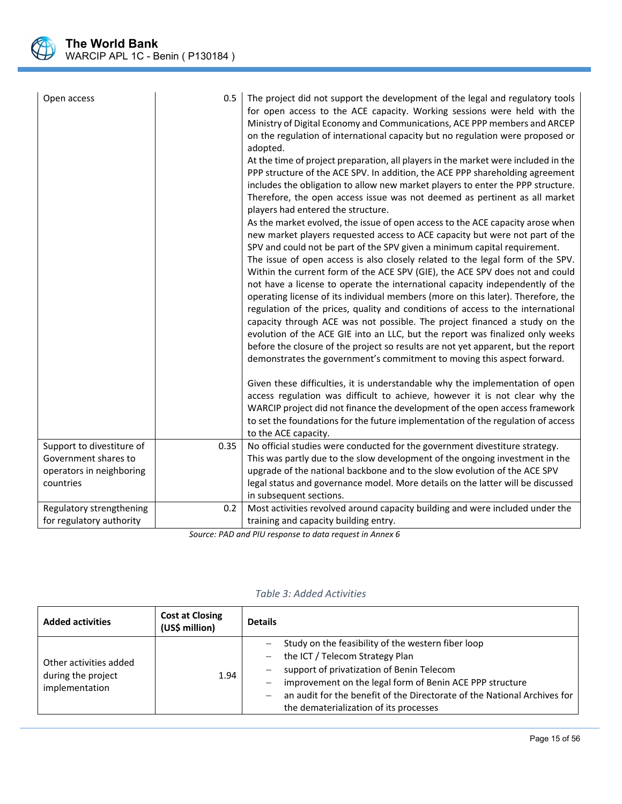

| Open access               | 0.5  | The project did not support the development of the legal and regulatory tools<br>for open access to the ACE capacity. Working sessions were held with the<br>Ministry of Digital Economy and Communications, ACE PPP members and ARCEP<br>on the regulation of international capacity but no regulation were proposed or<br>adopted.<br>At the time of project preparation, all players in the market were included in the<br>PPP structure of the ACE SPV. In addition, the ACE PPP shareholding agreement<br>includes the obligation to allow new market players to enter the PPP structure.<br>Therefore, the open access issue was not deemed as pertinent as all market<br>players had entered the structure.<br>As the market evolved, the issue of open access to the ACE capacity arose when<br>new market players requested access to ACE capacity but were not part of the<br>SPV and could not be part of the SPV given a minimum capital requirement.<br>The issue of open access is also closely related to the legal form of the SPV.<br>Within the current form of the ACE SPV (GIE), the ACE SPV does not and could<br>not have a license to operate the international capacity independently of the<br>operating license of its individual members (more on this later). Therefore, the<br>regulation of the prices, quality and conditions of access to the international<br>capacity through ACE was not possible. The project financed a study on the<br>evolution of the ACE GIE into an LLC, but the report was finalized only weeks<br>before the closure of the project so results are not yet apparent, but the report<br>demonstrates the government's commitment to moving this aspect forward.<br>Given these difficulties, it is understandable why the implementation of open<br>access regulation was difficult to achieve, however it is not clear why the<br>WARCIP project did not finance the development of the open access framework<br>to set the foundations for the future implementation of the regulation of access<br>to the ACE capacity. |
|---------------------------|------|---------------------------------------------------------------------------------------------------------------------------------------------------------------------------------------------------------------------------------------------------------------------------------------------------------------------------------------------------------------------------------------------------------------------------------------------------------------------------------------------------------------------------------------------------------------------------------------------------------------------------------------------------------------------------------------------------------------------------------------------------------------------------------------------------------------------------------------------------------------------------------------------------------------------------------------------------------------------------------------------------------------------------------------------------------------------------------------------------------------------------------------------------------------------------------------------------------------------------------------------------------------------------------------------------------------------------------------------------------------------------------------------------------------------------------------------------------------------------------------------------------------------------------------------------------------------------------------------------------------------------------------------------------------------------------------------------------------------------------------------------------------------------------------------------------------------------------------------------------------------------------------------------------------------------------------------------------------------------------------------------------------------------------------------------------------------------------------|
| Support to divestiture of | 0.35 | No official studies were conducted for the government divestiture strategy.                                                                                                                                                                                                                                                                                                                                                                                                                                                                                                                                                                                                                                                                                                                                                                                                                                                                                                                                                                                                                                                                                                                                                                                                                                                                                                                                                                                                                                                                                                                                                                                                                                                                                                                                                                                                                                                                                                                                                                                                           |
| Government shares to      |      | This was partly due to the slow development of the ongoing investment in the                                                                                                                                                                                                                                                                                                                                                                                                                                                                                                                                                                                                                                                                                                                                                                                                                                                                                                                                                                                                                                                                                                                                                                                                                                                                                                                                                                                                                                                                                                                                                                                                                                                                                                                                                                                                                                                                                                                                                                                                          |
| operators in neighboring  |      | upgrade of the national backbone and to the slow evolution of the ACE SPV                                                                                                                                                                                                                                                                                                                                                                                                                                                                                                                                                                                                                                                                                                                                                                                                                                                                                                                                                                                                                                                                                                                                                                                                                                                                                                                                                                                                                                                                                                                                                                                                                                                                                                                                                                                                                                                                                                                                                                                                             |
| countries                 |      | legal status and governance model. More details on the latter will be discussed                                                                                                                                                                                                                                                                                                                                                                                                                                                                                                                                                                                                                                                                                                                                                                                                                                                                                                                                                                                                                                                                                                                                                                                                                                                                                                                                                                                                                                                                                                                                                                                                                                                                                                                                                                                                                                                                                                                                                                                                       |
|                           |      | in subsequent sections.                                                                                                                                                                                                                                                                                                                                                                                                                                                                                                                                                                                                                                                                                                                                                                                                                                                                                                                                                                                                                                                                                                                                                                                                                                                                                                                                                                                                                                                                                                                                                                                                                                                                                                                                                                                                                                                                                                                                                                                                                                                               |
| Regulatory strengthening  | 0.2  | Most activities revolved around capacity building and were included under the                                                                                                                                                                                                                                                                                                                                                                                                                                                                                                                                                                                                                                                                                                                                                                                                                                                                                                                                                                                                                                                                                                                                                                                                                                                                                                                                                                                                                                                                                                                                                                                                                                                                                                                                                                                                                                                                                                                                                                                                         |
| for regulatory authority  |      | training and capacity building entry.                                                                                                                                                                                                                                                                                                                                                                                                                                                                                                                                                                                                                                                                                                                                                                                                                                                                                                                                                                                                                                                                                                                                                                                                                                                                                                                                                                                                                                                                                                                                                                                                                                                                                                                                                                                                                                                                                                                                                                                                                                                 |

*Source: PAD and PIU response to data request in Annex 6* 

| <b>Added activities</b>                                        | <b>Cost at Closing</b><br>(US\$ million) | <b>Details</b>                                                                                                                                                                                                                                                                                                       |
|----------------------------------------------------------------|------------------------------------------|----------------------------------------------------------------------------------------------------------------------------------------------------------------------------------------------------------------------------------------------------------------------------------------------------------------------|
| Other activities added<br>during the project<br>implementation | 1.94                                     | Study on the feasibility of the western fiber loop<br>the ICT / Telecom Strategy Plan<br>support of privatization of Benin Telecom<br>improvement on the legal form of Benin ACE PPP structure<br>an audit for the benefit of the Directorate of the National Archives for<br>the dematerialization of its processes |

 $\overline{a}$ 

## *Table 3: Added Activities*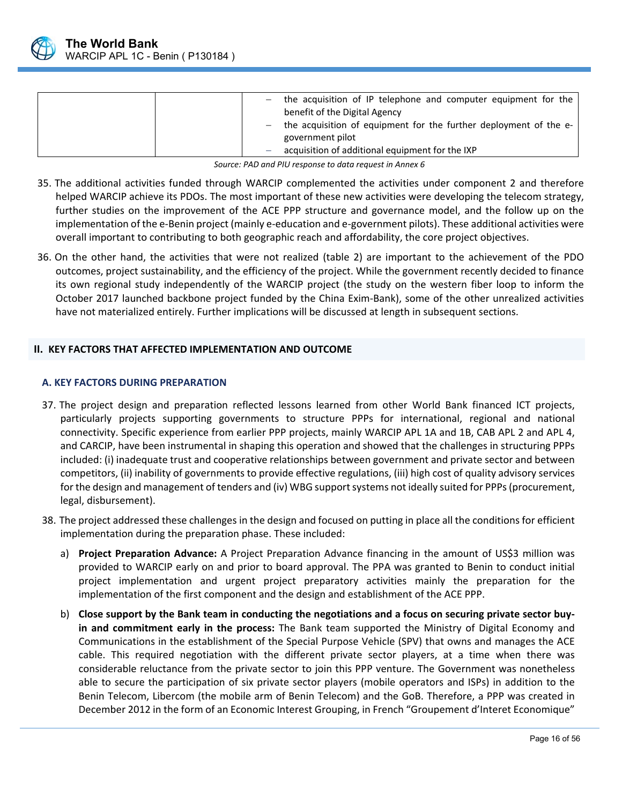

| - the acquisition of IP telephone and computer equipment for the<br>benefit of the Digital Agency |
|---------------------------------------------------------------------------------------------------|
| the acquisition of equipment for the further deployment of the e-                                 |
| government pilot                                                                                  |
| acquisition of additional equipment for the IXP                                                   |

*Source: PAD and PIU response to data request in Annex 6*

- 35. The additional activities funded through WARCIP complemented the activities under component 2 and therefore helped WARCIP achieve its PDOs. The most important of these new activities were developing the telecom strategy, further studies on the improvement of the ACE PPP structure and governance model, and the follow up on the implementation of the e‐Benin project (mainly e‐education and e‐government pilots). These additional activities were overall important to contributing to both geographic reach and affordability, the core project objectives.
- 36. On the other hand, the activities that were not realized (table 2) are important to the achievement of the PDO outcomes, project sustainability, and the efficiency of the project. While the government recently decided to finance its own regional study independently of the WARCIP project (the study on the western fiber loop to inform the October 2017 launched backbone project funded by the China Exim‐Bank), some of the other unrealized activities have not materialized entirely. Further implications will be discussed at length in subsequent sections.

## **II. KEY FACTORS THAT AFFECTED IMPLEMENTATION AND OUTCOME**

#### **A. KEY FACTORS DURING PREPARATION**

- 37. The project design and preparation reflected lessons learned from other World Bank financed ICT projects, particularly projects supporting governments to structure PPPs for international, regional and national connectivity. Specific experience from earlier PPP projects, mainly WARCIP APL 1A and 1B, CAB APL 2 and APL 4, and CARCIP, have been instrumental in shaping this operation and showed that the challenges in structuring PPPs included: (i) inadequate trust and cooperative relationships between government and private sector and between competitors, (ii) inability of governments to provide effective regulations, (iii) high cost of quality advisory services for the design and management of tenders and (iv) WBG support systems not ideally suited for PPPs (procurement, legal, disbursement).
- 38. The project addressed these challenges in the design and focused on putting in place all the conditions for efficient implementation during the preparation phase. These included:
	- a) **Project Preparation Advance:** A Project Preparation Advance financing in the amount of US\$3 million was provided to WARCIP early on and prior to board approval. The PPA was granted to Benin to conduct initial project implementation and urgent project preparatory activities mainly the preparation for the implementation of the first component and the design and establishment of the ACE PPP.
	- b) **Close support by the Bank team in conducting the negotiations and a focus on securing private sector buy‐ in and commitment early in the process:** The Bank team supported the Ministry of Digital Economy and Communications in the establishment of the Special Purpose Vehicle (SPV) that owns and manages the ACE cable. This required negotiation with the different private sector players, at a time when there was considerable reluctance from the private sector to join this PPP venture. The Government was nonetheless able to secure the participation of six private sector players (mobile operators and ISPs) in addition to the Benin Telecom, Libercom (the mobile arm of Benin Telecom) and the GoB. Therefore, a PPP was created in December 2012 in the form of an Economic Interest Grouping, in French "Groupement d'Interet Economique"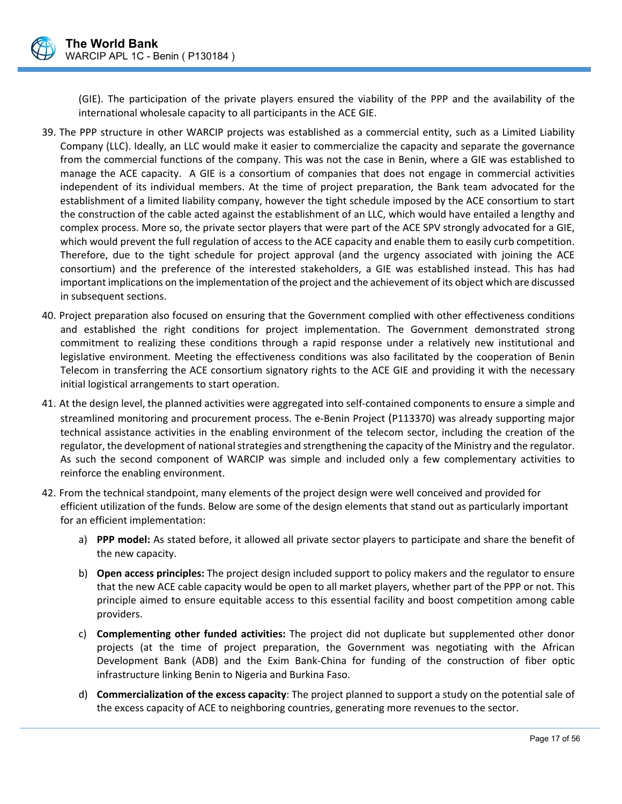(GIE). The participation of the private players ensured the viability of the PPP and the availability of the international wholesale capacity to all participants in the ACE GIE.

- 39. The PPP structure in other WARCIP projects was established as a commercial entity, such as a Limited Liability Company (LLC). Ideally, an LLC would make it easier to commercialize the capacity and separate the governance from the commercial functions of the company. This was not the case in Benin, where a GIE was established to manage the ACE capacity. A GIE is a consortium of companies that does not engage in commercial activities independent of its individual members. At the time of project preparation, the Bank team advocated for the establishment of a limited liability company, however the tight schedule imposed by the ACE consortium to start the construction of the cable acted against the establishment of an LLC, which would have entailed a lengthy and complex process. More so, the private sector players that were part of the ACE SPV strongly advocated for a GIE, which would prevent the full regulation of access to the ACE capacity and enable them to easily curb competition. Therefore, due to the tight schedule for project approval (and the urgency associated with joining the ACE consortium) and the preference of the interested stakeholders, a GIE was established instead. This has had important implications on the implementation of the project and the achievement of its object which are discussed in subsequent sections.
- 40. Project preparation also focused on ensuring that the Government complied with other effectiveness conditions and established the right conditions for project implementation. The Government demonstrated strong commitment to realizing these conditions through a rapid response under a relatively new institutional and legislative environment. Meeting the effectiveness conditions was also facilitated by the cooperation of Benin Telecom in transferring the ACE consortium signatory rights to the ACE GIE and providing it with the necessary initial logistical arrangements to start operation.
- 41. At the design level, the planned activities were aggregated into self‐contained components to ensure a simple and streamlined monitoring and procurement process. The e‐Benin Project (P113370) was already supporting major technical assistance activities in the enabling environment of the telecom sector, including the creation of the regulator, the development of national strategies and strengthening the capacity of the Ministry and the regulator. As such the second component of WARCIP was simple and included only a few complementary activities to reinforce the enabling environment.
- 42. From the technical standpoint, many elements of the project design were well conceived and provided for efficient utilization of the funds. Below are some of the design elements that stand out as particularly important for an efficient implementation:
	- a) **PPP model:** As stated before, it allowed all private sector players to participate and share the benefit of the new capacity.
	- b) **Open access principles:** The project design included support to policy makers and the regulator to ensure that the new ACE cable capacity would be open to all market players, whether part of the PPP or not. This principle aimed to ensure equitable access to this essential facility and boost competition among cable providers.
	- c) **Complementing other funded activities:** The project did not duplicate but supplemented other donor projects (at the time of project preparation, the Government was negotiating with the African Development Bank (ADB) and the Exim Bank‐China for funding of the construction of fiber optic infrastructure linking Benin to Nigeria and Burkina Faso.
	- d) **Commercialization of the excess capacity**: The project planned to support a study on the potential sale of the excess capacity of ACE to neighboring countries, generating more revenues to the sector.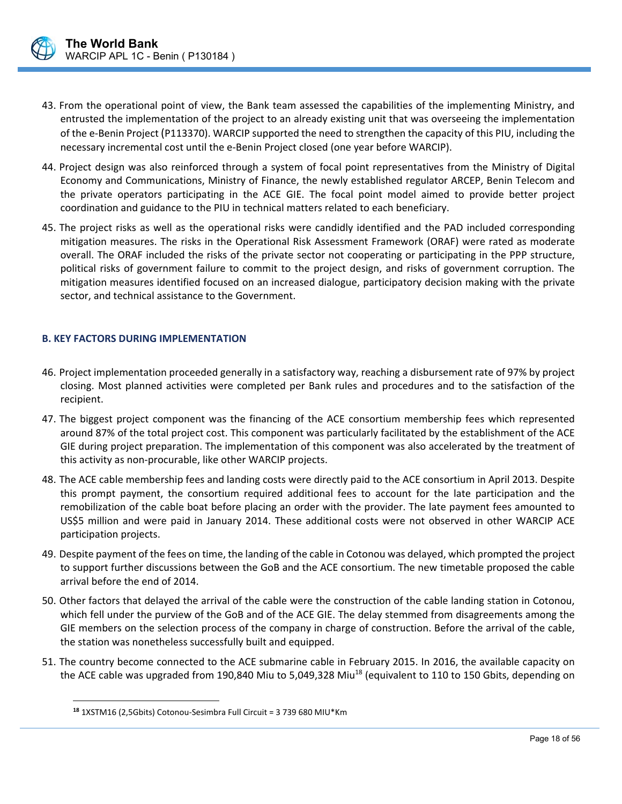

- 43. From the operational point of view, the Bank team assessed the capabilities of the implementing Ministry, and entrusted the implementation of the project to an already existing unit that was overseeing the implementation of the e‐Benin Project (P113370). WARCIP supported the need to strengthen the capacity of this PIU, including the necessary incremental cost until the e‐Benin Project closed (one year before WARCIP).
- 44. Project design was also reinforced through a system of focal point representatives from the Ministry of Digital Economy and Communications, Ministry of Finance, the newly established regulator ARCEP, Benin Telecom and the private operators participating in the ACE GIE. The focal point model aimed to provide better project coordination and guidance to the PIU in technical matters related to each beneficiary.
- 45. The project risks as well as the operational risks were candidly identified and the PAD included corresponding mitigation measures. The risks in the Operational Risk Assessment Framework (ORAF) were rated as moderate overall. The ORAF included the risks of the private sector not cooperating or participating in the PPP structure, political risks of government failure to commit to the project design, and risks of government corruption. The mitigation measures identified focused on an increased dialogue, participatory decision making with the private sector, and technical assistance to the Government.

#### **B. KEY FACTORS DURING IMPLEMENTATION**

- 46. Project implementation proceeded generally in a satisfactory way, reaching a disbursement rate of 97% by project closing. Most planned activities were completed per Bank rules and procedures and to the satisfaction of the recipient.
- 47. The biggest project component was the financing of the ACE consortium membership fees which represented around 87% of the total project cost. This component was particularly facilitated by the establishment of the ACE GIE during project preparation. The implementation of this component was also accelerated by the treatment of this activity as non‐procurable, like other WARCIP projects.
- 48. The ACE cable membership fees and landing costs were directly paid to the ACE consortium in April 2013. Despite this prompt payment, the consortium required additional fees to account for the late participation and the remobilization of the cable boat before placing an order with the provider. The late payment fees amounted to US\$5 million and were paid in January 2014. These additional costs were not observed in other WARCIP ACE participation projects.
- 49. Despite payment of the fees on time, the landing of the cable in Cotonou was delayed, which prompted the project to support further discussions between the GoB and the ACE consortium. The new timetable proposed the cable arrival before the end of 2014.
- 50. Other factors that delayed the arrival of the cable were the construction of the cable landing station in Cotonou, which fell under the purview of the GoB and of the ACE GIE. The delay stemmed from disagreements among the GIE members on the selection process of the company in charge of construction. Before the arrival of the cable, the station was nonetheless successfully built and equipped.
- 51. The country become connected to the ACE submarine cable in February 2015. In 2016, the available capacity on the ACE cable was upgraded from 190,840 Miu to 5,049,328 Miu<sup>18</sup> (equivalent to 110 to 150 Gbits, depending on

 $\overline{a}$ 

**<sup>18</sup>** 1XSTM16 (2,5Gbits) Cotonou‐Sesimbra Full Circuit = 3 739 680 MIU\*Km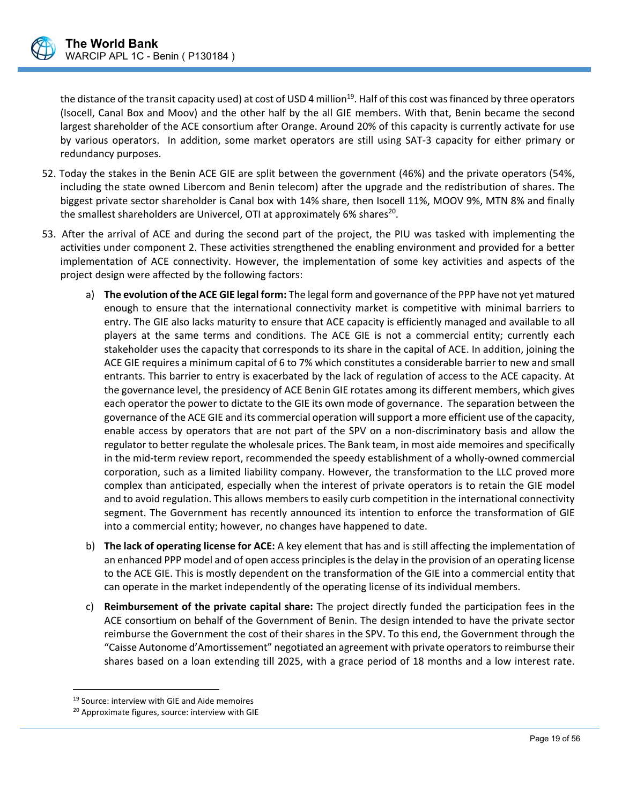

the distance of the transit capacity used) at cost of USD 4 million<sup>19</sup>. Half of this cost was financed by three operators (Isocell, Canal Box and Moov) and the other half by the all GIE members. With that, Benin became the second largest shareholder of the ACE consortium after Orange. Around 20% of this capacity is currently activate for use by various operators. In addition, some market operators are still using SAT‐3 capacity for either primary or redundancy purposes.

- 52. Today the stakes in the Benin ACE GIE are split between the government (46%) and the private operators (54%, including the state owned Libercom and Benin telecom) after the upgrade and the redistribution of shares. The biggest private sector shareholder is Canal box with 14% share, then Isocell 11%, MOOV 9%, MTN 8% and finally the smallest shareholders are Univercel, OTI at approximately 6% shares<sup>20</sup>.
- 53. After the arrival of ACE and during the second part of the project, the PIU was tasked with implementing the activities under component 2. These activities strengthened the enabling environment and provided for a better implementation of ACE connectivity. However, the implementation of some key activities and aspects of the project design were affected by the following factors:
	- a) **The evolution of the ACE GIE legal form:** The legal form and governance of the PPP have not yet matured enough to ensure that the international connectivity market is competitive with minimal barriers to entry. The GIE also lacks maturity to ensure that ACE capacity is efficiently managed and available to all players at the same terms and conditions. The ACE GIE is not a commercial entity; currently each stakeholder uses the capacity that corresponds to its share in the capital of ACE. In addition, joining the ACE GIE requires a minimum capital of 6 to 7% which constitutes a considerable barrier to new and small entrants. This barrier to entry is exacerbated by the lack of regulation of access to the ACE capacity. At the governance level, the presidency of ACE Benin GIE rotates among its different members, which gives each operator the power to dictate to the GIE its own mode of governance. The separation between the governance of the ACE GIE and its commercial operation will support a more efficient use of the capacity, enable access by operators that are not part of the SPV on a non-discriminatory basis and allow the regulator to better regulate the wholesale prices. The Bank team, in most aide memoires and specifically in the mid‐term review report, recommended the speedy establishment of a wholly‐owned commercial corporation, such as a limited liability company. However, the transformation to the LLC proved more complex than anticipated, especially when the interest of private operators is to retain the GIE model and to avoid regulation. This allows members to easily curb competition in the international connectivity segment. The Government has recently announced its intention to enforce the transformation of GIE into a commercial entity; however, no changes have happened to date.
	- b) **The lack of operating license for ACE:** A key element that has and is still affecting the implementation of an enhanced PPP model and of open access principles is the delay in the provision of an operating license to the ACE GIE. This is mostly dependent on the transformation of the GIE into a commercial entity that can operate in the market independently of the operating license of its individual members.
	- c) **Reimbursement of the private capital share:** The project directly funded the participation fees in the ACE consortium on behalf of the Government of Benin. The design intended to have the private sector reimburse the Government the cost of their shares in the SPV. To this end, the Government through the "Caisse Autonome d'Amortissement" negotiated an agreement with private operators to reimburse their shares based on a loan extending till 2025, with a grace period of 18 months and a low interest rate.

 $\overline{a}$ 

<sup>&</sup>lt;sup>19</sup> Source: interview with GIE and Aide memoires

<sup>&</sup>lt;sup>20</sup> Approximate figures, source: interview with GIE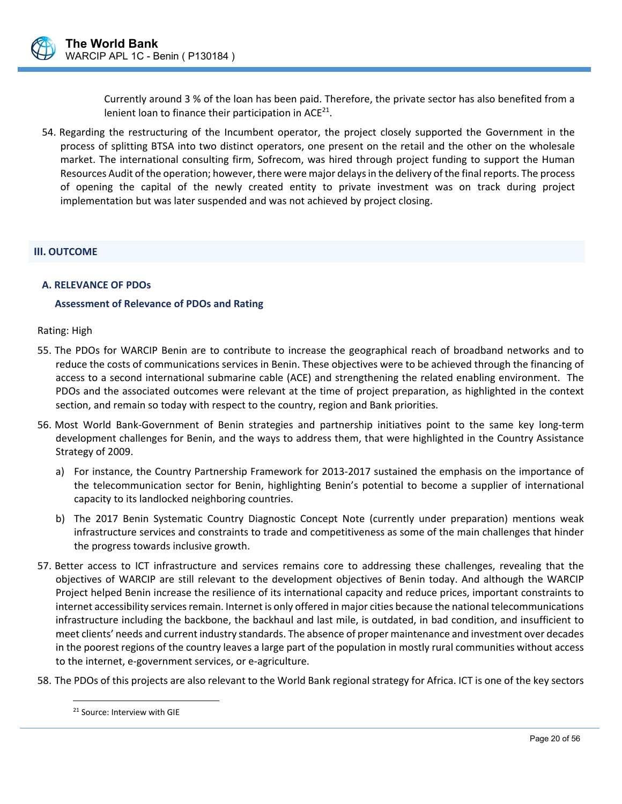

Currently around 3 % of the loan has been paid. Therefore, the private sector has also benefited from a lenient loan to finance their participation in  $ACE^{21}$ .

54. Regarding the restructuring of the Incumbent operator, the project closely supported the Government in the process of splitting BTSA into two distinct operators, one present on the retail and the other on the wholesale market. The international consulting firm, Sofrecom, was hired through project funding to support the Human Resources Audit of the operation; however, there were major delays in the delivery of the final reports. The process of opening the capital of the newly created entity to private investment was on track during project implementation but was later suspended and was not achieved by project closing.

#### **III. OUTCOME**

#### **A. RELEVANCE OF PDOs**

#### **Assessment of Relevance of PDOs and Rating**

#### Rating: High

- 55. The PDOs for WARCIP Benin are to contribute to increase the geographical reach of broadband networks and to reduce the costs of communications services in Benin. These objectives were to be achieved through the financing of access to a second international submarine cable (ACE) and strengthening the related enabling environment. The PDOs and the associated outcomes were relevant at the time of project preparation, as highlighted in the context section, and remain so today with respect to the country, region and Bank priorities.
- 56. Most World Bank‐Government of Benin strategies and partnership initiatives point to the same key long‐term development challenges for Benin, and the ways to address them, that were highlighted in the Country Assistance Strategy of 2009.
	- a) For instance, the Country Partnership Framework for 2013‐2017 sustained the emphasis on the importance of the telecommunication sector for Benin, highlighting Benin's potential to become a supplier of international capacity to its landlocked neighboring countries.
	- b) The 2017 Benin Systematic Country Diagnostic Concept Note (currently under preparation) mentions weak infrastructure services and constraints to trade and competitiveness as some of the main challenges that hinder the progress towards inclusive growth.
- 57. Better access to ICT infrastructure and services remains core to addressing these challenges, revealing that the objectives of WARCIP are still relevant to the development objectives of Benin today. And although the WARCIP Project helped Benin increase the resilience of its international capacity and reduce prices, important constraints to internet accessibility services remain. Internet is only offered in major cities because the national telecommunications infrastructure including the backbone, the backhaul and last mile, is outdated, in bad condition, and insufficient to meet clients' needs and current industry standards. The absence of proper maintenance and investment over decades in the poorest regions of the country leaves a large part of the population in mostly rural communities without access to the internet, e‐government services, or e‐agriculture.
- 58. The PDOs of this projects are also relevant to the World Bank regional strategy for Africa. ICT is one of the key sectors

 $\overline{a}$ 

<sup>21</sup> Source: Interview with GIE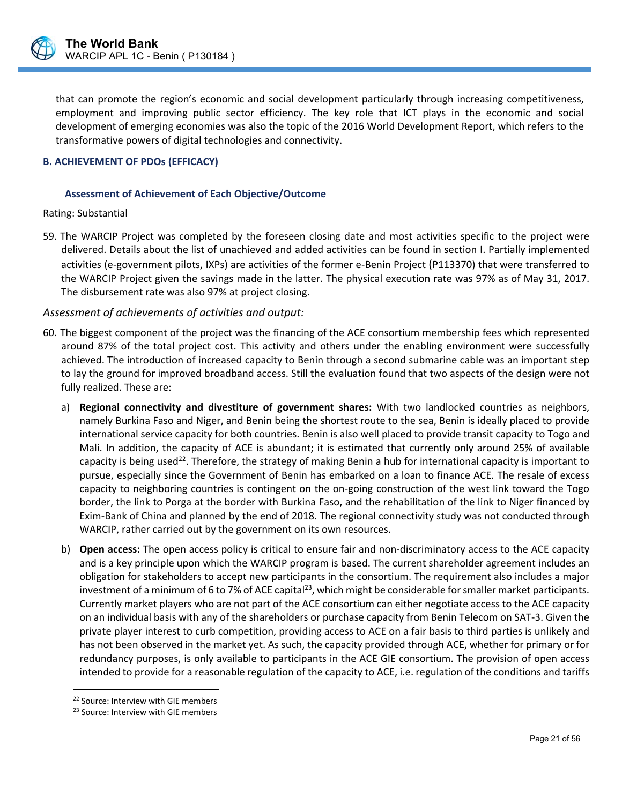

that can promote the region's economic and social development particularly through increasing competitiveness, employment and improving public sector efficiency. The key role that ICT plays in the economic and social development of emerging economies was also the topic of the 2016 World Development Report, which refers to the transformative powers of digital technologies and connectivity.

#### **B. ACHIEVEMENT OF PDOs (EFFICACY)**

#### **Assessment of Achievement of Each Objective/Outcome**

#### Rating: Substantial

59. The WARCIP Project was completed by the foreseen closing date and most activities specific to the project were delivered. Details about the list of unachieved and added activities can be found in section I. Partially implemented activities (e‐government pilots, IXPs) are activities of the former e‐Benin Project (P113370) that were transferred to the WARCIP Project given the savings made in the latter. The physical execution rate was 97% as of May 31, 2017. The disbursement rate was also 97% at project closing.

#### *Assessment of achievements of activities and output:*

- 60. The biggest component of the project was the financing of the ACE consortium membership fees which represented around 87% of the total project cost. This activity and others under the enabling environment were successfully achieved. The introduction of increased capacity to Benin through a second submarine cable was an important step to lay the ground for improved broadband access. Still the evaluation found that two aspects of the design were not fully realized. These are:
	- a) **Regional connectivity and divestiture of government shares:** With two landlocked countries as neighbors, namely Burkina Faso and Niger, and Benin being the shortest route to the sea, Benin is ideally placed to provide international service capacity for both countries. Benin is also well placed to provide transit capacity to Togo and Mali. In addition, the capacity of ACE is abundant; it is estimated that currently only around 25% of available capacity is being used<sup>22</sup>. Therefore, the strategy of making Benin a hub for international capacity is important to pursue, especially since the Government of Benin has embarked on a loan to finance ACE. The resale of excess capacity to neighboring countries is contingent on the on‐going construction of the west link toward the Togo border, the link to Porga at the border with Burkina Faso, and the rehabilitation of the link to Niger financed by Exim‐Bank of China and planned by the end of 2018. The regional connectivity study was not conducted through WARCIP, rather carried out by the government on its own resources.
	- b) **Open access:** The open access policy is critical to ensure fair and non-discriminatory access to the ACE capacity and is a key principle upon which the WARCIP program is based. The current shareholder agreement includes an obligation for stakeholders to accept new participants in the consortium. The requirement also includes a major investment of a minimum of 6 to 7% of ACE capital<sup>23</sup>, which might be considerable for smaller market participants. Currently market players who are not part of the ACE consortium can either negotiate access to the ACE capacity on an individual basis with any of the shareholders or purchase capacity from Benin Telecom on SAT‐3. Given the private player interest to curb competition, providing access to ACE on a fair basis to third parties is unlikely and has not been observed in the market yet. As such, the capacity provided through ACE, whether for primary or for redundancy purposes, is only available to participants in the ACE GIE consortium. The provision of open access intended to provide for a reasonable regulation of the capacity to ACE, i.e. regulation of the conditions and tariffs

 $\overline{a}$ 

<sup>&</sup>lt;sup>22</sup> Source: Interview with GIE members

<sup>&</sup>lt;sup>23</sup> Source: Interview with GIE members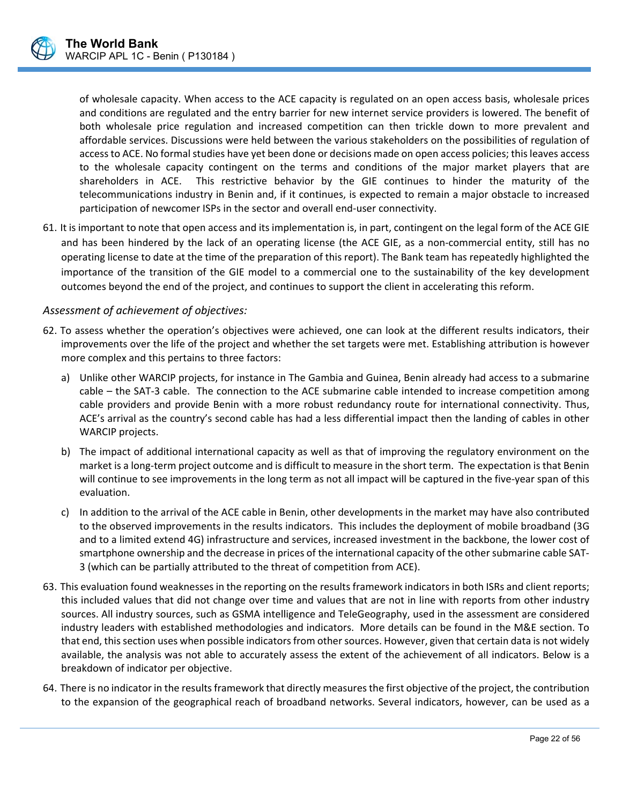

of wholesale capacity. When access to the ACE capacity is regulated on an open access basis, wholesale prices and conditions are regulated and the entry barrier for new internet service providers is lowered. The benefit of both wholesale price regulation and increased competition can then trickle down to more prevalent and affordable services. Discussions were held between the various stakeholders on the possibilities of regulation of access to ACE. No formal studies have yet been done or decisions made on open access policies; this leaves access to the wholesale capacity contingent on the terms and conditions of the major market players that are shareholders in ACE. This restrictive behavior by the GIE continues to hinder the maturity of the telecommunications industry in Benin and, if it continues, is expected to remain a major obstacle to increased participation of newcomer ISPs in the sector and overall end‐user connectivity.

61. It is important to note that open access and its implementation is, in part, contingent on the legal form of the ACE GIE and has been hindered by the lack of an operating license (the ACE GIE, as a non-commercial entity, still has no operating license to date at the time of the preparation of this report). The Bank team has repeatedly highlighted the importance of the transition of the GIE model to a commercial one to the sustainability of the key development outcomes beyond the end of the project, and continues to support the client in accelerating this reform.

#### *Assessment of achievement of objectives:*

- 62. To assess whether the operation's objectives were achieved, one can look at the different results indicators, their improvements over the life of the project and whether the set targets were met. Establishing attribution is however more complex and this pertains to three factors:
	- a) Unlike other WARCIP projects, for instance in The Gambia and Guinea, Benin already had access to a submarine cable – the SAT-3 cable. The connection to the ACE submarine cable intended to increase competition among cable providers and provide Benin with a more robust redundancy route for international connectivity. Thus, ACE's arrival as the country's second cable has had a less differential impact then the landing of cables in other WARCIP projects.
	- b) The impact of additional international capacity as well as that of improving the regulatory environment on the market is a long‐term project outcome and is difficult to measure in the short term. The expectation is that Benin will continue to see improvements in the long term as not all impact will be captured in the five-year span of this evaluation.
	- c) In addition to the arrival of the ACE cable in Benin, other developments in the market may have also contributed to the observed improvements in the results indicators. This includes the deployment of mobile broadband (3G and to a limited extend 4G) infrastructure and services, increased investment in the backbone, the lower cost of smartphone ownership and the decrease in prices of the international capacity of the other submarine cable SAT‐ 3 (which can be partially attributed to the threat of competition from ACE).
- 63. This evaluation found weaknesses in the reporting on the results framework indicators in both ISRs and client reports; this included values that did not change over time and values that are not in line with reports from other industry sources. All industry sources, such as GSMA intelligence and TeleGeography, used in the assessment are considered industry leaders with established methodologies and indicators. More details can be found in the M&E section. To that end, this section uses when possible indicators from other sources. However, given that certain data is not widely available, the analysis was not able to accurately assess the extent of the achievement of all indicators. Below is a breakdown of indicator per objective.
- 64. There is no indicator in the results framework that directly measures the first objective of the project, the contribution to the expansion of the geographical reach of broadband networks. Several indicators, however, can be used as a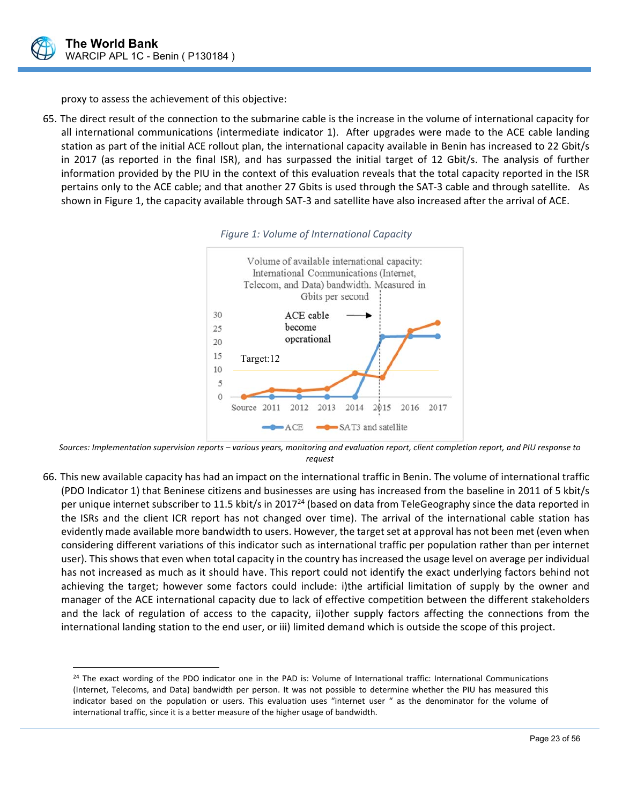

 $\overline{a}$ 

proxy to assess the achievement of this objective:

65. The direct result of the connection to the submarine cable is the increase in the volume of international capacity for all international communications (intermediate indicator 1). After upgrades were made to the ACE cable landing station as part of the initial ACE rollout plan, the international capacity available in Benin has increased to 22 Gbit/s in 2017 (as reported in the final ISR), and has surpassed the initial target of 12 Gbit/s. The analysis of further information provided by the PIU in the context of this evaluation reveals that the total capacity reported in the ISR pertains only to the ACE cable; and that another 27 Gbits is used through the SAT‐3 cable and through satellite. As shown in Figure 1, the capacity available through SAT‐3 and satellite have also increased after the arrival of ACE.





*Sources: Implementation supervision reports – various years, monitoring and evaluation report, client completion report, and PIU response to request* 

66. This new available capacity has had an impact on the international traffic in Benin. The volume of international traffic (PDO Indicator 1) that Beninese citizens and businesses are using has increased from the baseline in 2011 of 5 kbit/s per unique internet subscriber to 11.5 kbit/s in 2017<sup>24</sup> (based on data from TeleGeography since the data reported in the ISRs and the client ICR report has not changed over time). The arrival of the international cable station has evidently made available more bandwidth to users. However, the target set at approval has not been met (even when considering different variations of this indicator such as international traffic per population rather than per internet user). This shows that even when total capacity in the country has increased the usage level on average per individual has not increased as much as it should have. This report could not identify the exact underlying factors behind not achieving the target; however some factors could include: i)the artificial limitation of supply by the owner and manager of the ACE international capacity due to lack of effective competition between the different stakeholders and the lack of regulation of access to the capacity, ii)other supply factors affecting the connections from the international landing station to the end user, or iii) limited demand which is outside the scope of this project.

 $24$  The exact wording of the PDO indicator one in the PAD is: Volume of International traffic: International Communications (Internet, Telecoms, and Data) bandwidth per person. It was not possible to determine whether the PIU has measured this indicator based on the population or users. This evaluation uses "internet user " as the denominator for the volume of international traffic, since it is a better measure of the higher usage of bandwidth.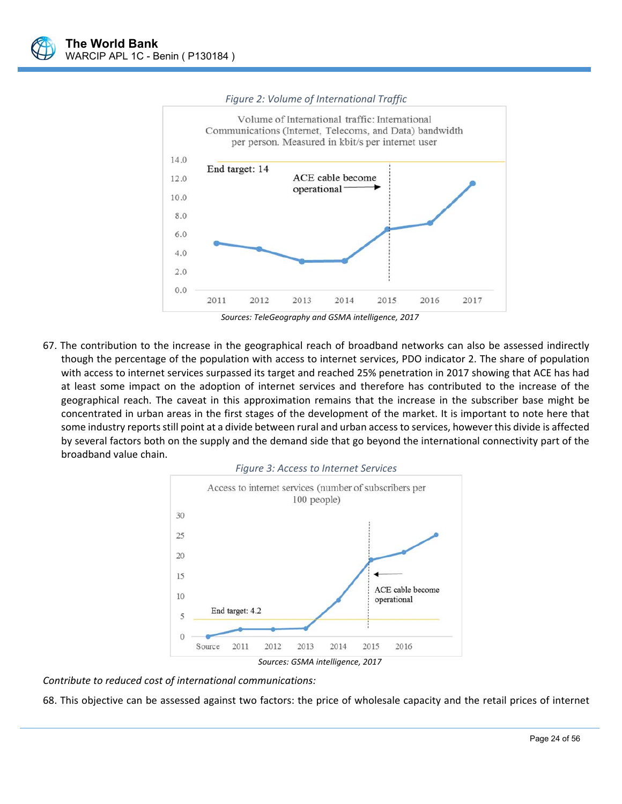

#### *Figure 2: Volume of International Traffic*

*Sources: TeleGeography and GSMA intelligence, 2017* 

67. The contribution to the increase in the geographical reach of broadband networks can also be assessed indirectly though the percentage of the population with access to internet services, PDO indicator 2. The share of population with access to internet services surpassed its target and reached 25% penetration in 2017 showing that ACE has had at least some impact on the adoption of internet services and therefore has contributed to the increase of the geographical reach. The caveat in this approximation remains that the increase in the subscriber base might be concentrated in urban areas in the first stages of the development of the market. It is important to note here that some industry reports still point at a divide between rural and urban access to services, however this divide is affected by several factors both on the supply and the demand side that go beyond the international connectivity part of the broadband value chain.



*Contribute to reduced cost of international communications:* 

68. This objective can be assessed against two factors: the price of wholesale capacity and the retail prices of internet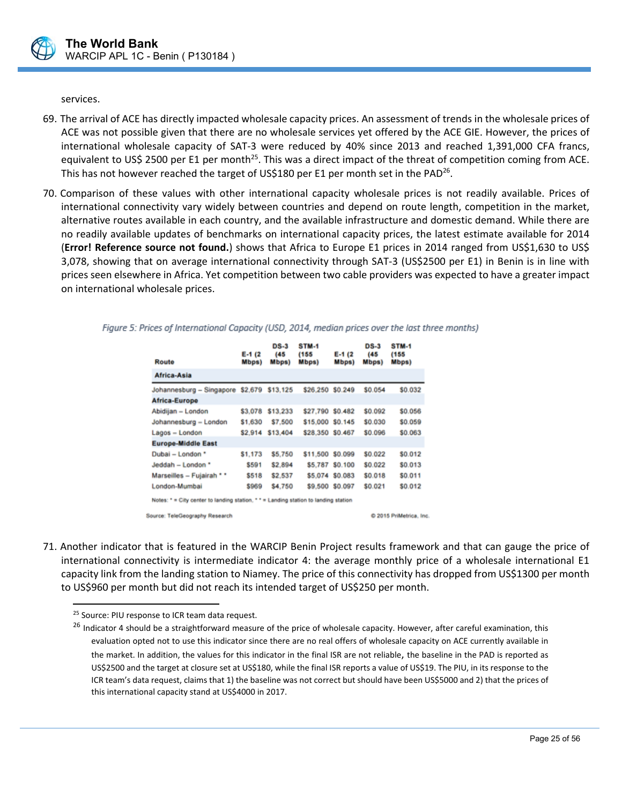

services.

- 69. The arrival of ACE has directly impacted wholesale capacity prices. An assessment of trends in the wholesale prices of ACE was not possible given that there are no wholesale services yet offered by the ACE GIE. However, the prices of international wholesale capacity of SAT‐3 were reduced by 40% since 2013 and reached 1,391,000 CFA francs, equivalent to US\$ 2500 per E1 per month<sup>25</sup>. This was a direct impact of the threat of competition coming from ACE. This has not however reached the target of US\$180 per E1 per month set in the PAD<sup>26</sup>.
- 70. Comparison of these values with other international capacity wholesale prices is not readily available. Prices of international connectivity vary widely between countries and depend on route length, competition in the market, alternative routes available in each country, and the available infrastructure and domestic demand. While there are no readily available updates of benchmarks on international capacity prices, the latest estimate available for 2014 (**Error! Reference source not found.**) shows that Africa to Europe E1 prices in 2014 ranged from US\$1,630 to US\$ 3,078, showing that on average international connectivity through SAT-3 (US\$2500 per E1) in Benin is in line with prices seen elsewhere in Africa. Yet competition between two cable providers was expected to have a greater impact on international wholesale prices.

| Route                                                                               | $E-1(2)$<br>Mbps) | $DS-3$<br>(45<br>Mbps) | STM-1<br>(155<br>Mbps) | $E-1(2)$<br>Mbps) | $DS-3$<br>(45)<br>Mbps) | <b>STM-1</b><br>(155<br>Mbps) |
|-------------------------------------------------------------------------------------|-------------------|------------------------|------------------------|-------------------|-------------------------|-------------------------------|
| Africa-Asia                                                                         |                   |                        |                        |                   |                         |                               |
| Johannesburg - Singapore \$2,679                                                    |                   | \$13,125               | \$26,250               | \$0.249           | \$0.054                 | \$0.032                       |
| Africa-Europe                                                                       |                   |                        |                        |                   |                         |                               |
| Abidijan - London                                                                   | \$3,078           | \$13,233               | \$27,790               | \$0.482           | \$0.092                 | \$0.056                       |
| Johannesburg - London                                                               | \$1,630           | \$7,500                | \$15,000 \$0.145       |                   | \$0.030                 | \$0.059                       |
| Lagos - London                                                                      | \$2,914           | \$13,404               | \$28,350               | \$0.467           | \$0.096                 | \$0.063                       |
| <b>Europe-Middle East</b>                                                           |                   |                        |                        |                   |                         |                               |
| Dubai - London *                                                                    | \$1,173           | \$5,750                | \$11,500 \$0.099       |                   | \$0.022                 | \$0.012                       |
| Jeddah - London *                                                                   | \$591             | \$2,894                | \$5.787                | \$0.100           | \$0.022                 | \$0.013                       |
| Marseilles - Fujairah * *                                                           | \$518             | \$2,537                |                        | \$5,074 \$0.083   | \$0.018                 | \$0.011                       |
| London-Mumbai                                                                       | \$969             | \$4,750                |                        | \$9,500 \$0.097   | \$0.021                 | \$0.012                       |
| Notes: " = City center to landing station. " " = Landing station to landing station |                   |                        |                        |                   |                         |                               |
| Source: TeleGeography Research                                                      |                   |                        |                        |                   |                         | C 2015 PriMetrica, In         |

Figure 5: Prices of International Capacity (USD, 2014, median prices over the last three months)

71. Another indicator that is featured in the WARCIP Benin Project results framework and that can gauge the price of international connectivity is intermediate indicator 4: the average monthly price of a wholesale international E1 capacity link from the landing station to Niamey. The price of this connectivity has dropped from US\$1300 per month to US\$960 per month but did not reach its intended target of US\$250 per month.

 $\overline{a}$ 

<sup>&</sup>lt;sup>25</sup> Source: PIU response to ICR team data request.

<sup>&</sup>lt;sup>26</sup> Indicator 4 should be a straightforward measure of the price of wholesale capacity. However, after careful examination, this evaluation opted not to use this indicator since there are no real offers of wholesale capacity on ACE currently available in the market. In addition, the values for this indicator in the final ISR are not reliable, the baseline in the PAD is reported as US\$2500 and the target at closure set at US\$180, while the final ISR reports a value of US\$19. The PIU, in its response to the ICR team's data request, claims that 1) the baseline was not correct but should have been US\$5000 and 2) that the prices of this international capacity stand at US\$4000 in 2017.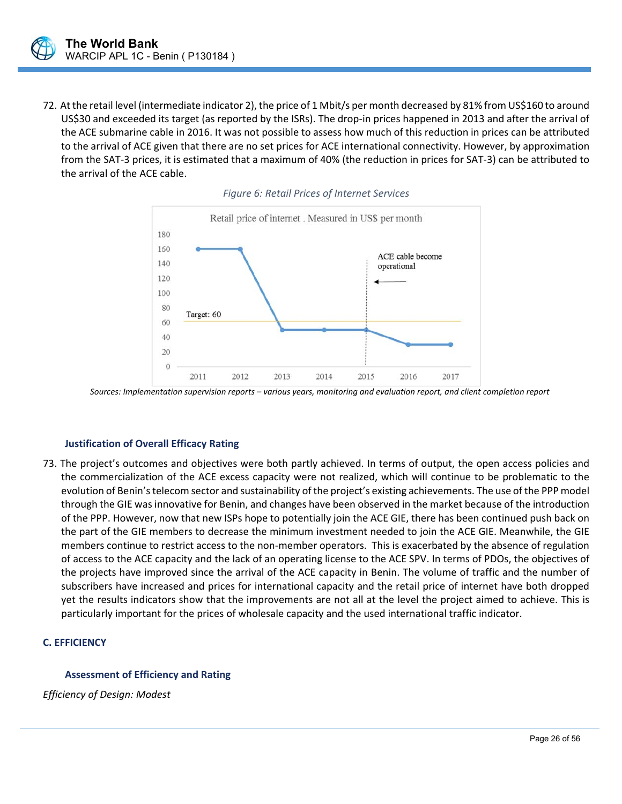72. At the retail level (intermediate indicator 2), the price of 1 Mbit/s per month decreased by 81% from US\$160 to around US\$30 and exceeded its target (as reported by the ISRs). The drop-in prices happened in 2013 and after the arrival of the ACE submarine cable in 2016. It was not possible to assess how much of this reduction in prices can be attributed to the arrival of ACE given that there are no set prices for ACE international connectivity. However, by approximation from the SAT‐3 prices, it is estimated that a maximum of 40% (the reduction in prices for SAT‐3) can be attributed to the arrival of the ACE cable.





*Sources: Implementation supervision reports – various years, monitoring and evaluation report, and client completion report* 

#### **Justification of Overall Efficacy Rating**

73. The project's outcomes and objectives were both partly achieved. In terms of output, the open access policies and the commercialization of the ACE excess capacity were not realized, which will continue to be problematic to the evolution of Benin's telecom sector and sustainability of the project's existing achievements. The use of the PPP model through the GIE was innovative for Benin, and changes have been observed in the market because of the introduction of the PPP. However, now that new ISPs hope to potentially join the ACE GIE, there has been continued push back on the part of the GIE members to decrease the minimum investment needed to join the ACE GIE. Meanwhile, the GIE members continue to restrict access to the non-member operators. This is exacerbated by the absence of regulation of access to the ACE capacity and the lack of an operating license to the ACE SPV. In terms of PDOs, the objectives of the projects have improved since the arrival of the ACE capacity in Benin. The volume of traffic and the number of subscribers have increased and prices for international capacity and the retail price of internet have both dropped yet the results indicators show that the improvements are not all at the level the project aimed to achieve. This is particularly important for the prices of wholesale capacity and the used international traffic indicator.

 $\overline{a}$ 

#### **C. EFFICIENCY**

#### **Assessment of Efficiency and Rating**

*Efficiency of Design: Modest*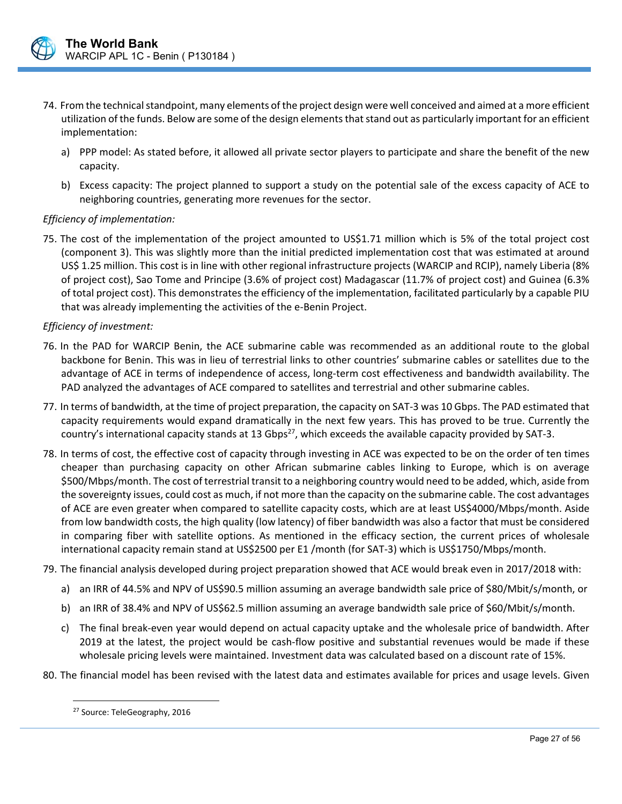

- 74. From the technical standpoint, many elements of the project design were well conceived and aimed at a more efficient utilization of the funds. Below are some of the design elements that stand out as particularly important for an efficient implementation:
	- a) PPP model: As stated before, it allowed all private sector players to participate and share the benefit of the new capacity.
	- b) Excess capacity: The project planned to support a study on the potential sale of the excess capacity of ACE to neighboring countries, generating more revenues for the sector.

#### *Efficiency of implementation:*

75. The cost of the implementation of the project amounted to US\$1.71 million which is 5% of the total project cost (component 3). This was slightly more than the initial predicted implementation cost that was estimated at around US\$ 1.25 million. This cost is in line with other regional infrastructure projects (WARCIP and RCIP), namely Liberia (8% of project cost), Sao Tome and Principe (3.6% of project cost) Madagascar (11.7% of project cost) and Guinea (6.3% of total project cost). This demonstrates the efficiency of the implementation, facilitated particularly by a capable PIU that was already implementing the activities of the e‐Benin Project.

#### *Efficiency of investment:*

- 76. In the PAD for WARCIP Benin, the ACE submarine cable was recommended as an additional route to the global backbone for Benin. This was in lieu of terrestrial links to other countries' submarine cables or satellites due to the advantage of ACE in terms of independence of access, long‐term cost effectiveness and bandwidth availability. The PAD analyzed the advantages of ACE compared to satellites and terrestrial and other submarine cables.
- 77. In terms of bandwidth, at the time of project preparation, the capacity on SAT‐3 was 10 Gbps. The PAD estimated that capacity requirements would expand dramatically in the next few years. This has proved to be true. Currently the country's international capacity stands at 13 Gbps<sup>27</sup>, which exceeds the available capacity provided by SAT-3.
- 78. In terms of cost, the effective cost of capacity through investing in ACE was expected to be on the order of ten times cheaper than purchasing capacity on other African submarine cables linking to Europe, which is on average \$500/Mbps/month. The cost of terrestrial transit to a neighboring country would need to be added, which, aside from the sovereignty issues, could cost as much, if not more than the capacity on the submarine cable. The cost advantages of ACE are even greater when compared to satellite capacity costs, which are at least US\$4000/Mbps/month. Aside from low bandwidth costs, the high quality (low latency) of fiber bandwidth was also a factor that must be considered in comparing fiber with satellite options. As mentioned in the efficacy section, the current prices of wholesale international capacity remain stand at US\$2500 per E1 /month (for SAT‐3) which is US\$1750/Mbps/month.
- 79. The financial analysis developed during project preparation showed that ACE would break even in 2017/2018 with:
	- a) an IRR of 44.5% and NPV of US\$90.5 million assuming an average bandwidth sale price of \$80/Mbit/s/month, or
	- b) an IRR of 38.4% and NPV of US\$62.5 million assuming an average bandwidth sale price of \$60/Mbit/s/month.
	- c) The final break‐even year would depend on actual capacity uptake and the wholesale price of bandwidth. After 2019 at the latest, the project would be cash‐flow positive and substantial revenues would be made if these wholesale pricing levels were maintained. Investment data was calculated based on a discount rate of 15%.

80. The financial model has been revised with the latest data and estimates available for prices and usage levels. Given

 $\overline{a}$ 

<sup>27</sup> Source: TeleGeography, 2016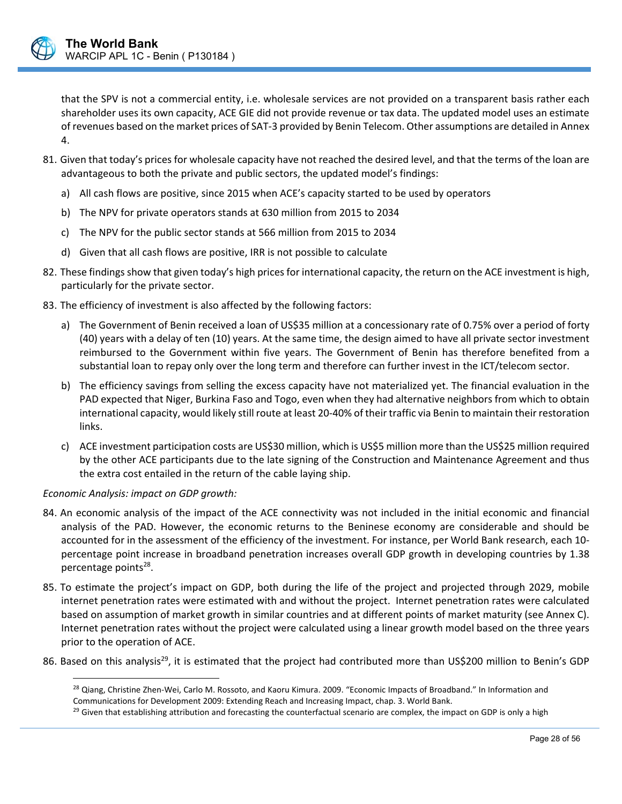

that the SPV is not a commercial entity, i.e. wholesale services are not provided on a transparent basis rather each shareholder uses its own capacity, ACE GIE did not provide revenue or tax data. The updated model uses an estimate of revenues based on the market prices of SAT‐3 provided by Benin Telecom. Other assumptions are detailed in Annex 4.

- 81. Given that today's prices for wholesale capacity have not reached the desired level, and that the terms of the loan are advantageous to both the private and public sectors, the updated model's findings:
	- a) All cash flows are positive, since 2015 when ACE's capacity started to be used by operators
	- b) The NPV for private operators stands at 630 million from 2015 to 2034
	- c) The NPV for the public sector stands at 566 million from 2015 to 2034
	- d) Given that all cash flows are positive, IRR is not possible to calculate
- 82. These findings show that given today's high prices for international capacity, the return on the ACE investment is high, particularly for the private sector.
- 83. The efficiency of investment is also affected by the following factors:
	- a) The Government of Benin received a loan of US\$35 million at a concessionary rate of 0.75% over a period of forty (40) years with a delay of ten (10) years. At the same time, the design aimed to have all private sector investment reimbursed to the Government within five years. The Government of Benin has therefore benefited from a substantial loan to repay only over the long term and therefore can further invest in the ICT/telecom sector.
	- b) The efficiency savings from selling the excess capacity have not materialized yet. The financial evaluation in the PAD expected that Niger, Burkina Faso and Togo, even when they had alternative neighbors from which to obtain international capacity, would likely still route at least 20‐40% of their traffic via Benin to maintain their restoration links.
	- c) ACE investment participation costs are US\$30 million, which is US\$5 million more than the US\$25 million required by the other ACE participants due to the late signing of the Construction and Maintenance Agreement and thus the extra cost entailed in the return of the cable laying ship.

#### *Economic Analysis: impact on GDP growth:*

- 84. An economic analysis of the impact of the ACE connectivity was not included in the initial economic and financial analysis of the PAD. However, the economic returns to the Beninese economy are considerable and should be accounted for in the assessment of the efficiency of the investment. For instance, per World Bank research, each 10‐ percentage point increase in broadband penetration increases overall GDP growth in developing countries by 1.38 percentage points $28$ .
- 85. To estimate the project's impact on GDP, both during the life of the project and projected through 2029, mobile internet penetration rates were estimated with and without the project. Internet penetration rates were calculated based on assumption of market growth in similar countries and at different points of market maturity (see Annex C). Internet penetration rates without the project were calculated using a linear growth model based on the three years prior to the operation of ACE.
- 86. Based on this analysis<sup>29</sup>, it is estimated that the project had contributed more than US\$200 million to Benin's GDP

<sup>&</sup>lt;sup>28</sup> Qiang, Christine Zhen-Wei, Carlo M. Rossoto, and Kaoru Kimura. 2009. "Economic Impacts of Broadband." In Information and Communications for Development 2009: Extending Reach and Increasing Impact, chap. 3. World Bank.

 $\overline{a}$  $29$  Given that establishing attribution and forecasting the counterfactual scenario are complex, the impact on GDP is only a high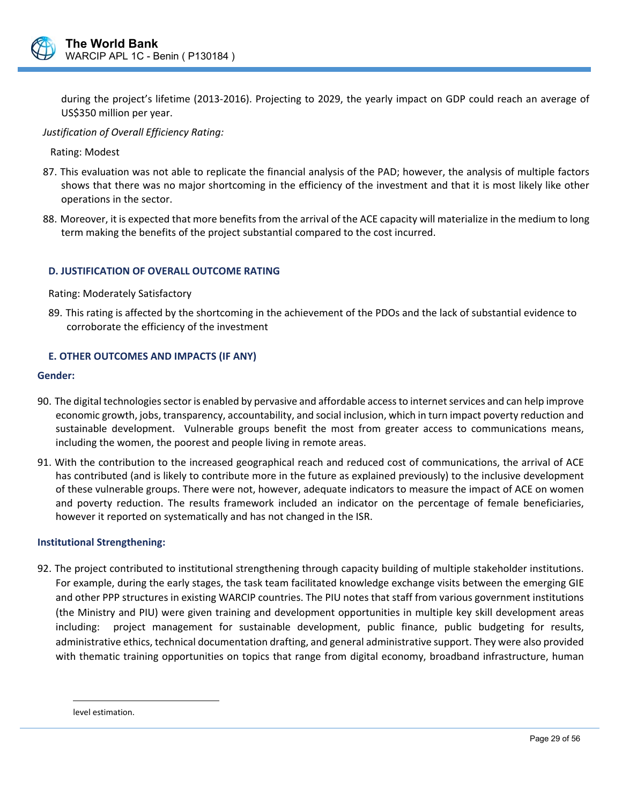

during the project's lifetime (2013-2016). Projecting to 2029, the yearly impact on GDP could reach an average of US\$350 million per year.

#### *Justification of Overall Efficiency Rating:*

Rating: Modest

- 87. This evaluation was not able to replicate the financial analysis of the PAD; however, the analysis of multiple factors shows that there was no major shortcoming in the efficiency of the investment and that it is most likely like other operations in the sector.
- 88. Moreover, it is expected that more benefits from the arrival of the ACE capacity will materialize in the medium to long term making the benefits of the project substantial compared to the cost incurred.

#### **D. JUSTIFICATION OF OVERALL OUTCOME RATING**

Rating: Moderately Satisfactory

89. This rating is affected by the shortcoming in the achievement of the PDOs and the lack of substantial evidence to corroborate the efficiency of the investment

#### **E. OTHER OUTCOMES AND IMPACTS (IF ANY)**

#### **Gender:**

- 90. The digital technologies sector is enabled by pervasive and affordable access to internet services and can help improve economic growth, jobs, transparency, accountability, and social inclusion, which in turn impact poverty reduction and sustainable development. Vulnerable groups benefit the most from greater access to communications means, including the women, the poorest and people living in remote areas.
- 91. With the contribution to the increased geographical reach and reduced cost of communications, the arrival of ACE has contributed (and is likely to contribute more in the future as explained previously) to the inclusive development of these vulnerable groups. There were not, however, adequate indicators to measure the impact of ACE on women and poverty reduction. The results framework included an indicator on the percentage of female beneficiaries, however it reported on systematically and has not changed in the ISR.

#### **Institutional Strengthening:**

92. The project contributed to institutional strengthening through capacity building of multiple stakeholder institutions. For example, during the early stages, the task team facilitated knowledge exchange visits between the emerging GIE and other PPP structures in existing WARCIP countries. The PIU notes that staff from various government institutions (the Ministry and PIU) were given training and development opportunities in multiple key skill development areas including: project management for sustainable development, public finance, public budgeting for results, administrative ethics, technical documentation drafting, and general administrative support. They were also provided with thematic training opportunities on topics that range from digital economy, broadband infrastructure, human

 $\overline{a}$ 

level estimation.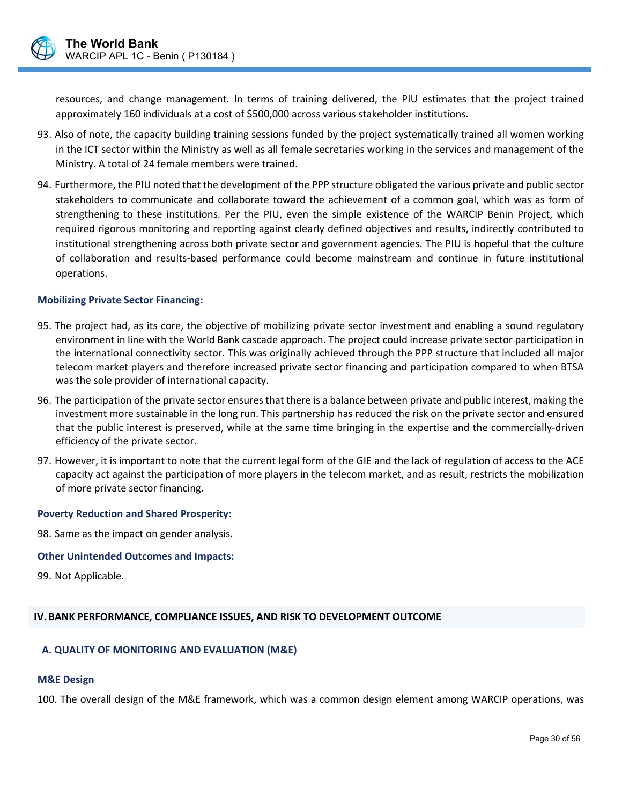

resources, and change management. In terms of training delivered, the PIU estimates that the project trained approximately 160 individuals at a cost of \$500,000 across various stakeholder institutions.

- 93. Also of note, the capacity building training sessions funded by the project systematically trained all women working in the ICT sector within the Ministry as well as all female secretaries working in the services and management of the Ministry. A total of 24 female members were trained.
- 94. Furthermore, the PIU noted that the development of the PPP structure obligated the various private and public sector stakeholders to communicate and collaborate toward the achievement of a common goal, which was as form of strengthening to these institutions. Per the PIU, even the simple existence of the WARCIP Benin Project, which required rigorous monitoring and reporting against clearly defined objectives and results, indirectly contributed to institutional strengthening across both private sector and government agencies. The PIU is hopeful that the culture of collaboration and results‐based performance could become mainstream and continue in future institutional operations.

#### **Mobilizing Private Sector Financing:**

- 95. The project had, as its core, the objective of mobilizing private sector investment and enabling a sound regulatory environment in line with the World Bank cascade approach. The project could increase private sector participation in the international connectivity sector. This was originally achieved through the PPP structure that included all major telecom market players and therefore increased private sector financing and participation compared to when BTSA was the sole provider of international capacity.
- 96. The participation of the private sector ensures that there is a balance between private and public interest, making the investment more sustainable in the long run. This partnership has reduced the risk on the private sector and ensured that the public interest is preserved, while at the same time bringing in the expertise and the commercially‐driven efficiency of the private sector.
- 97. However, it is important to note that the current legal form of the GIE and the lack of regulation of access to the ACE capacity act against the participation of more players in the telecom market, and as result, restricts the mobilization of more private sector financing.

#### **Poverty Reduction and Shared Prosperity:**

98. Same as the impact on gender analysis.

#### **Other Unintended Outcomes and Impacts:**

99. Not Applicable.

#### **IV.BANK PERFORMANCE, COMPLIANCE ISSUES, AND RISK TO DEVELOPMENT OUTCOME**

#### **A. QUALITY OF MONITORING AND EVALUATION (M&E)**

#### **M&E Design**

100. The overall design of the M&E framework, which was a common design element among WARCIP operations, was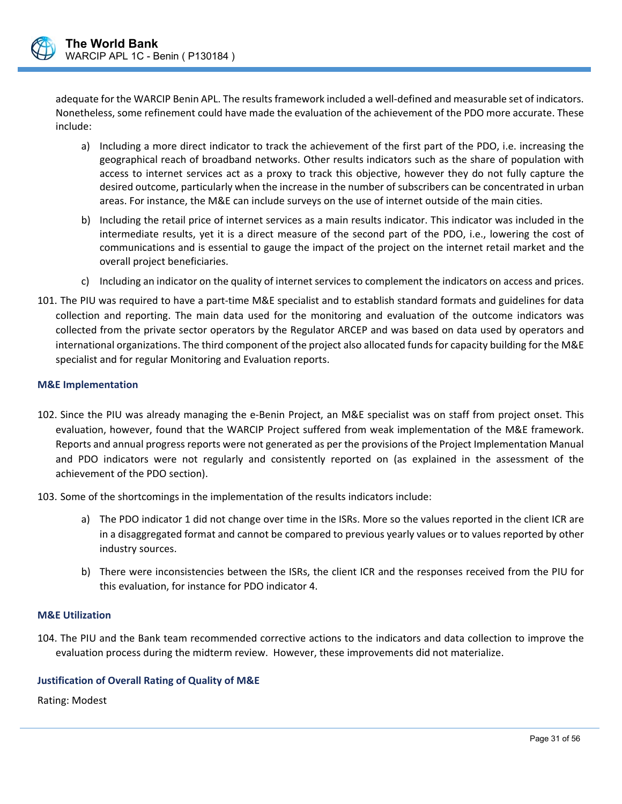

adequate for the WARCIP Benin APL. The results framework included a well-defined and measurable set of indicators. Nonetheless, some refinement could have made the evaluation of the achievement of the PDO more accurate. These include:

- a) Including a more direct indicator to track the achievement of the first part of the PDO, i.e. increasing the geographical reach of broadband networks. Other results indicators such as the share of population with access to internet services act as a proxy to track this objective, however they do not fully capture the desired outcome, particularly when the increase in the number of subscribers can be concentrated in urban areas. For instance, the M&E can include surveys on the use of internet outside of the main cities.
- b) Including the retail price of internet services as a main results indicator. This indicator was included in the intermediate results, yet it is a direct measure of the second part of the PDO, i.e., lowering the cost of communications and is essential to gauge the impact of the project on the internet retail market and the overall project beneficiaries.
- c) Including an indicator on the quality of internet services to complement the indicators on access and prices.
- 101. The PIU was required to have a part‐time M&E specialist and to establish standard formats and guidelines for data collection and reporting. The main data used for the monitoring and evaluation of the outcome indicators was collected from the private sector operators by the Regulator ARCEP and was based on data used by operators and international organizations. The third component of the project also allocated funds for capacity building for the M&E specialist and for regular Monitoring and Evaluation reports.

#### **M&E Implementation**

- 102. Since the PIU was already managing the e‐Benin Project, an M&E specialist was on staff from project onset. This evaluation, however, found that the WARCIP Project suffered from weak implementation of the M&E framework. Reports and annual progress reports were not generated as per the provisions of the Project Implementation Manual and PDO indicators were not regularly and consistently reported on (as explained in the assessment of the achievement of the PDO section).
- 103. Some of the shortcomings in the implementation of the results indicators include:
	- a) The PDO indicator 1 did not change over time in the ISRs. More so the values reported in the client ICR are in a disaggregated format and cannot be compared to previous yearly values or to values reported by other industry sources.
	- b) There were inconsistencies between the ISRs, the client ICR and the responses received from the PIU for this evaluation, for instance for PDO indicator 4.

#### **M&E Utilization**

104. The PIU and the Bank team recommended corrective actions to the indicators and data collection to improve the evaluation process during the midterm review. However, these improvements did not materialize.

 $\overline{a}$ 

#### **Justification of Overall Rating of Quality of M&E**

Rating: Modest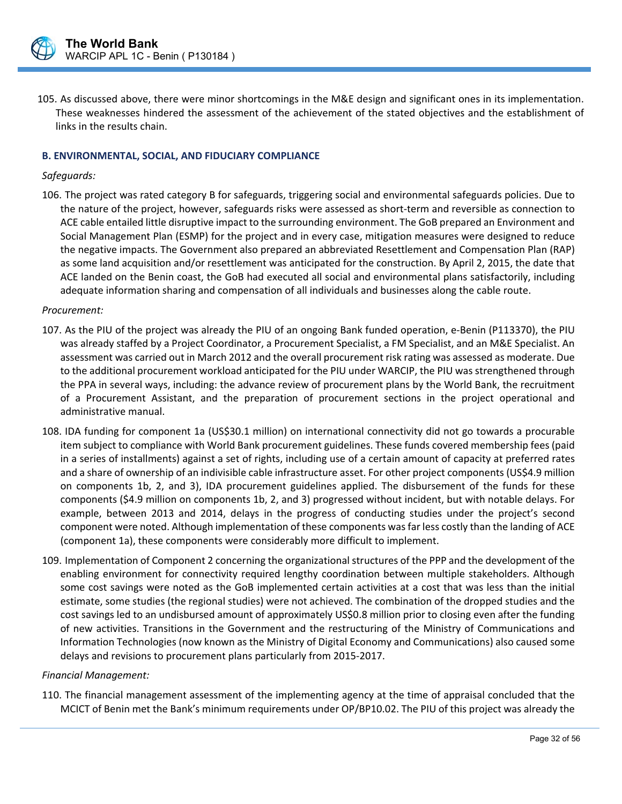

105. As discussed above, there were minor shortcomings in the M&E design and significant ones in its implementation. These weaknesses hindered the assessment of the achievement of the stated objectives and the establishment of links in the results chain.

#### **B. ENVIRONMENTAL, SOCIAL, AND FIDUCIARY COMPLIANCE**

#### *Safeguards:*

106. The project was rated category B for safeguards, triggering social and environmental safeguards policies. Due to the nature of the project, however, safeguards risks were assessed as short‐term and reversible as connection to ACE cable entailed little disruptive impact to the surrounding environment. The GoB prepared an Environment and Social Management Plan (ESMP) for the project and in every case, mitigation measures were designed to reduce the negative impacts. The Government also prepared an abbreviated Resettlement and Compensation Plan (RAP) as some land acquisition and/or resettlement was anticipated for the construction. By April 2, 2015, the date that ACE landed on the Benin coast, the GoB had executed all social and environmental plans satisfactorily, including adequate information sharing and compensation of all individuals and businesses along the cable route.

#### *Procurement:*

- 107. As the PIU of the project was already the PIU of an ongoing Bank funded operation, e‐Benin (P113370), the PIU was already staffed by a Project Coordinator, a Procurement Specialist, a FM Specialist, and an M&E Specialist. An assessment was carried out in March 2012 and the overall procurement risk rating was assessed as moderate. Due to the additional procurement workload anticipated for the PIU under WARCIP, the PIU was strengthened through the PPA in several ways, including: the advance review of procurement plans by the World Bank, the recruitment of a Procurement Assistant, and the preparation of procurement sections in the project operational and administrative manual.
- 108. IDA funding for component 1a (US\$30.1 million) on international connectivity did not go towards a procurable item subject to compliance with World Bank procurement guidelines. These funds covered membership fees (paid in a series of installments) against a set of rights, including use of a certain amount of capacity at preferred rates and a share of ownership of an indivisible cable infrastructure asset. For other project components (US\$4.9 million on components 1b, 2, and 3), IDA procurement guidelines applied. The disbursement of the funds for these components (\$4.9 million on components 1b, 2, and 3) progressed without incident, but with notable delays. For example, between 2013 and 2014, delays in the progress of conducting studies under the project's second component were noted. Although implementation of these components was far less costly than the landing of ACE (component 1a), these components were considerably more difficult to implement.
- 109. Implementation of Component 2 concerning the organizational structures of the PPP and the development of the enabling environment for connectivity required lengthy coordination between multiple stakeholders. Although some cost savings were noted as the GoB implemented certain activities at a cost that was less than the initial estimate, some studies (the regional studies) were not achieved. The combination of the dropped studies and the cost savings led to an undisbursed amount of approximately US\$0.8 million prior to closing even after the funding of new activities. Transitions in the Government and the restructuring of the Ministry of Communications and Information Technologies (now known as the Ministry of Digital Economy and Communications) also caused some delays and revisions to procurement plans particularly from 2015‐2017.

#### *Financial Management:*

110. The financial management assessment of the implementing agency at the time of appraisal concluded that the MCICT of Benin met the Bank's minimum requirements under OP/BP10.02. The PIU of this project was already the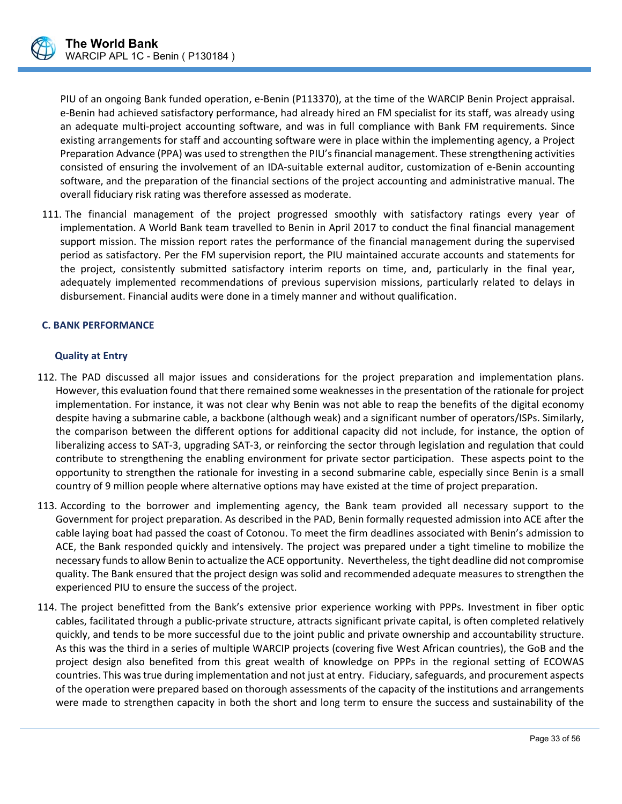

PIU of an ongoing Bank funded operation, e‐Benin (P113370), at the time of the WARCIP Benin Project appraisal. e-Benin had achieved satisfactory performance, had already hired an FM specialist for its staff, was already using an adequate multi‐project accounting software, and was in full compliance with Bank FM requirements. Since existing arrangements for staff and accounting software were in place within the implementing agency, a Project Preparation Advance (PPA) was used to strengthen the PIU's financial management. These strengthening activities consisted of ensuring the involvement of an IDA‐suitable external auditor, customization of e‐Benin accounting software, and the preparation of the financial sections of the project accounting and administrative manual. The overall fiduciary risk rating was therefore assessed as moderate.

111. The financial management of the project progressed smoothly with satisfactory ratings every year of implementation. A World Bank team travelled to Benin in April 2017 to conduct the final financial management support mission. The mission report rates the performance of the financial management during the supervised period as satisfactory. Per the FM supervision report, the PIU maintained accurate accounts and statements for the project, consistently submitted satisfactory interim reports on time, and, particularly in the final year, adequately implemented recommendations of previous supervision missions, particularly related to delays in disbursement. Financial audits were done in a timely manner and without qualification.

#### **C. BANK PERFORMANCE**

#### **Quality at Entry**

- 112. The PAD discussed all major issues and considerations for the project preparation and implementation plans. However, this evaluation found that there remained some weaknesses in the presentation of the rationale for project implementation. For instance, it was not clear why Benin was not able to reap the benefits of the digital economy despite having a submarine cable, a backbone (although weak) and a significant number of operators/ISPs. Similarly, the comparison between the different options for additional capacity did not include, for instance, the option of liberalizing access to SAT‐3, upgrading SAT‐3, or reinforcing the sector through legislation and regulation that could contribute to strengthening the enabling environment for private sector participation. These aspects point to the opportunity to strengthen the rationale for investing in a second submarine cable, especially since Benin is a small country of 9 million people where alternative options may have existed at the time of project preparation.
- 113. According to the borrower and implementing agency, the Bank team provided all necessary support to the Government for project preparation. As described in the PAD, Benin formally requested admission into ACE after the cable laying boat had passed the coast of Cotonou. To meet the firm deadlines associated with Benin's admission to ACE, the Bank responded quickly and intensively. The project was prepared under a tight timeline to mobilize the necessary funds to allow Benin to actualize the ACE opportunity. Nevertheless, the tight deadline did not compromise quality. The Bank ensured that the project design was solid and recommended adequate measures to strengthen the experienced PIU to ensure the success of the project.
- 114. The project benefitted from the Bank's extensive prior experience working with PPPs. Investment in fiber optic cables, facilitated through a public‐private structure, attracts significant private capital, is often completed relatively quickly, and tends to be more successful due to the joint public and private ownership and accountability structure. As this was the third in a series of multiple WARCIP projects (covering five West African countries), the GoB and the project design also benefited from this great wealth of knowledge on PPPs in the regional setting of ECOWAS countries. This was true during implementation and not just at entry. Fiduciary, safeguards, and procurement aspects of the operation were prepared based on thorough assessments of the capacity of the institutions and arrangements were made to strengthen capacity in both the short and long term to ensure the success and sustainability of the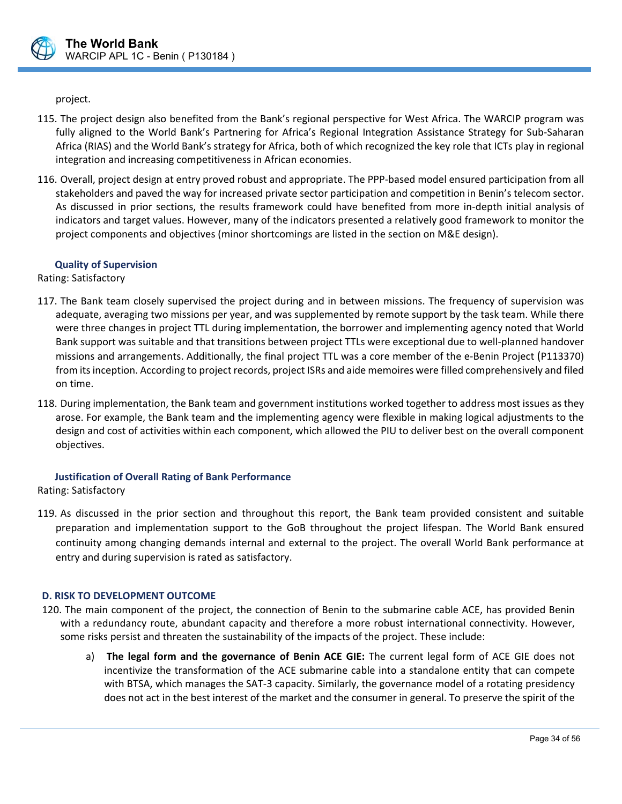

project.

- 115. The project design also benefited from the Bank's regional perspective for West Africa. The WARCIP program was fully aligned to the World Bank's Partnering for Africa's Regional Integration Assistance Strategy for Sub-Saharan Africa (RIAS) and the World Bank's strategy for Africa, both of which recognized the key role that ICTs play in regional integration and increasing competitiveness in African economies.
- 116. Overall, project design at entry proved robust and appropriate. The PPP‐based model ensured participation from all stakeholders and paved the way for increased private sector participation and competition in Benin's telecom sector. As discussed in prior sections, the results framework could have benefited from more in-depth initial analysis of indicators and target values. However, many of the indicators presented a relatively good framework to monitor the project components and objectives (minor shortcomings are listed in the section on M&E design).

## **Quality of Supervision**

Rating: Satisfactory

- 117. The Bank team closely supervised the project during and in between missions. The frequency of supervision was adequate, averaging two missions per year, and was supplemented by remote support by the task team. While there were three changes in project TTL during implementation, the borrower and implementing agency noted that World Bank support was suitable and that transitions between project TTLs were exceptional due to well‐planned handover missions and arrangements. Additionally, the final project TTL was a core member of the e‐Benin Project (P113370) from its inception. According to project records, project ISRs and aide memoires were filled comprehensively and filed on time.
- 118. During implementation, the Bank team and government institutions worked together to address most issues as they arose. For example, the Bank team and the implementing agency were flexible in making logical adjustments to the design and cost of activities within each component, which allowed the PIU to deliver best on the overall component objectives.

## **Justification of Overall Rating of Bank Performance**

Rating: Satisfactory

119. As discussed in the prior section and throughout this report, the Bank team provided consistent and suitable preparation and implementation support to the GoB throughout the project lifespan. The World Bank ensured continuity among changing demands internal and external to the project. The overall World Bank performance at entry and during supervision is rated as satisfactory.

#### **D. RISK TO DEVELOPMENT OUTCOME**

120. The main component of the project, the connection of Benin to the submarine cable ACE, has provided Benin with a redundancy route, abundant capacity and therefore a more robust international connectivity. However, some risks persist and threaten the sustainability of the impacts of the project. These include:

 $\overline{a}$ 

a)  **The legal form and the governance of Benin ACE GIE:** The current legal form of ACE GIE does not incentivize the transformation of the ACE submarine cable into a standalone entity that can compete with BTSA, which manages the SAT-3 capacity. Similarly, the governance model of a rotating presidency does not act in the best interest of the market and the consumer in general. To preserve the spirit of the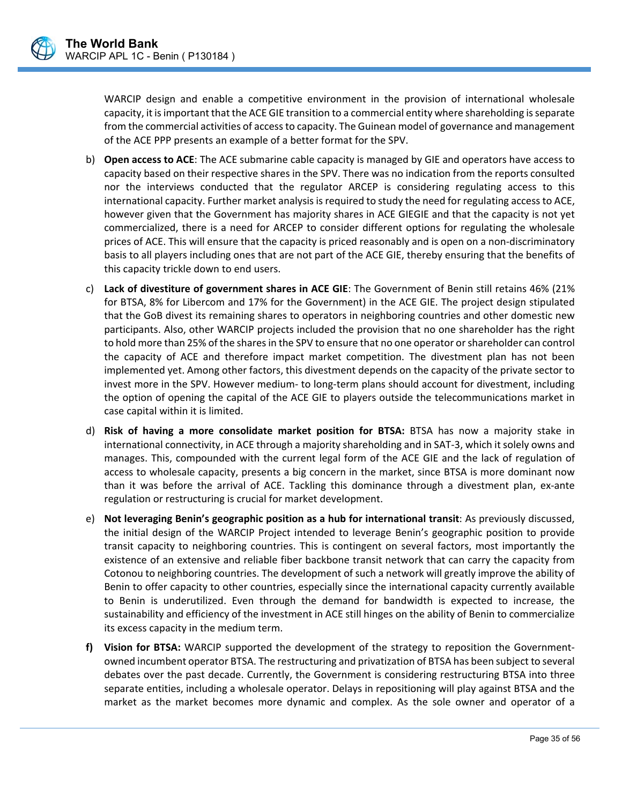

WARCIP design and enable a competitive environment in the provision of international wholesale capacity, it is important that the ACE GIE transition to a commercial entity where shareholding is separate from the commercial activities of access to capacity. The Guinean model of governance and management of the ACE PPP presents an example of a better format for the SPV.

- b) **Open access to ACE**: The ACE submarine cable capacity is managed by GIE and operators have access to capacity based on their respective shares in the SPV. There was no indication from the reports consulted nor the interviews conducted that the regulator ARCEP is considering regulating access to this international capacity. Further market analysis is required to study the need for regulating access to ACE, however given that the Government has majority shares in ACE GIEGIE and that the capacity is not yet commercialized, there is a need for ARCEP to consider different options for regulating the wholesale prices of ACE. This will ensure that the capacity is priced reasonably and is open on a non‐discriminatory basis to all players including ones that are not part of the ACE GIE, thereby ensuring that the benefits of this capacity trickle down to end users.
- c) **Lack of divestiture of government shares in ACE GIE**: The Government of Benin still retains 46% (21% for BTSA, 8% for Libercom and 17% for the Government) in the ACE GIE. The project design stipulated that the GoB divest its remaining shares to operators in neighboring countries and other domestic new participants. Also, other WARCIP projects included the provision that no one shareholder has the right to hold more than 25% of the shares in the SPV to ensure that no one operator or shareholder can control the capacity of ACE and therefore impact market competition. The divestment plan has not been implemented yet. Among other factors, this divestment depends on the capacity of the private sector to invest more in the SPV. However medium‐ to long‐term plans should account for divestment, including the option of opening the capital of the ACE GIE to players outside the telecommunications market in case capital within it is limited.
- d) **Risk of having a more consolidate market position for BTSA:**  BTSA has now a majority stake in international connectivity, in ACE through a majority shareholding and in SAT‐3, which it solely owns and manages. This, compounded with the current legal form of the ACE GIE and the lack of regulation of access to wholesale capacity, presents a big concern in the market, since BTSA is more dominant now than it was before the arrival of ACE. Tackling this dominance through a divestment plan, ex-ante regulation or restructuring is crucial for market development.
- e) **Not leveraging Benin's geographic position as a hub for international transit**: As previously discussed, the initial design of the WARCIP Project intended to leverage Benin's geographic position to provide transit capacity to neighboring countries. This is contingent on several factors, most importantly the existence of an extensive and reliable fiber backbone transit network that can carry the capacity from Cotonou to neighboring countries. The development of such a network will greatly improve the ability of Benin to offer capacity to other countries, especially since the international capacity currently available to Benin is underutilized. Even through the demand for bandwidth is expected to increase, the sustainability and efficiency of the investment in ACE still hinges on the ability of Benin to commercialize its excess capacity in the medium term.
- **f)** Vision for BTSA: WARCIP supported the development of the strategy to reposition the Governmentowned incumbent operator BTSA. The restructuring and privatization of BTSA has been subject to several debates over the past decade. Currently, the Government is considering restructuring BTSA into three separate entities, including a wholesale operator. Delays in repositioning will play against BTSA and the market as the market becomes more dynamic and complex. As the sole owner and operator of a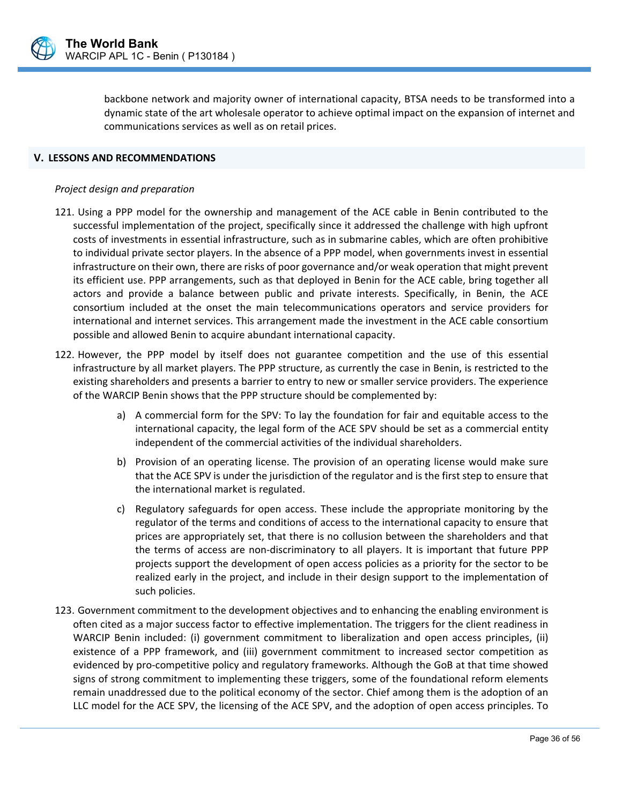

backbone network and majority owner of international capacity, BTSA needs to be transformed into a dynamic state of the art wholesale operator to achieve optimal impact on the expansion of internet and communications services as well as on retail prices.

#### **V. LESSONS AND RECOMMENDATIONS**

#### *Project design and preparation*

- 121. Using a PPP model for the ownership and management of the ACE cable in Benin contributed to the successful implementation of the project, specifically since it addressed the challenge with high upfront costs of investments in essential infrastructure, such as in submarine cables, which are often prohibitive to individual private sector players. In the absence of a PPP model, when governments invest in essential infrastructure on their own, there are risks of poor governance and/or weak operation that might prevent its efficient use. PPP arrangements, such as that deployed in Benin for the ACE cable, bring together all actors and provide a balance between public and private interests. Specifically, in Benin, the ACE consortium included at the onset the main telecommunications operators and service providers for international and internet services. This arrangement made the investment in the ACE cable consortium possible and allowed Benin to acquire abundant international capacity.
- 122. However, the PPP model by itself does not guarantee competition and the use of this essential infrastructure by all market players. The PPP structure, as currently the case in Benin, is restricted to the existing shareholders and presents a barrier to entry to new or smaller service providers. The experience of the WARCIP Benin shows that the PPP structure should be complemented by:
	- a) A commercial form for the SPV: To lay the foundation for fair and equitable access to the international capacity, the legal form of the ACE SPV should be set as a commercial entity independent of the commercial activities of the individual shareholders.
	- b) Provision of an operating license. The provision of an operating license would make sure that the ACE SPV is under the jurisdiction of the regulator and is the first step to ensure that the international market is regulated.
	- c) Regulatory safeguards for open access. These include the appropriate monitoring by the regulator of the terms and conditions of access to the international capacity to ensure that prices are appropriately set, that there is no collusion between the shareholders and that the terms of access are non-discriminatory to all players. It is important that future PPP projects support the development of open access policies as a priority for the sector to be realized early in the project, and include in their design support to the implementation of such policies.
- 123. Government commitment to the development objectives and to enhancing the enabling environment is often cited as a major success factor to effective implementation. The triggers for the client readiness in WARCIP Benin included: (i) government commitment to liberalization and open access principles, (ii) existence of a PPP framework, and (iii) government commitment to increased sector competition as evidenced by pro‐competitive policy and regulatory frameworks. Although the GoB at that time showed signs of strong commitment to implementing these triggers, some of the foundational reform elements remain unaddressed due to the political economy of the sector. Chief among them is the adoption of an LLC model for the ACE SPV, the licensing of the ACE SPV, and the adoption of open access principles. To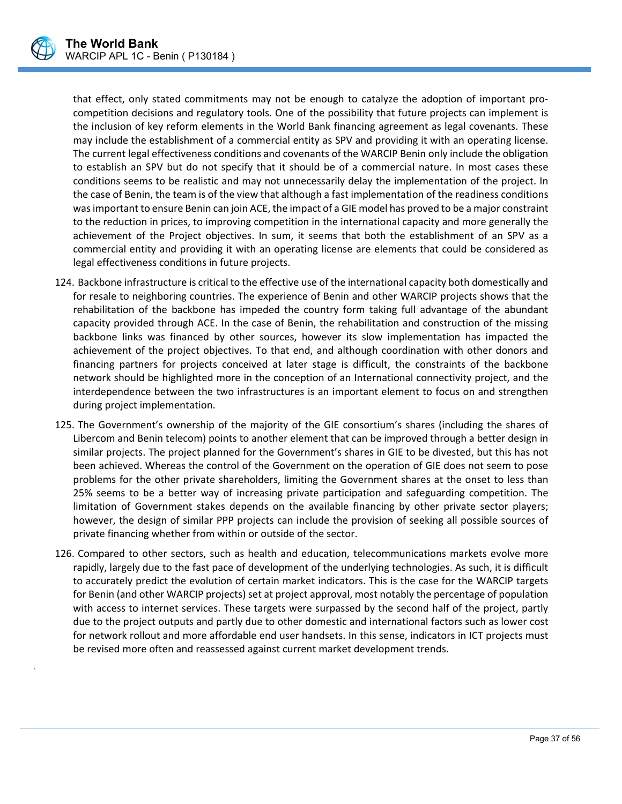

.

that effect, only stated commitments may not be enough to catalyze the adoption of important procompetition decisions and regulatory tools. One of the possibility that future projects can implement is the inclusion of key reform elements in the World Bank financing agreement as legal covenants. These may include the establishment of a commercial entity as SPV and providing it with an operating license. The current legal effectiveness conditions and covenants of the WARCIP Benin only include the obligation to establish an SPV but do not specify that it should be of a commercial nature. In most cases these conditions seems to be realistic and may not unnecessarily delay the implementation of the project. In the case of Benin, the team is of the view that although a fast implementation of the readiness conditions was important to ensure Benin can join ACE, the impact of a GIE model has proved to be a major constraint to the reduction in prices, to improving competition in the international capacity and more generally the achievement of the Project objectives. In sum, it seems that both the establishment of an SPV as a commercial entity and providing it with an operating license are elements that could be considered as legal effectiveness conditions in future projects.

- 124. Backbone infrastructure is critical to the effective use of the international capacity both domestically and for resale to neighboring countries. The experience of Benin and other WARCIP projects shows that the rehabilitation of the backbone has impeded the country form taking full advantage of the abundant capacity provided through ACE. In the case of Benin, the rehabilitation and construction of the missing backbone links was financed by other sources, however its slow implementation has impacted the achievement of the project objectives. To that end, and although coordination with other donors and financing partners for projects conceived at later stage is difficult, the constraints of the backbone network should be highlighted more in the conception of an International connectivity project, and the interdependence between the two infrastructures is an important element to focus on and strengthen during project implementation.
- 125. The Government's ownership of the majority of the GIE consortium's shares (including the shares of Libercom and Benin telecom) points to another element that can be improved through a better design in similar projects. The project planned for the Government's shares in GIE to be divested, but this has not been achieved. Whereas the control of the Government on the operation of GIE does not seem to pose problems for the other private shareholders, limiting the Government shares at the onset to less than 25% seems to be a better way of increasing private participation and safeguarding competition. The limitation of Government stakes depends on the available financing by other private sector players; however, the design of similar PPP projects can include the provision of seeking all possible sources of private financing whether from within or outside of the sector.
- 126. Compared to other sectors, such as health and education, telecommunications markets evolve more rapidly, largely due to the fast pace of development of the underlying technologies. As such, it is difficult to accurately predict the evolution of certain market indicators. This is the case for the WARCIP targets for Benin (and other WARCIP projects) set at project approval, most notably the percentage of population with access to internet services. These targets were surpassed by the second half of the project, partly due to the project outputs and partly due to other domestic and international factors such as lower cost for network rollout and more affordable end user handsets. In this sense, indicators in ICT projects must be revised more often and reassessed against current market development trends.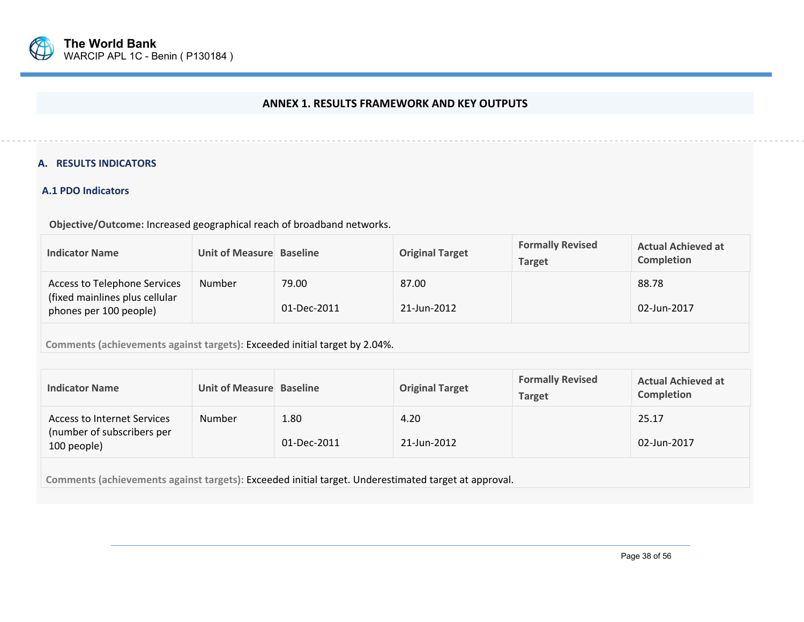

#### **ANNEX 1. RESULTS FRAMEWORK AND KEY OUTPUTS**

#### **A. RESULTS INDICATORS**

#### **A.1 PDO Indicators**

 **Objective/Outcome:** Increased geographical reach of broadband networks.

| <b>Indicator Name</b>                                                                           | Unit of Measure Baseline |                      | <b>Original Target</b> | <b>Formally Revised</b><br><b>Target</b> | <b>Actual Achieved at</b><br><b>Completion</b> |  |
|-------------------------------------------------------------------------------------------------|--------------------------|----------------------|------------------------|------------------------------------------|------------------------------------------------|--|
| <b>Access to Telephone Services</b><br>(fixed mainlines plus cellular<br>phones per 100 people) | <b>Number</b>            | 79.00<br>01-Dec-2011 | 87.00<br>21-Jun-2012   |                                          | 88.78<br>02-Jun-2017                           |  |
| Comments (achievements against targets): Exceeded initial target by 2.04%.                      |                          |                      |                        |                                          |                                                |  |

| <b>Indicator Name</b>                                                           | Unit of Measure Baseline |                     | <b>Original Target</b> | <b>Formally Revised</b><br><b>Target</b> | <b>Actual Achieved at</b><br>Completion |
|---------------------------------------------------------------------------------|--------------------------|---------------------|------------------------|------------------------------------------|-----------------------------------------|
| <b>Access to Internet Services</b><br>(number of subscribers per<br>100 people) | Number                   | 1.80<br>01-Dec-2011 | 4.20<br>21-Jun-2012    |                                          | 25.17<br>02-Jun-2017                    |
|                                                                                 |                          |                     |                        |                                          |                                         |

**Comments (achievements against targets):** Exceeded initial target. Underestimated target at approval.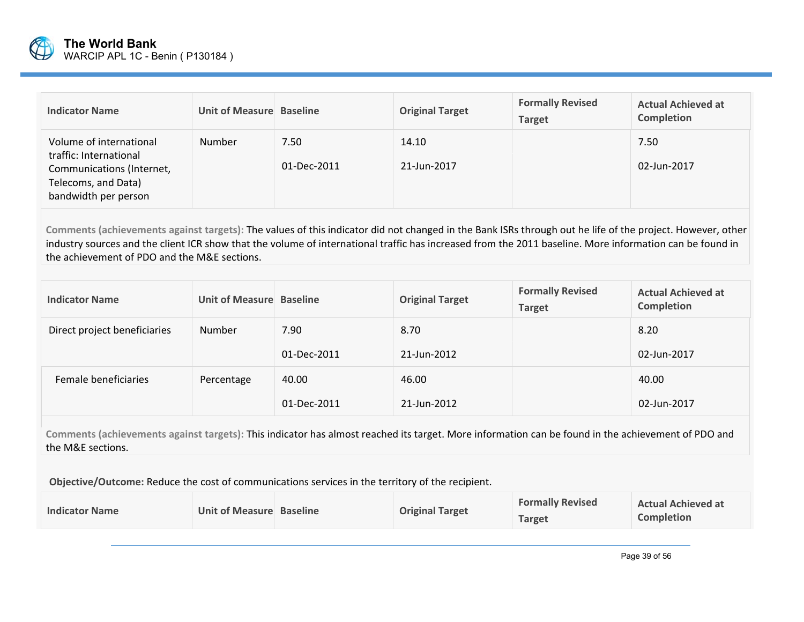

| <b>Indicator Name</b>                                                                                                         | Unit of Measure Baseline |                     | <b>Original Target</b> | <b>Formally Revised</b><br><b>Target</b> | <b>Actual Achieved at</b><br><b>Completion</b> |
|-------------------------------------------------------------------------------------------------------------------------------|--------------------------|---------------------|------------------------|------------------------------------------|------------------------------------------------|
| Volume of international<br>traffic: International<br>Communications (Internet,<br>Telecoms, and Data)<br>bandwidth per person | <b>Number</b>            | 7.50<br>01-Dec-2011 | 14.10<br>21-Jun-2017   |                                          | 7.50<br>02-Jun-2017                            |

**Comments (achievements against targets):** The values of this indicator did not changed in the Bank ISRs through out he life of the project. However, other industry sources and the client ICR show that the volume of international traffic has increased from the 2011 baseline. More information can be found in the achievement of PDO and the M&E sections.

| <b>Indicator Name</b>        | Unit of Measure Baseline |             | <b>Original Target</b> | <b>Formally Revised</b><br><b>Target</b> | <b>Actual Achieved at</b><br>Completion |
|------------------------------|--------------------------|-------------|------------------------|------------------------------------------|-----------------------------------------|
| Direct project beneficiaries | Number                   | 7.90        | 8.70                   |                                          | 8.20                                    |
|                              |                          | 01-Dec-2011 | 21-Jun-2012            |                                          | 02-Jun-2017                             |
| Female beneficiaries         | Percentage               | 40.00       | 46.00                  |                                          | 40.00                                   |
|                              |                          | 01-Dec-2011 | 21-Jun-2012            |                                          | 02-Jun-2017                             |

**Comments (achievements against targets):** This indicator has almost reached its target. More information can be found in the achievement of PDO and the M&E sections.

 **Objective/Outcome:** Reduce the cost of communications services in the territory of the recipient.

| <b>Indicator Name</b><br><b>Original Target</b><br>Unit of Measure Baseline | <b>Formally Revised</b><br><b>Actual Achieved at</b><br><b>Completion</b><br>Target |
|-----------------------------------------------------------------------------|-------------------------------------------------------------------------------------|
|-----------------------------------------------------------------------------|-------------------------------------------------------------------------------------|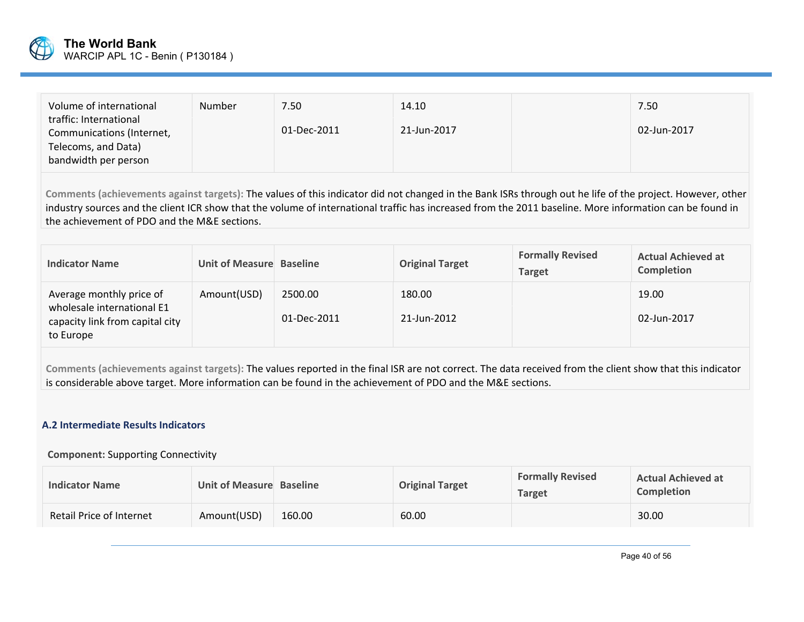

| Volume of international<br>Number<br>traffic: International<br>Communications (Internet,<br>Telecoms, and Data)<br>bandwidth per person | 7.50<br>01-Dec-2011 | 14.10<br>21-Jun-2017 |  | 7.50<br>02-Jun-2017 |
|-----------------------------------------------------------------------------------------------------------------------------------------|---------------------|----------------------|--|---------------------|
|-----------------------------------------------------------------------------------------------------------------------------------------|---------------------|----------------------|--|---------------------|

**Comments (achievements against targets):** The values of this indicator did not changed in the Bank ISRs through out he life of the project. However, other industry sources and the client ICR show that the volume of international traffic has increased from the 2011 baseline. More information can be found in the achievement of PDO and the M&E sections.

| <b>Indicator Name</b>                                                                                  | Unit of Measure Baseline |                        | <b>Original Target</b> | <b>Formally Revised</b><br><b>Target</b> | <b>Actual Achieved at</b><br><b>Completion</b> |
|--------------------------------------------------------------------------------------------------------|--------------------------|------------------------|------------------------|------------------------------------------|------------------------------------------------|
| Average monthly price of<br>wholesale international E1<br>capacity link from capital city<br>to Europe | Amount(USD)              | 2500.00<br>01-Dec-2011 | 180.00<br>21-Jun-2012  |                                          | 19.00<br>02-Jun-2017                           |

**Comments (achievements against targets):** The values reported in the final ISR are not correct. The data received from the client show that this indicator is considerable above target. More information can be found in the achievement of PDO and the M&E sections.

### **A.2 Intermediate Results Indicators**

#### **Component:** Supporting Connectivity

| <b>Indicator Name</b>    | Unit of Measure Baseline |        | <b>Original Target</b> | <b>Formally Revised</b><br><b>Target</b> | <b>Actual Achieved at</b><br><b>Completion</b> |
|--------------------------|--------------------------|--------|------------------------|------------------------------------------|------------------------------------------------|
| Retail Price of Internet | Amount(USD)              | 160.00 | 60.00                  |                                          | 30.00                                          |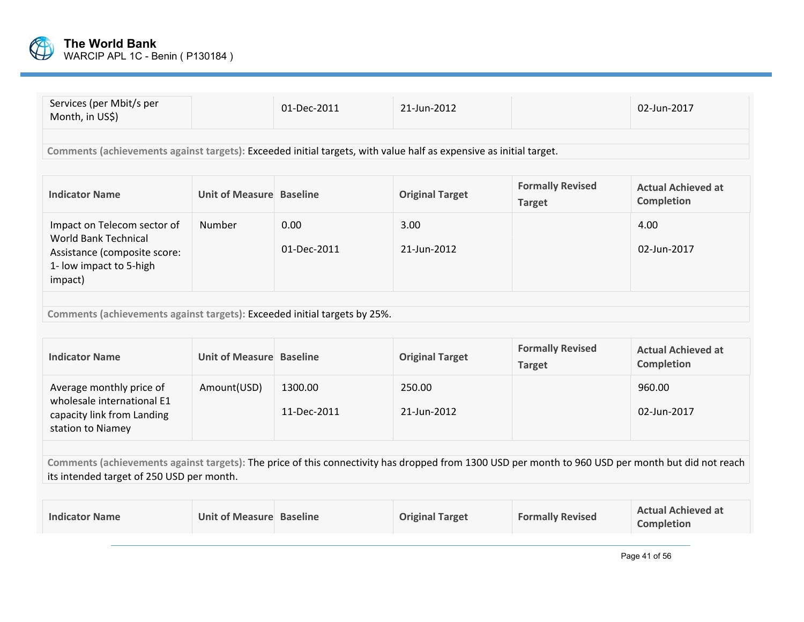

| Services (per Mbit/s per<br>Month, in US\$)                                                                                      |                          | 01-Dec-2011         | 21-Jun-2012            |                                          | 02-Jun-2017                                    |  |  |
|----------------------------------------------------------------------------------------------------------------------------------|--------------------------|---------------------|------------------------|------------------------------------------|------------------------------------------------|--|--|
| Comments (achievements against targets): Exceeded initial targets, with value half as expensive as initial target.               |                          |                     |                        |                                          |                                                |  |  |
| <b>Indicator Name</b>                                                                                                            | Unit of Measure Baseline |                     | <b>Original Target</b> | <b>Formally Revised</b><br><b>Target</b> | <b>Actual Achieved at</b><br><b>Completion</b> |  |  |
| Impact on Telecom sector of<br><b>World Bank Technical</b><br>Assistance (composite score:<br>1- low impact to 5-high<br>impact) | Number                   | 0.00<br>01-Dec-2011 | 3.00<br>21-Jun-2012    |                                          | 4.00<br>02-Jun-2017                            |  |  |
| Comments (achievements against targets): Exceeded initial targets by 25%.                                                        |                          |                     |                        |                                          |                                                |  |  |

| <b>Indicator Name</b>                                                                                     | Unit of Measure Baseline |                        | <b>Original Target</b> | <b>Formally Revised</b><br><b>Target</b> | <b>Actual Achieved at</b><br>Completion |
|-----------------------------------------------------------------------------------------------------------|--------------------------|------------------------|------------------------|------------------------------------------|-----------------------------------------|
| Average monthly price of<br>wholesale international E1<br>capacity link from Landing<br>station to Niamey | Amount(USD)              | 1300.00<br>11-Dec-2011 | 250.00<br>21-Jun-2012  |                                          | 960.00<br>02-Jun-2017                   |

**Comments (achievements against targets):** The price of this connectivity has dropped from 1300 USD per month to 960 USD per month but did not reach its intended target of 250 USD per month.

| <b>Indicator Name</b> | Unit of Measure Baseline | <b>Original Target</b> | <b>Formally Revised</b> | <b>Actual Achieved at</b><br><b>Completion</b> |
|-----------------------|--------------------------|------------------------|-------------------------|------------------------------------------------|
|                       |                          |                        |                         |                                                |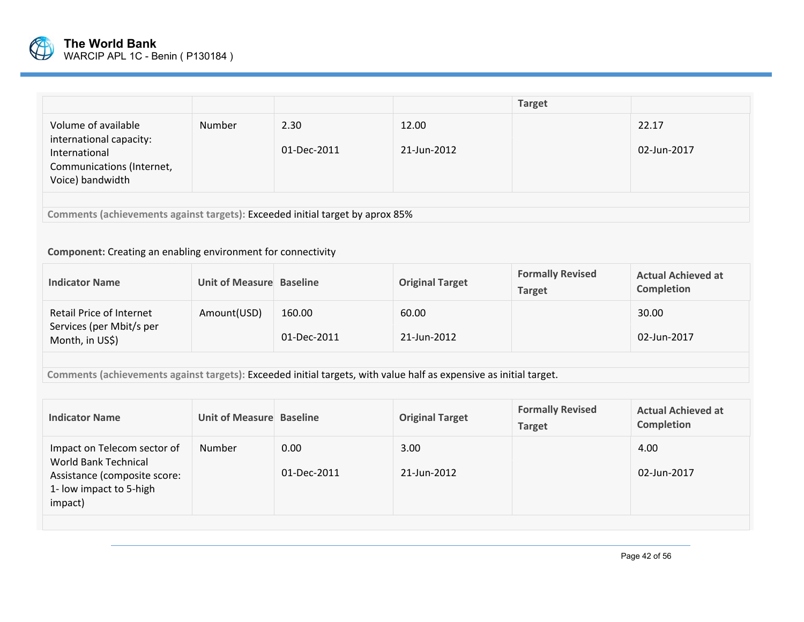

|                                                                                                                  |        |                     |                      | <b>Target</b> |                      |  |
|------------------------------------------------------------------------------------------------------------------|--------|---------------------|----------------------|---------------|----------------------|--|
| Volume of available<br>international capacity:<br>International<br>Communications (Internet,<br>Voice) bandwidth | Number | 2.30<br>01-Dec-2011 | 12.00<br>21-Jun-2012 |               | 22.17<br>02-Jun-2017 |  |
| Comments (achievements against targets): Exceeded initial target by aprox 85%                                    |        |                     |                      |               |                      |  |

#### **Component:** Creating an enabling environment for connectivity

| <b>Indicator Name</b>                                                                                                                                                                                                          | Unit of Measure Baseline |                       | <b>Original Target</b> | <b>Formally Revised</b><br><b>Target</b> | <b>Actual Achieved at</b><br><b>Completion</b> |  |  |  |  |  |  |  |
|--------------------------------------------------------------------------------------------------------------------------------------------------------------------------------------------------------------------------------|--------------------------|-----------------------|------------------------|------------------------------------------|------------------------------------------------|--|--|--|--|--|--|--|
| Retail Price of Internet<br>Services (per Mbit/s per<br>Month, in US\$)                                                                                                                                                        | Amount(USD)              | 160.00<br>01-Dec-2011 | 60.00<br>21-Jun-2012   |                                          | 30.00<br>02-Jun-2017                           |  |  |  |  |  |  |  |
| . According the letter compared and concerns to English the fit of the models with the legal control of the theory of the theory of the second control of the second control of the second control of the second control of th |                          |                       |                        |                                          |                                                |  |  |  |  |  |  |  |

**Comments (achievements against targets):** Exceeded initial targets, with value half as expensive as initial target.

| <b>Indicator Name</b>                                                                                                            | Unit of Measure Baseline |                     | <b>Original Target</b> | <b>Formally Revised</b><br><b>Target</b> | <b>Actual Achieved at</b><br>Completion |
|----------------------------------------------------------------------------------------------------------------------------------|--------------------------|---------------------|------------------------|------------------------------------------|-----------------------------------------|
| Impact on Telecom sector of<br><b>World Bank Technical</b><br>Assistance (composite score:<br>1- low impact to 5-high<br>impact) | Number                   | 0.00<br>01-Dec-2011 | 3.00<br>21-Jun-2012    |                                          | 4.00<br>02-Jun-2017                     |
|                                                                                                                                  |                          |                     |                        |                                          |                                         |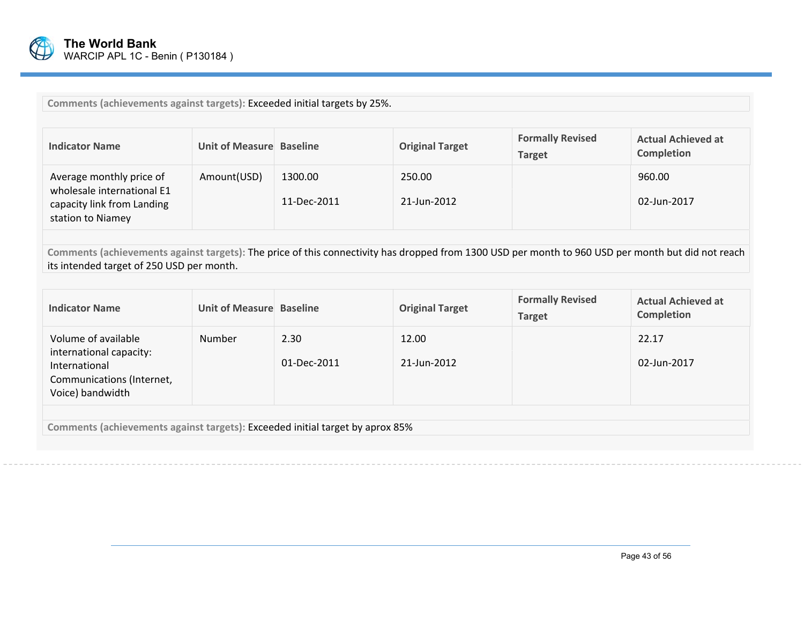

**Comments (achievements against targets):** Exceeded initial targets by 25%.

| <b>Indicator Name</b>                                                                                     | Unit of Measure Baseline |                        | <b>Original Target</b> | <b>Formally Revised</b><br><b>Target</b> | <b>Actual Achieved at</b><br><b>Completion</b> |
|-----------------------------------------------------------------------------------------------------------|--------------------------|------------------------|------------------------|------------------------------------------|------------------------------------------------|
| Average monthly price of<br>wholesale international E1<br>capacity link from Landing<br>station to Niamey | Amount(USD)              | 1300.00<br>11-Dec-2011 | 250.00<br>21-Jun-2012  |                                          | 960.00<br>02-Jun-2017                          |

**Comments (achievements against targets):** The price of this connectivity has dropped from 1300 USD per month to 960 USD per month but did not reach its intended target of 250 USD per month.

| <b>Indicator Name</b>                                                                                            | Unit of Measure Baseline |                     | <b>Original Target</b> | <b>Formally Revised</b><br><b>Target</b> | <b>Actual Achieved at</b><br>Completion |  |  |  |  |  |  |
|------------------------------------------------------------------------------------------------------------------|--------------------------|---------------------|------------------------|------------------------------------------|-----------------------------------------|--|--|--|--|--|--|
| Volume of available<br>international capacity:<br>International<br>Communications (Internet,<br>Voice) bandwidth | <b>Number</b>            | 2.30<br>01-Dec-2011 | 12.00<br>21-Jun-2012   |                                          | 22.17<br>02-Jun-2017                    |  |  |  |  |  |  |
|                                                                                                                  |                          |                     |                        |                                          |                                         |  |  |  |  |  |  |

**Comments (achievements against targets):** Exceeded initial target by aprox 85%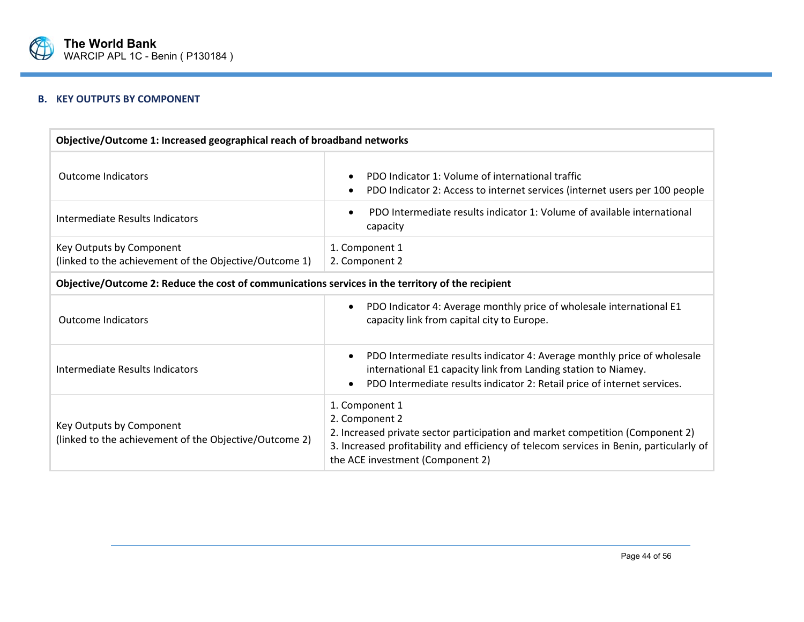

## **B. KEY OUTPUTS BY COMPONENT**

| Objective/Outcome 1: Increased geographical reach of broadband networks                           |                                                                                                                                                                                                                                                   |  |  |  |  |  |  |  |  |  |
|---------------------------------------------------------------------------------------------------|---------------------------------------------------------------------------------------------------------------------------------------------------------------------------------------------------------------------------------------------------|--|--|--|--|--|--|--|--|--|
| <b>Outcome Indicators</b>                                                                         | PDO Indicator 1: Volume of international traffic<br>PDO Indicator 2: Access to internet services (internet users per 100 people                                                                                                                   |  |  |  |  |  |  |  |  |  |
| Intermediate Results Indicators                                                                   | PDO Intermediate results indicator 1: Volume of available international<br>capacity                                                                                                                                                               |  |  |  |  |  |  |  |  |  |
| Key Outputs by Component<br>(linked to the achievement of the Objective/Outcome 1)                | 1. Component 1<br>2. Component 2                                                                                                                                                                                                                  |  |  |  |  |  |  |  |  |  |
| Objective/Outcome 2: Reduce the cost of communications services in the territory of the recipient |                                                                                                                                                                                                                                                   |  |  |  |  |  |  |  |  |  |
| <b>Outcome Indicators</b>                                                                         | PDO Indicator 4: Average monthly price of wholesale international E1<br>capacity link from capital city to Europe.                                                                                                                                |  |  |  |  |  |  |  |  |  |
| Intermediate Results Indicators                                                                   | PDO Intermediate results indicator 4: Average monthly price of wholesale<br>$\bullet$<br>international E1 capacity link from Landing station to Niamey.<br>PDO Intermediate results indicator 2: Retail price of internet services.               |  |  |  |  |  |  |  |  |  |
| Key Outputs by Component<br>(linked to the achievement of the Objective/Outcome 2)                | 1. Component 1<br>2. Component 2<br>2. Increased private sector participation and market competition (Component 2)<br>3. Increased profitability and efficiency of telecom services in Benin, particularly of<br>the ACE investment (Component 2) |  |  |  |  |  |  |  |  |  |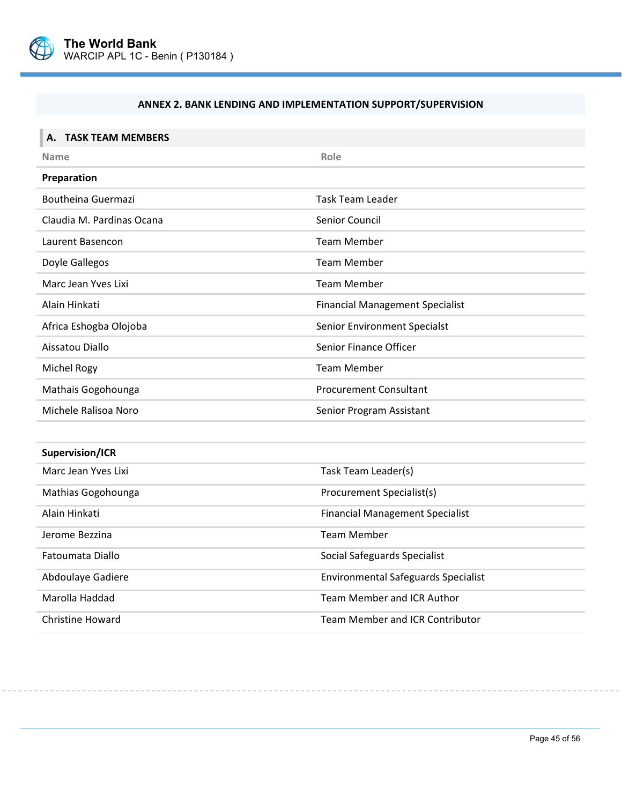

 $\overline{a}$ 

# **ANNEX 2. BANK LENDING AND IMPLEMENTATION SUPPORT/SUPERVISION**

| A. TASK TEAM MEMBERS      |                                            |
|---------------------------|--------------------------------------------|
| <b>Name</b>               | Role                                       |
| Preparation               |                                            |
| <b>Boutheina Guermazi</b> | <b>Task Team Leader</b>                    |
| Claudia M. Pardinas Ocana | Senior Council                             |
| Laurent Basencon          | <b>Team Member</b>                         |
| Doyle Gallegos            | <b>Team Member</b>                         |
| Marc Jean Yves Lixi       | <b>Team Member</b>                         |
| Alain Hinkati             | <b>Financial Management Specialist</b>     |
| Africa Eshogba Olojoba    | Senior Environment Specialst               |
| Aissatou Diallo           | Senior Finance Officer                     |
| Michel Rogy               | <b>Team Member</b>                         |
| Mathais Gogohounga        | <b>Procurement Consultant</b>              |
| Michele Ralisoa Noro      | Senior Program Assistant                   |
|                           |                                            |
| Supervision/ICR           |                                            |
| Marc Jean Yves Lixi       | Task Team Leader(s)                        |
| Mathias Gogohounga        | Procurement Specialist(s)                  |
| Alain Hinkati             | <b>Financial Management Specialist</b>     |
| Jerome Bezzina            | <b>Team Member</b>                         |
| Fatoumata Diallo          | Social Safeguards Specialist               |
| Abdoulaye Gadiere         | <b>Environmental Safeguards Specialist</b> |
| Marolla Haddad            | Team Member and ICR Author                 |
| <b>Christine Howard</b>   | <b>Team Member and ICR Contributor</b>     |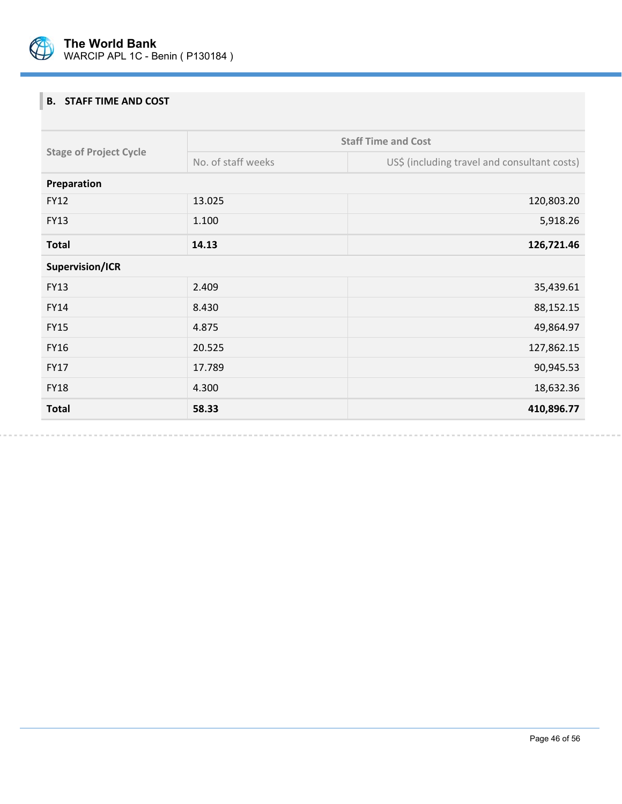

# **B. STAFF TIME AND COST**

| <b>Total</b>                  | 58.33              | 410,896.77                                   |
|-------------------------------|--------------------|----------------------------------------------|
| <b>FY18</b>                   | 4.300              | 18,632.36                                    |
| <b>FY17</b>                   | 17.789             | 90,945.53                                    |
| <b>FY16</b>                   | 20.525             | 127,862.15                                   |
| <b>FY15</b>                   | 4.875              | 49,864.97                                    |
| <b>FY14</b>                   | 8.430              | 88,152.15                                    |
| <b>FY13</b>                   | 2.409              | 35,439.61                                    |
| Supervision/ICR               |                    |                                              |
| <b>Total</b>                  | 14.13              | 126,721.46                                   |
| <b>FY13</b>                   | 1.100              | 5,918.26                                     |
| <b>FY12</b>                   | 13.025             | 120,803.20                                   |
| Preparation                   |                    |                                              |
| <b>Stage of Project Cycle</b> | No. of staff weeks | US\$ (including travel and consultant costs) |
|                               |                    | <b>Staff Time and Cost</b>                   |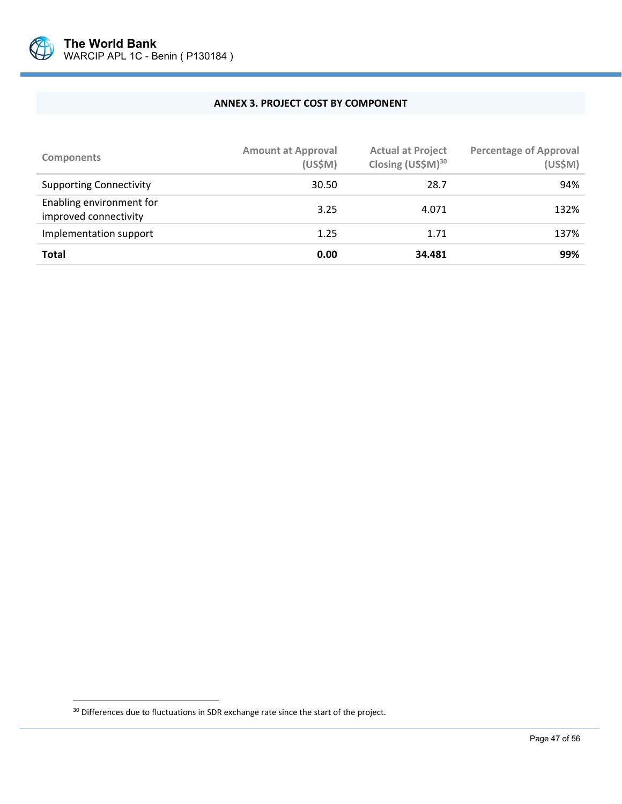

#### **ANNEX 3. PROJECT COST BY COMPONENT**

| <b>Components</b>                                 | <b>Amount at Approval</b><br>(US\$M) | <b>Actual at Project</b><br>Closing (US\$M) <sup>30</sup> | <b>Percentage of Approval</b><br>(US\$M) |
|---------------------------------------------------|--------------------------------------|-----------------------------------------------------------|------------------------------------------|
| <b>Supporting Connectivity</b>                    | 30.50                                | 28.7                                                      | 94%                                      |
| Enabling environment for<br>improved connectivity | 3.25                                 | 4.071                                                     | 132%                                     |
| Implementation support                            | 1.25                                 | 1.71                                                      | 137%                                     |
| <b>Total</b>                                      | 0.00                                 | 34.481                                                    | 99%                                      |

 $\overline{a}$ 

<sup>&</sup>lt;sup>30</sup> Differences due to fluctuations in SDR exchange rate since the start of the project.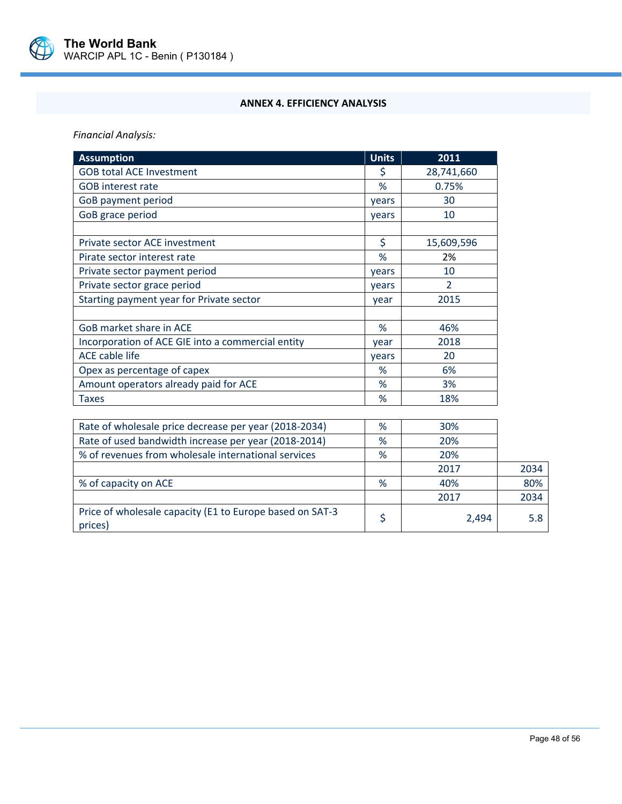

### **ANNEX 4. EFFICIENCY ANALYSIS**

*Financial Analysis:* 

| <b>Assumption</b>                                     | <b>Units</b> | 2011          |
|-------------------------------------------------------|--------------|---------------|
| <b>GOB total ACE Investment</b>                       | \$           | 28,741,660    |
| <b>GOB</b> interest rate                              | %            | 0.75%         |
| GoB payment period                                    | years        | 30            |
| GoB grace period                                      | years        | 10            |
|                                                       |              |               |
| Private sector ACE investment                         | \$           | 15,609,596    |
| Pirate sector interest rate                           | %            | 2%            |
| Private sector payment period                         | years        | 10            |
| Private sector grace period                           | years        | $\mathcal{P}$ |
| Starting payment year for Private sector              | year         | 2015          |
|                                                       |              |               |
| GoB market share in ACE                               | %            | 46%           |
| Incorporation of ACE GIE into a commercial entity     | vear         | 2018          |
| <b>ACE cable life</b>                                 | years        | 20            |
| Opex as percentage of capex                           | %            | 6%            |
| Amount operators already paid for ACE                 | %            | 3%            |
| <b>Taxes</b>                                          | %            | 18%           |
|                                                       |              |               |
| Bata of upolocale price decrease per vear (2019 2024) | $\Omega$     | 200           |

| Rate of wholesale price decrease per year (2018-2034)               | % | 30%   |      |
|---------------------------------------------------------------------|---|-------|------|
| Rate of used bandwidth increase per year (2018-2014)                | % | 20%   |      |
| % of revenues from wholesale international services                 | % | 20%   |      |
|                                                                     |   | 2017  | 2034 |
| % of capacity on ACE                                                | % | 40%   | 80%  |
|                                                                     |   | 2017  | 2034 |
| Price of wholesale capacity (E1 to Europe based on SAT-3<br>prices) |   | 2,494 | 5.8  |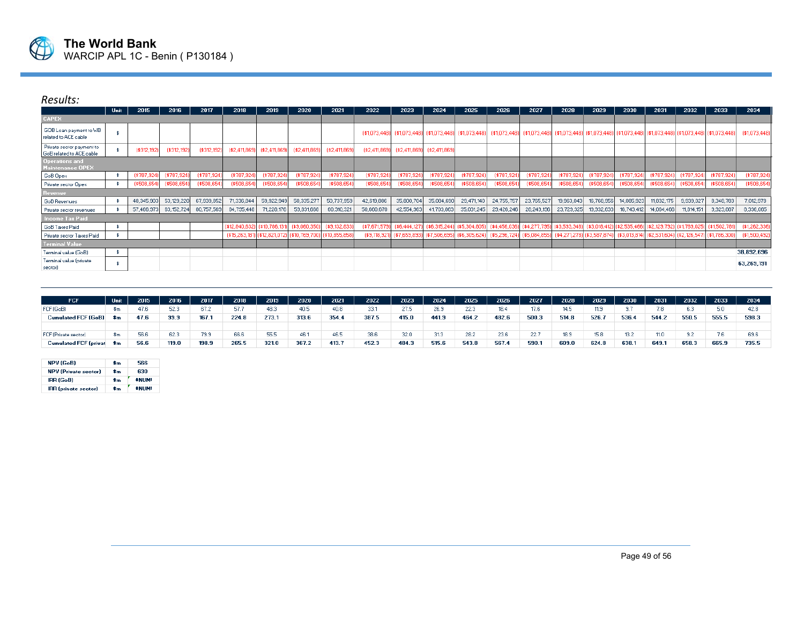

# *Results:*

|                                                       | Unit | 2015          | 2016         | 2017        | 2018                         | 2019          | 2020          | 2021           | 2022           | 2023           | 2024                         | 2025           | 2026                        | 2027                                                                                                                  | 2028                        | 2029                        | 2030          | 2031         | 2032                                     | 2033        | 2034           |
|-------------------------------------------------------|------|---------------|--------------|-------------|------------------------------|---------------|---------------|----------------|----------------|----------------|------------------------------|----------------|-----------------------------|-----------------------------------------------------------------------------------------------------------------------|-----------------------------|-----------------------------|---------------|--------------|------------------------------------------|-------------|----------------|
| <b>CAPEX</b>                                          |      |               |              |             |                              |               |               |                |                |                |                              |                |                             |                                                                                                                       |                             |                             |               |              |                                          |             |                |
| GOB Loan payment to VB<br>related to ACE cable        |      |               |              |             |                              |               |               |                | (\$1,073,448)  |                | (\$1,073,448) [\$1,073,448)  | \$1,073,448]   |                             | (\$1,073,448)  (\$1,073,448)  (\$1,073,448)  (\$1,073,448)  (\$1,073,448)  (\$1,073,448)  (\$1,073,448)  (\$1,073,448 |                             |                             |               |              |                                          |             | (\$1,073,448)  |
| Private sector payment to<br>GoB related to ACE cable |      | $(*312, 192)$ | (\$312,192   | (\$312,192  | ( \$2,411,869]               | (\$2,411,869  | (\$2,411,869  | [42,411,869]   | $(*2,411,869)$ | $(*2,411,869)$ | (\$2,411,869                 |                |                             |                                                                                                                       |                             |                             |               |              |                                          |             |                |
| <b>Operations and</b><br>Maintenance OPEX             |      |               |              |             |                              |               |               |                |                |                |                              |                |                             |                                                                                                                       |                             |                             |               |              |                                          |             |                |
| GoB Opex                                              |      | (\$787,924)   | $(*787,924)$ | (\$787,924  | $(*787,924)$                 | (\$787,924    | (\$787,924)   | (\$787,924     | (\$787,924     | $(*787,924)$   | (\$787,924                   | (\$787,924     | (\$787,924)                 | (\$787,924                                                                                                            | (\$787,924                  | (\$787,924                  | (\$787,92)    | $(*787.924]$ | (\$787,924)                              | (\$787,924  | $(*787,924)$   |
| Private sector Opex                                   |      | ( \$508, 654] | (\$508,654)  | (\$508,654) | $(*508,654)$                 | (\$508,654    | (\$508,654    | \$508,654      | (\$508,654     | $(*508,654)$   | (\$508,654                   | (\$508,654)    | \$508,654)                  | (\$508,654                                                                                                            | (\$508,654)                 | (\$508,654)                 | \$508,654     | (\$508,654)  | $(*508,654)$                             | (\$508,654) | (\$508,654)    |
| <b>Hevenue</b>                                        |      |               |              |             |                              |               |               |                |                |                |                              |                |                             |                                                                                                                       |                             |                             |               |              |                                          |             |                |
| GoB Revenues                                          |      | 48,345,903    | 53,129,220   | 67,939,852  | 71,336,844                   | 59,922,949    | 50,335,277    | 50,737,959     | 42,619,886     | 35,800,704     | 35,084,690                   | 29,471,140     | 24,755,757                  | 23,765,527                                                                                                            | 19,963,043                  | 16,768,956                  | 14,085,923    | 11,832,175   | 9,939,027                                | 8,348,783   | 7,012,978      |
| Private sector revenues                               |      | 57,466,973    | 63, 152, 724 | 80,757,569  | 84,795,448                   | 71,228,176    | 59,831,668    | 60,310,321     | 50,660,670     | 42,554,963     | 41,703,863                   | 35,031,245     | 29,426,246                  | 28,249,196                                                                                                            | 23,729,325                  | 19,932,633                  | 16,743,412    | 14,064,466   | 11,814,151                               | 9,923,887   | 8,336,065      |
| <b>Income Tax Paid</b>                                |      |               |              |             |                              |               |               |                |                |                |                              |                |                             |                                                                                                                       |                             |                             |               |              |                                          |             |                |
| GoB Taxes Paid                                        |      |               |              |             | $(*12,840,632)$              | (\$10,786,13" | (\$9,060,350  | (\$9,132,833)  | $(*7,671,57$   |                | $(*6,444,127)$ (\$6,315,244) | $(*5,304,805)$ |                             | (\$4,456,036) (\$4,277,795) (\$3,593,348)                                                                             |                             | (\$3,018,412) (\$2,535,466) |               |              | (\$2,129,792) (\$1,789,025) (\$1,502,781 |             | $(*1,262,336)$ |
| Private sector Taxes Paid                             |      |               |              |             | (\$15,263,181) (\$12,821,072 |               | (\$10,769,700 | (\$10,855,858) | (\$9,118,92)   | (\$7,659,893)  | $(*7,506,695)$               | (\$6,305,624)  | (\$5,296,724) (\$5,084,855) |                                                                                                                       | (\$4,271,278) (\$3,587,874) |                             | (\$3,013,814) |              | (\$2,531,604) (\$2,126,547) (\$1,786,300 |             | (\$1,500,492)  |
| <b>Terminal Value</b>                                 |      |               |              |             |                              |               |               |                |                |                |                              |                |                             |                                                                                                                       |                             |                             |               |              |                                          |             |                |
| Terminal value (GoB)                                  |      |               |              |             |                              |               |               |                |                |                |                              |                |                             |                                                                                                                       |                             |                             |               |              |                                          |             | 38,892,696     |
| Terminal value (private<br>sector)                    |      |               |              |             |                              |               |               |                |                |                |                              |                |                             |                                                                                                                       |                             |                             |               |              |                                          |             | 63,269,191     |

| <b>FCF</b>                   | Unit  | 2015 | 2016  | 2017  | 2018  | 2019  | 2020  | 2021  | 2022  | 2023  | 2024  | 2025  | 2026  | 2027  | 2028  | 2029  | 2030  | 2031  | 2032  | 2033  | 2034 |
|------------------------------|-------|------|-------|-------|-------|-------|-------|-------|-------|-------|-------|-------|-------|-------|-------|-------|-------|-------|-------|-------|------|
| FCF (GoB)                    | \$m.  | 47.6 | 52.   |       | 57.7  | 48.3  | 40.5  | 40.8  | 33.1  | 27.5  | 26.9  | 22.3  | 18.4  | 17.6  | 14.5  |       |       | 7.8   | 6.3   |       | 42.8 |
| Cumulated FCF (GoB) \$m      |       | 47.6 | 99.9  | 167.1 | 224.8 | 273.  | 313.6 | 354.4 | 387.5 | 415.0 | 441.9 | 464.2 | 482.6 | 500.3 | 514.8 | 526.  | 536.4 | 544.2 | 550.5 | 555.5 | 598. |
|                              |       |      |       |       |       |       |       |       |       |       |       |       |       |       |       |       |       |       |       |       |      |
| <b>FCF</b> (Private sector)  |       | 56.6 | 62.   | 79.9  | 66.6  | 55.5  | 46.1  | 46.5  | 38.6  | 32.0  | 31.3  | 28.2  | 23.6  | 22.7  | 18.9  | 15.8  | 13.2  | 11.0  | 9.2   |       | 69.6 |
| <b>Cumulated FCF (privat</b> | — \$m | 56.6 | 119.0 | 198.9 | 265.5 | 321.0 | 367.2 | 413.7 | 452.3 | 484.3 | 515.6 | 543.8 | 567.4 | 590.  | 609.0 | 624.8 | 638.1 | 649.  | 658.3 | 665.9 | 735. |

| NPV (GoB)                   | \$m   | 566            |
|-----------------------------|-------|----------------|
| <b>NPV (Private sector)</b> | \$m   | 630            |
| <b>IRR (GoB)</b>            | \$m\$ | <b>#NUM!</b>   |
| <b>IRR</b> (private sector) | \$m   | <b>#NI IM!</b> |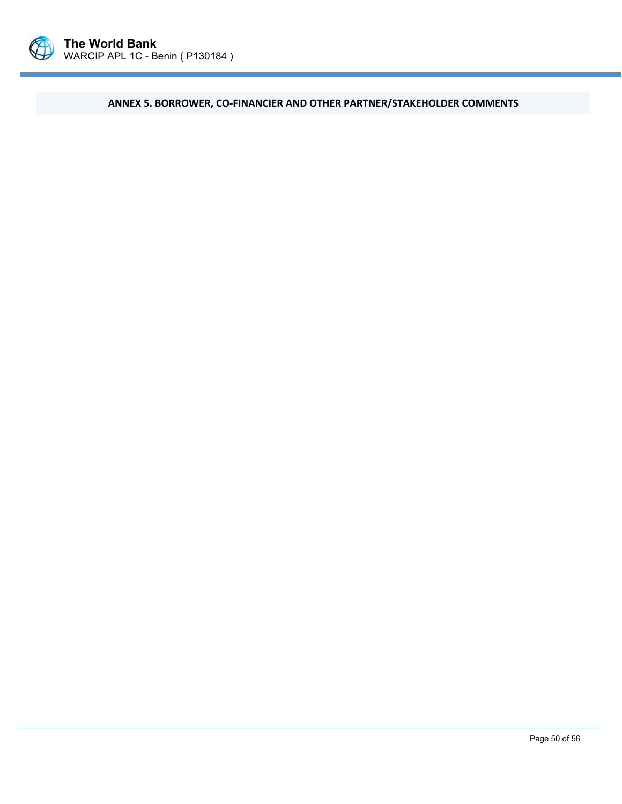

**ANNEX 5. BORROWER, CO‐FINANCIER AND OTHER PARTNER/STAKEHOLDER COMMENTS**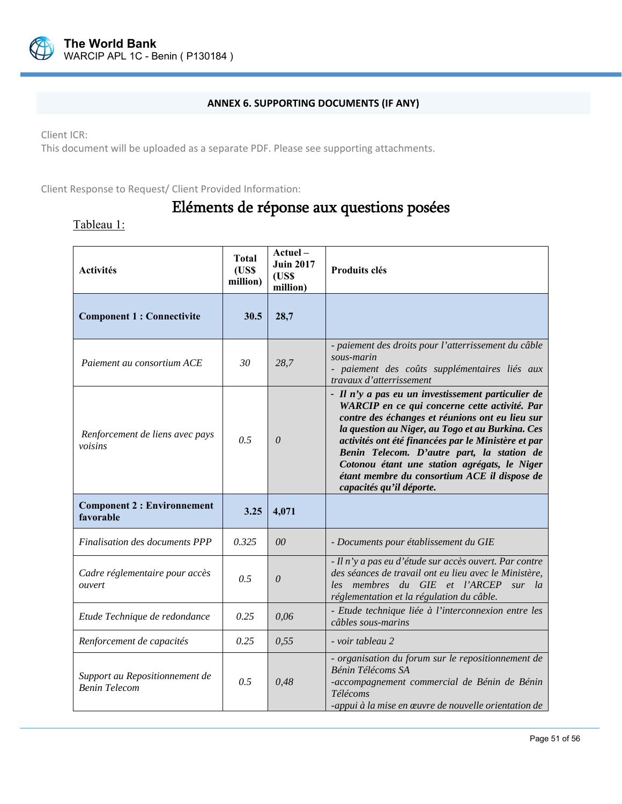

### **ANNEX 6. SUPPORTING DOCUMENTS (IF ANY)**

Client ICR:

This document will be uploaded as a separate PDF. Please see supporting attachments.

Client Response to Request/ Client Provided Information:

# Eléments de réponse aux questions posées

# Tableau 1:

| <b>Activités</b>                                       | <b>Total</b><br>(USS)<br>million) | Actuel-<br><b>Juin 2017</b><br>(USS)<br>million) | Produits clés                                                                                                                                                                                                                                                                                                                                                                                                                               |
|--------------------------------------------------------|-----------------------------------|--------------------------------------------------|---------------------------------------------------------------------------------------------------------------------------------------------------------------------------------------------------------------------------------------------------------------------------------------------------------------------------------------------------------------------------------------------------------------------------------------------|
| <b>Component 1 : Connectivite</b>                      | 30.5                              | 28,7                                             |                                                                                                                                                                                                                                                                                                                                                                                                                                             |
| Paiement au consortium ACE                             | 30                                | 28,7                                             | - paiement des droits pour l'atterrissement du câble<br>sous-marin<br>- paiement des coûts supplémentaires liés aux<br>travaux d'atterrissement                                                                                                                                                                                                                                                                                             |
| Renforcement de liens avec pays<br>voisins             | 0.5                               | 0                                                | - Il n'y a pas eu un investissement particulier de<br>WARCIP en ce qui concerne cette activité. Par<br>contre des échanges et réunions ont eu lieu sur<br>la question au Niger, au Togo et au Burkina. Ces<br>activités ont été financées par le Ministère et par<br>Benin Telecom. D'autre part, la station de<br>Cotonou étant une station agrégats, le Niger<br>étant membre du consortium ACE il dispose de<br>capacités qu'il déporte. |
| <b>Component 2 : Environnement</b><br>favorable        | 3.25                              | 4,071                                            |                                                                                                                                                                                                                                                                                                                                                                                                                                             |
| Finalisation des documents PPP                         | 0.325                             | 0 <sup>0</sup>                                   | - Documents pour établissement du GIE                                                                                                                                                                                                                                                                                                                                                                                                       |
| Cadre réglementaire pour accès<br>ouvert               | 0.5                               | 0                                                | - Il n'y a pas eu d'étude sur accès ouvert. Par contre<br>des séances de travail ont eu lieu avec le Ministère,<br>membres du GIE et l'ARCEP<br>les<br>sur la<br>réglementation et la régulation du câble.                                                                                                                                                                                                                                  |
| Etude Technique de redondance                          | 0.25                              | 0,06                                             | - Etude technique liée à l'interconnexion entre les<br>câbles sous-marins                                                                                                                                                                                                                                                                                                                                                                   |
| Renforcement de capacités                              | 0.25                              | 0,55                                             | - voir tableau 2                                                                                                                                                                                                                                                                                                                                                                                                                            |
| Support au Repositionnement de<br><b>Benin Telecom</b> | 0.5                               | 0,48                                             | - organisation du forum sur le repositionnement de<br>Bénin Télécoms SA<br>-accompagnement commercial de Bénin de Bénin<br>Télécoms<br>-appui à la mise en œuvre de nouvelle orientation de                                                                                                                                                                                                                                                 |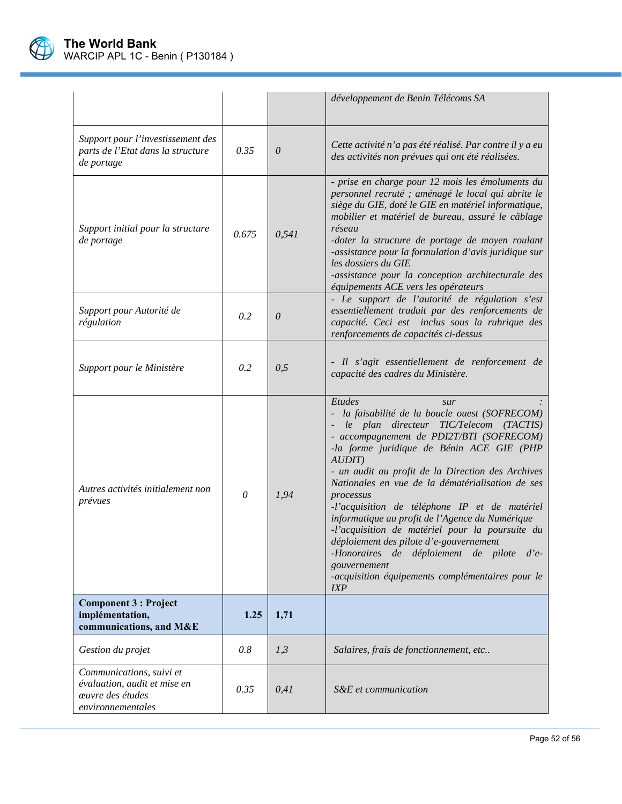

|                                                                                                   |          |          | développement de Benin Télécoms SA                                                                                                                                                                                                                                                                                                                                                                                                                                                                                                                                                                                                                               |
|---------------------------------------------------------------------------------------------------|----------|----------|------------------------------------------------------------------------------------------------------------------------------------------------------------------------------------------------------------------------------------------------------------------------------------------------------------------------------------------------------------------------------------------------------------------------------------------------------------------------------------------------------------------------------------------------------------------------------------------------------------------------------------------------------------------|
| Support pour l'investissement des<br>parts de l'Etat dans la structure<br>de portage              | 0.35     | 0        | Cette activité n'a pas été réalisé. Par contre il y a eu<br>des activités non prévues qui ont été réalisées.                                                                                                                                                                                                                                                                                                                                                                                                                                                                                                                                                     |
| Support initial pour la structure<br>de portage                                                   | 0.675    | 0,541    | - prise en charge pour 12 mois les émoluments du<br>personnel recruté ; aménagé le local qui abrite le<br>siège du GIE, doté le GIE en matériel informatique,<br>mobilier et matériel de bureau, assuré le câblage<br>réseau<br>-doter la structure de portage de moyen roulant<br>-assistance pour la formulation d'avis juridique sur<br>les dossiers du GIE<br>-assistance pour la conception architecturale des<br>équipements ACE vers les opérateurs                                                                                                                                                                                                       |
| Support pour Autorité de<br>régulation                                                            | 0.2      | $\theta$ | - Le support de l'autorité de régulation s'est<br>essentiellement traduit par des renforcements de<br>capacité. Ceci est inclus sous la rubrique des<br>renforcements de capacités ci-dessus                                                                                                                                                                                                                                                                                                                                                                                                                                                                     |
| Support pour le Ministère                                                                         | 0.2      | 0,5      | - Il s'agit essentiellement de renforcement de<br>capacité des cadres du Ministère.                                                                                                                                                                                                                                                                                                                                                                                                                                                                                                                                                                              |
| Autres activités initialement non<br>prévues                                                      | $\theta$ | 1,94     | Etudes<br>sur<br>la faisabilité de la boucle ouest (SOFRECOM)<br>le plan directeur TIC/Telecom (TACTIS)<br>- accompagnement de PDI2T/BTI (SOFRECOM)<br>-la forme juridique de Bénin ACE GIE (PHP<br>AUDIT<br>- un audit au profit de la Direction des Archives<br>Nationales en vue de la dématérialisation de ses<br>processus<br>-l'acquisition de téléphone IP et de matériel<br>informatique au profit de l'Agence du Numérique<br>-l'acquisition de matériel pour la poursuite du<br>déploiement des pilote d'e-gouvernement<br>-Honoraires de déploiement de pilote d'e-<br>gouvernement<br>-acquisition équipements complémentaires pour le<br><i>IXP</i> |
| <b>Component 3 : Project</b><br>implémentation,<br>communications, and M&E                        | 1.25     | 1,71     |                                                                                                                                                                                                                                                                                                                                                                                                                                                                                                                                                                                                                                                                  |
| Gestion du projet                                                                                 | 0.8      | 1,3      | Salaires, frais de fonctionnement, etc                                                                                                                                                                                                                                                                                                                                                                                                                                                                                                                                                                                                                           |
| Communications, suivi et<br>évaluation, audit et mise en<br>œuvre des études<br>environnementales | 0.35     | 0,41     | S&E et communication                                                                                                                                                                                                                                                                                                                                                                                                                                                                                                                                                                                                                                             |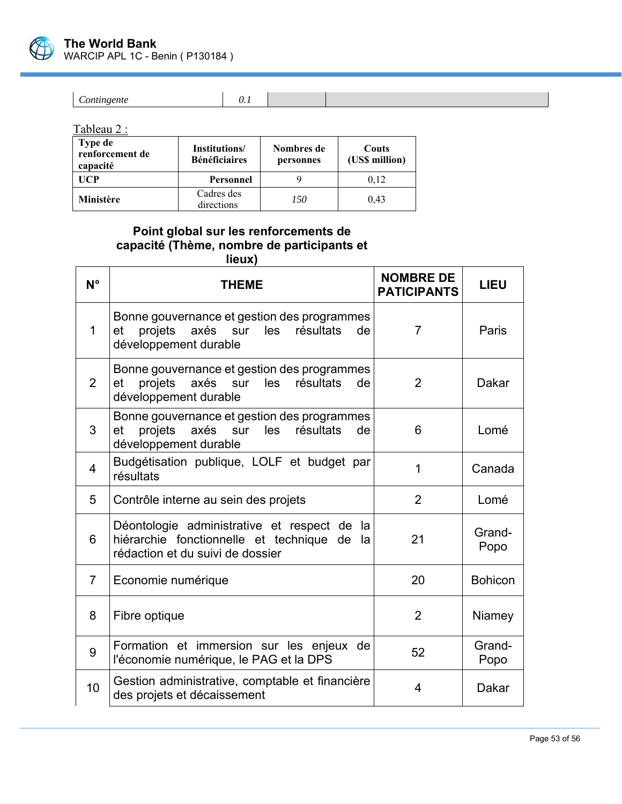

Tableau 2 :

| <b>Type de</b><br>renforcement de<br>capacité | Institutions/<br><b>Bénéficiaires</b> | Nombres de<br>personnes | Couts<br>(US\$ million) |
|-----------------------------------------------|---------------------------------------|-------------------------|-------------------------|
| <b>UCP</b>                                    | Personnel                             |                         | 0.12                    |
| Ministère                                     | Cadres des<br>directions              | 150                     | 0.43                    |

# **Point global sur les renforcements de capacité (Thème, nombre de participants et lieux)**

| $N^{\circ}$    | <b>THEME</b>                                                                                                                   | <b>NOMBRE DE</b><br><b>PATICIPANTS</b> | <b>LIEU</b>    |
|----------------|--------------------------------------------------------------------------------------------------------------------------------|----------------------------------------|----------------|
| 1              | Bonne gouvernance et gestion des programmes<br>axés sur<br>projets<br>les<br>résultats<br>et<br>de<br>développement durable    | $\overline{7}$                         | Paris          |
| $\overline{2}$ | Bonne gouvernance et gestion des programmes<br>projets<br>axés sur<br>les<br>et<br>résultats<br>de<br>développement durable    | 2                                      | Dakar          |
| 3              | Bonne gouvernance et gestion des programmes<br>axés sur<br>les<br>résultats<br>et<br>projets<br>de<br>développement durable    | 6                                      | Lomé           |
| 4              | Budgétisation publique, LOLF et budget par<br>résultats                                                                        | 1                                      | Canada         |
| 5              | Contrôle interne au sein des projets                                                                                           | 2                                      | Lomé           |
| 6              | Déontologie administrative et respect de la<br>hiérarchie fonctionnelle et technique de la<br>rédaction et du suivi de dossier | 21                                     | Grand-<br>Popo |
| 7              | Economie numérique                                                                                                             | 20                                     | <b>Bohicon</b> |
| 8              | Fibre optique                                                                                                                  | $\overline{2}$                         | Niamey         |
| 9              | Formation et immersion sur les enjeux de<br>l'économie numérique, le PAG et la DPS                                             | 52                                     | Grand-<br>Popo |
| 10             | Gestion administrative, comptable et financière<br>des projets et décaissement                                                 | 4                                      | <b>Dakar</b>   |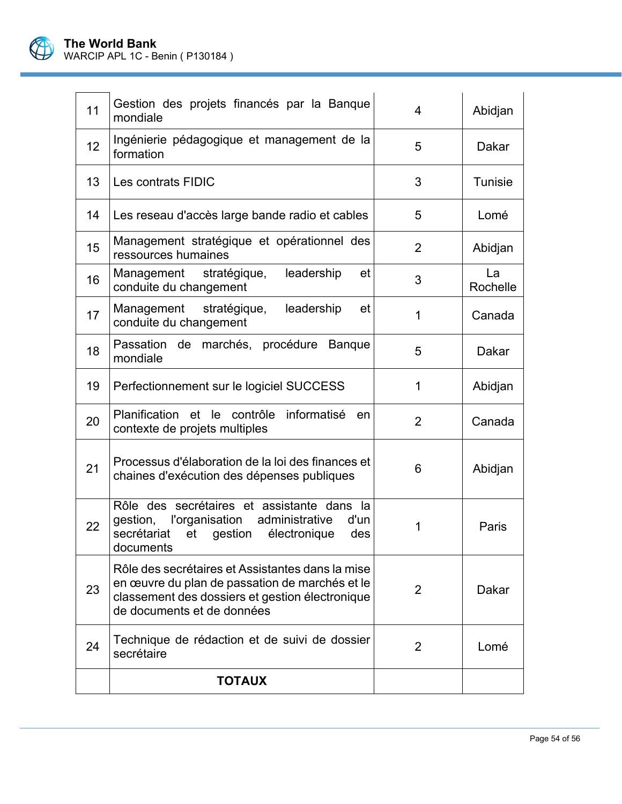

| 11              | Gestion des projets financés par la Banque<br>mondiale                                                                                                                              | 4              | Abidjan        |
|-----------------|-------------------------------------------------------------------------------------------------------------------------------------------------------------------------------------|----------------|----------------|
| 12 <sup>2</sup> | Ingénierie pédagogique et management de la<br>formation                                                                                                                             | 5              | Dakar          |
| 13 <sup>°</sup> | Les contrats FIDIC                                                                                                                                                                  | 3              | <b>Tunisie</b> |
| 14              | Les reseau d'accès large bande radio et cables                                                                                                                                      | 5              | Lomé           |
| 15              | Management stratégique et opérationnel des<br>ressources humaines                                                                                                                   | $\overline{2}$ | Abidjan        |
| 16              | leadership<br>Management stratégique,<br>et<br>conduite du changement                                                                                                               | 3              | La<br>Rochelle |
| 17              | Management stratégique, leadership<br>et<br>conduite du changement                                                                                                                  | 1              | Canada         |
| 18              | Passation de marchés, procédure Banque<br>mondiale                                                                                                                                  | 5              | Dakar          |
| 19              | Perfectionnement sur le logiciel SUCCESS                                                                                                                                            | 1              | Abidjan        |
| 20              | Planification et le contrôle informatisé<br>en<br>contexte de projets multiples                                                                                                     | $\overline{2}$ | Canada         |
| 21              | Processus d'élaboration de la loi des finances et<br>chaines d'exécution des dépenses publiques                                                                                     | 6              | Abidjan        |
| 22              | Rôle des secrétaires et assistante dans la<br>l'organisation administrative<br>gestion,<br>d'un<br>secrétariat<br>et gestion électronique<br>des<br>documents                       | 1              | Paris          |
| 23              | Rôle des secrétaires et Assistantes dans la mise<br>en œuvre du plan de passation de marchés et le<br>classement des dossiers et gestion électronique<br>de documents et de données | 2              | Dakar          |
| 24              | Technique de rédaction et de suivi de dossier<br>secrétaire                                                                                                                         | 2              | Lomé           |
|                 | <b>TOTAUX</b>                                                                                                                                                                       |                |                |